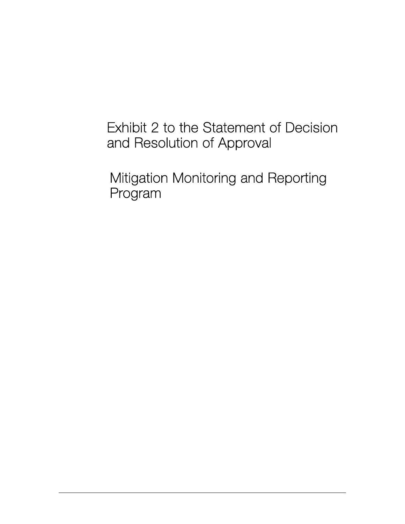# Exhibit 2 to the Statement of Decision and Resolution of Approval

Mitigation Monitoring and Reporting Program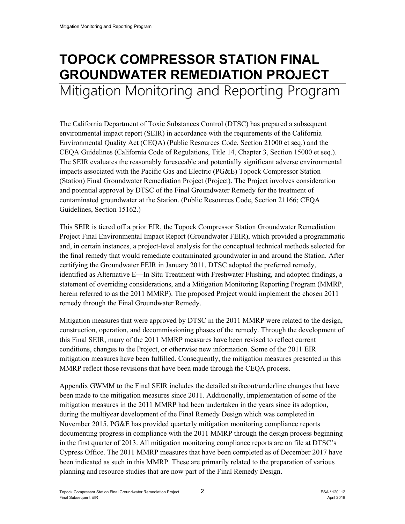# **TOPOCK COMPRESSOR STATION FINAL GROUNDWATER REMEDIATION PROJECT**  Mitigation Monitoring and Reporting Program

The California Department of Toxic Substances Control (DTSC) has prepared a subsequent environmental impact report (SEIR) in accordance with the requirements of the California Environmental Quality Act (CEQA) (Public Resources Code, Section 21000 et seq.) and the CEQA Guidelines (California Code of Regulations, Title 14, Chapter 3, Section 15000 et seq.). The SEIR evaluates the reasonably foreseeable and potentially significant adverse environmental impacts associated with the Pacific Gas and Electric (PG&E) Topock Compressor Station (Station) Final Groundwater Remediation Project (Project). The Project involves consideration and potential approval by DTSC of the Final Groundwater Remedy for the treatment of contaminated groundwater at the Station. (Public Resources Code, Section 21166; CEQA Guidelines, Section 15162.)

This SEIR is tiered off a prior EIR, the Topock Compressor Station Groundwater Remediation Project Final Environmental Impact Report (Groundwater FEIR), which provided a programmatic and, in certain instances, a project-level analysis for the conceptual technical methods selected for the final remedy that would remediate contaminated groundwater in and around the Station. After certifying the Groundwater FEIR in January 2011, DTSC adopted the preferred remedy, identified as Alternative E—In Situ Treatment with Freshwater Flushing, and adopted findings, a statement of overriding considerations, and a Mitigation Monitoring Reporting Program (MMRP, herein referred to as the 2011 MMRP). The proposed Project would implement the chosen 2011 remedy through the Final Groundwater Remedy.

Mitigation measures that were approved by DTSC in the 2011 MMRP were related to the design, construction, operation, and decommissioning phases of the remedy. Through the development of this Final SEIR, many of the 2011 MMRP measures have been revised to reflect current conditions, changes to the Project, or otherwise new information. Some of the 2011 EIR mitigation measures have been fulfilled. Consequently, the mitigation measures presented in this MMRP reflect those revisions that have been made through the CEQA process.

Appendix GWMM to the Final SEIR includes the detailed strikeout/underline changes that have been made to the mitigation measures since 2011. Additionally, implementation of some of the mitigation measures in the 2011 MMRP had been undertaken in the years since its adoption, during the multiyear development of the Final Remedy Design which was completed in November 2015. PG&E has provided quarterly mitigation monitoring compliance reports documenting progress in compliance with the 2011 MMRP through the design process beginning in the first quarter of 2013. All mitigation monitoring compliance reports are on file at DTSC's Cypress Office. The 2011 MMRP measures that have been completed as of December 2017 have been indicated as such in this MMRP. These are primarily related to the preparation of various planning and resource studies that are now part of the Final Remedy Design.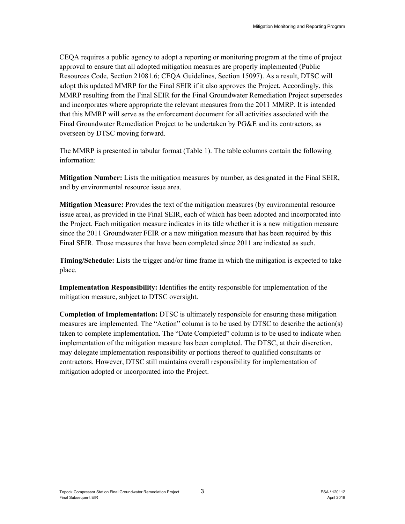CEQA requires a public agency to adopt a reporting or monitoring program at the time of project approval to ensure that all adopted mitigation measures are properly implemented (Public Resources Code, Section 21081.6; CEQA Guidelines, Section 15097). As a result, DTSC will adopt this updated MMRP for the Final SEIR if it also approves the Project. Accordingly, this MMRP resulting from the Final SEIR for the Final Groundwater Remediation Project supersedes and incorporates where appropriate the relevant measures from the 2011 MMRP. It is intended that this MMRP will serve as the enforcement document for all activities associated with the Final Groundwater Remediation Project to be undertaken by PG&E and its contractors, as overseen by DTSC moving forward.

The MMRP is presented in tabular format (Table 1). The table columns contain the following information:

**Mitigation Number:** Lists the mitigation measures by number, as designated in the Final SEIR, and by environmental resource issue area.

**Mitigation Measure:** Provides the text of the mitigation measures (by environmental resource issue area), as provided in the Final SEIR, each of which has been adopted and incorporated into the Project. Each mitigation measure indicates in its title whether it is a new mitigation measure since the 2011 Groundwater FEIR or a new mitigation measure that has been required by this Final SEIR. Those measures that have been completed since 2011 are indicated as such.

**Timing/Schedule:** Lists the trigger and/or time frame in which the mitigation is expected to take place.

**Implementation Responsibility:** Identifies the entity responsible for implementation of the mitigation measure, subject to DTSC oversight.

**Completion of Implementation:** DTSC is ultimately responsible for ensuring these mitigation measures are implemented. The "Action" column is to be used by DTSC to describe the action(s) taken to complete implementation. The "Date Completed" column is to be used to indicate when implementation of the mitigation measure has been completed. The DTSC, at their discretion, may delegate implementation responsibility or portions thereof to qualified consultants or contractors. However, DTSC still maintains overall responsibility for implementation of mitigation adopted or incorporated into the Project.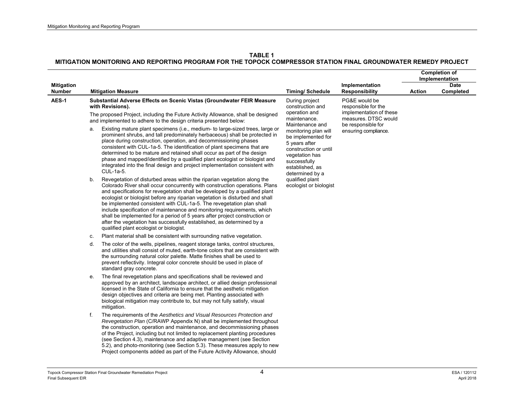|                                    |          |                                                                                                                                                                                                                                                                                                                                                                                                                                                                                                                                                                                                                                                                                                                                                                                                                                                                                                                                                                                                                                                                                                                                                                                                                           |                                                                                                                                                                                                                                                                                                     |                                                                                                                                       |               | <b>Completion of</b><br>Implementation |
|------------------------------------|----------|---------------------------------------------------------------------------------------------------------------------------------------------------------------------------------------------------------------------------------------------------------------------------------------------------------------------------------------------------------------------------------------------------------------------------------------------------------------------------------------------------------------------------------------------------------------------------------------------------------------------------------------------------------------------------------------------------------------------------------------------------------------------------------------------------------------------------------------------------------------------------------------------------------------------------------------------------------------------------------------------------------------------------------------------------------------------------------------------------------------------------------------------------------------------------------------------------------------------------|-----------------------------------------------------------------------------------------------------------------------------------------------------------------------------------------------------------------------------------------------------------------------------------------------------|---------------------------------------------------------------------------------------------------------------------------------------|---------------|----------------------------------------|
| <b>Mitigation</b><br><b>Number</b> |          | <b>Mitigation Measure</b>                                                                                                                                                                                                                                                                                                                                                                                                                                                                                                                                                                                                                                                                                                                                                                                                                                                                                                                                                                                                                                                                                                                                                                                                 | <b>Timing/ Schedule</b>                                                                                                                                                                                                                                                                             | Implementation<br>Responsibility                                                                                                      | <b>Action</b> | <b>Date</b><br>Completed               |
| AES-1                              | a.<br>b. | Substantial Adverse Effects on Scenic Vistas (Groundwater FEIR Measure<br>with Revisions).<br>The proposed Project, including the Future Activity Allowance, shall be designed<br>and implemented to adhere to the design criteria presented below:<br>Existing mature plant specimens (i.e., medium- to large-sized trees, large or<br>prominent shrubs, and tall predominately herbaceous) shall be protected in<br>place during construction, operation, and decommissioning phases<br>consistent with CUL-1a-5. The identification of plant specimens that are<br>determined to be mature and retained shall occur as part of the design<br>phase and mapped/identified by a qualified plant ecologist or biologist and<br>integrated into the final design and project implementation consistent with<br>CUL-1a-5.<br>Revegetation of disturbed areas within the riparian vegetation along the<br>Colorado River shall occur concurrently with construction operations. Plans<br>and specifications for revegetation shall be developed by a qualified plant<br>ecologist or biologist before any riparian vegetation is disturbed and shall<br>be implemented consistent with CUL-1a-5. The revegetation plan shall | During project<br>construction and<br>operation and<br>maintenance.<br>Maintenance and<br>monitoring plan will<br>be implemented for<br>5 years after<br>construction or until<br>vegetation has<br>successfully<br>established, as<br>determined by a<br>qualified plant<br>ecologist or biologist | PG&E would be<br>responsible for the<br>implementation of these<br>measures. DTSC would<br>be responsible for<br>ensuring compliance. |               |                                        |
|                                    |          | include specification of maintenance and monitoring requirements, which<br>shall be implemented for a period of 5 years after project construction or<br>after the vegetation has successfully established, as determined by a<br>qualified plant ecologist or biologist.<br>Plant material shall be consistent with surrounding native vegetation.                                                                                                                                                                                                                                                                                                                                                                                                                                                                                                                                                                                                                                                                                                                                                                                                                                                                       |                                                                                                                                                                                                                                                                                                     |                                                                                                                                       |               |                                        |
|                                    | c.<br>d. | The color of the wells, pipelines, reagent storage tanks, control structures,<br>and utilities shall consist of muted, earth-tone colors that are consistent with<br>the surrounding natural color palette. Matte finishes shall be used to<br>prevent reflectivity. Integral color concrete should be used in place of<br>standard gray concrete.                                                                                                                                                                                                                                                                                                                                                                                                                                                                                                                                                                                                                                                                                                                                                                                                                                                                        |                                                                                                                                                                                                                                                                                                     |                                                                                                                                       |               |                                        |
|                                    | е.       | The final revegetation plans and specifications shall be reviewed and<br>approved by an architect, landscape architect, or allied design professional<br>licensed in the State of California to ensure that the aesthetic mitigation<br>design objectives and criteria are being met. Planting associated with<br>biological mitigation may contribute to, but may not fully satisfy, visual<br>mitigation.                                                                                                                                                                                                                                                                                                                                                                                                                                                                                                                                                                                                                                                                                                                                                                                                               |                                                                                                                                                                                                                                                                                                     |                                                                                                                                       |               |                                        |
|                                    | f.       | The requirements of the Aesthetics and Visual Resources Protection and<br>Revegetation Plan (C/RAWP Appendix N) shall be implemented throughout<br>the construction, operation and maintenance, and decommissioning phases<br>of the Project, including but not limited to replacement planting procedures<br>(see Section 4.3), maintenance and adaptive management (see Section<br>5.2), and photo-monitoring (see Section 5.3). These measures apply to new<br>Project components added as part of the Future Activity Allowance, should                                                                                                                                                                                                                                                                                                                                                                                                                                                                                                                                                                                                                                                                               |                                                                                                                                                                                                                                                                                                     |                                                                                                                                       |               |                                        |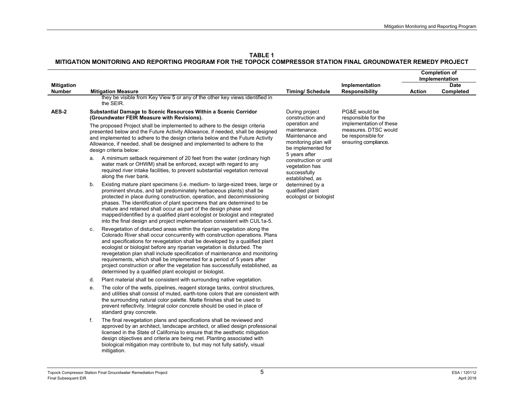|                                    |                                                                                                                                                                                                                                                                                                                                                                                                                                                                                                                                                                                                                              |                                                                                                |                                                                                               | <b>Completion of</b><br>Implementation |                          |
|------------------------------------|------------------------------------------------------------------------------------------------------------------------------------------------------------------------------------------------------------------------------------------------------------------------------------------------------------------------------------------------------------------------------------------------------------------------------------------------------------------------------------------------------------------------------------------------------------------------------------------------------------------------------|------------------------------------------------------------------------------------------------|-----------------------------------------------------------------------------------------------|----------------------------------------|--------------------------|
| <b>Mitigation</b><br><b>Number</b> | <b>Mitigation Measure</b>                                                                                                                                                                                                                                                                                                                                                                                                                                                                                                                                                                                                    | <b>Timing/Schedule</b>                                                                         | Implementation<br><b>Responsibility</b>                                                       | Action                                 | <b>Date</b><br>Completed |
|                                    | they be visible from Key View 5 or any of the other key views identified in<br>the SEIR.                                                                                                                                                                                                                                                                                                                                                                                                                                                                                                                                     |                                                                                                |                                                                                               |                                        |                          |
| <b>AES-2</b>                       | Substantial Damage to Scenic Resources Within a Scenic Corridor<br>(Groundwater FEIR Measure with Revisions).                                                                                                                                                                                                                                                                                                                                                                                                                                                                                                                | During project<br>construction and                                                             | PG&E would be<br>responsible for the                                                          |                                        |                          |
|                                    | The proposed Project shall be implemented to adhere to the design criteria<br>presented below and the Future Activity Allowance, if needed, shall be designed<br>and implemented to adhere to the design criteria below and the Future Activity<br>Allowance, if needed, shall be designed and implemented to adhere to the<br>design criteria below:                                                                                                                                                                                                                                                                        | operation and<br>maintenance.<br>Maintenance and<br>monitoring plan will<br>be implemented for | implementation of these<br>measures. DTSC would<br>be responsible for<br>ensuring compliance. |                                        |                          |
|                                    | a. A minimum setback requirement of 20 feet from the water (ordinary high<br>water mark or OHWM) shall be enforced, except with regard to any<br>required river intake facilities, to prevent substantial vegetation removal<br>along the river bank.                                                                                                                                                                                                                                                                                                                                                                        | 5 years after<br>construction or until<br>vegetation has<br>successfully<br>established, as    |                                                                                               |                                        |                          |
|                                    | Existing mature plant specimens (i.e. medium- to large-sized trees, large or<br>b.<br>prominent shrubs, and tall predominately herbaceous plants) shall be<br>protected in place during construction, operation, and decommissioning<br>phases. The identification of plant specimens that are determined to be<br>mature and retained shall occur as part of the design phase and<br>mapped/identified by a qualified plant ecologist or biologist and integrated<br>into the final design and project implementation consistent with CUL1a-5.                                                                              | determined by a<br>qualified plant<br>ecologist or biologist                                   |                                                                                               |                                        |                          |
|                                    | Revegetation of disturbed areas within the riparian vegetation along the<br>C.<br>Colorado River shall occur concurrently with construction operations. Plans<br>and specifications for revegetation shall be developed by a qualified plant<br>ecologist or biologist before any riparian vegetation is disturbed. The<br>revegetation plan shall include specification of maintenance and monitoring<br>requirements, which shall be implemented for a period of 5 years after<br>project construction or after the vegetation has successfully established, as<br>determined by a qualified plant ecologist or biologist. |                                                                                                |                                                                                               |                                        |                          |
|                                    | Plant material shall be consistent with surrounding native vegetation.<br>d.                                                                                                                                                                                                                                                                                                                                                                                                                                                                                                                                                 |                                                                                                |                                                                                               |                                        |                          |
|                                    | The color of the wells, pipelines, reagent storage tanks, control structures,<br>е.<br>and utilities shall consist of muted, earth-tone colors that are consistent with<br>the surrounding natural color palette. Matte finishes shall be used to<br>prevent reflectivity. Integral color concrete should be used in place of<br>standard gray concrete.                                                                                                                                                                                                                                                                     |                                                                                                |                                                                                               |                                        |                          |
|                                    | The final revegetation plans and specifications shall be reviewed and<br>f.<br>approved by an architect, landscape architect, or allied design professional<br>licensed in the State of California to ensure that the aesthetic mitigation<br>design objectives and criteria are being met. Planting associated with<br>biological mitigation may contribute to, but may not fully satisfy, visual<br>mitigation.                                                                                                                                                                                                            |                                                                                                |                                                                                               |                                        |                          |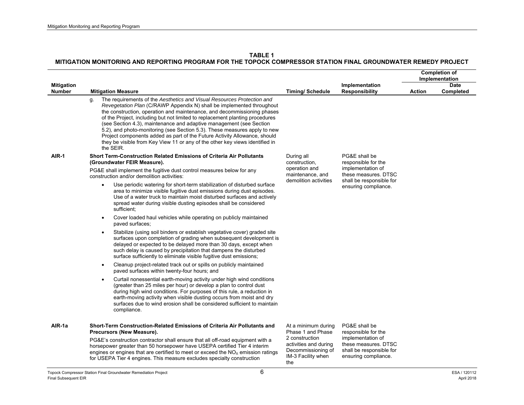|                   |                                                                                                                                                                                                                                                                                                                                                                                                                                                                                                                                                                                                                                                                                                                                                                                                                                                                                                                                                                                                                                                                                                                                                                                                                                                                                                                                                                                                        |                                                                                     |                                                                                   | <b>Completion of</b><br>Implementation |             |
|-------------------|--------------------------------------------------------------------------------------------------------------------------------------------------------------------------------------------------------------------------------------------------------------------------------------------------------------------------------------------------------------------------------------------------------------------------------------------------------------------------------------------------------------------------------------------------------------------------------------------------------------------------------------------------------------------------------------------------------------------------------------------------------------------------------------------------------------------------------------------------------------------------------------------------------------------------------------------------------------------------------------------------------------------------------------------------------------------------------------------------------------------------------------------------------------------------------------------------------------------------------------------------------------------------------------------------------------------------------------------------------------------------------------------------------|-------------------------------------------------------------------------------------|-----------------------------------------------------------------------------------|----------------------------------------|-------------|
| <b>Mitigation</b> |                                                                                                                                                                                                                                                                                                                                                                                                                                                                                                                                                                                                                                                                                                                                                                                                                                                                                                                                                                                                                                                                                                                                                                                                                                                                                                                                                                                                        |                                                                                     | Implementation                                                                    |                                        | <b>Date</b> |
| <b>Number</b>     | <b>Mitigation Measure</b><br>The requirements of the Aesthetics and Visual Resources Protection and<br>q.<br>Revegetation Plan (C/RAWP Appendix N) shall be implemented throughout<br>the construction, operation and maintenance, and decommissioning phases<br>of the Project, including but not limited to replacement planting procedures<br>(see Section 4.3), maintenance and adaptive management (see Section<br>5.2), and photo-monitoring (see Section 5.3). These measures apply to new<br>Project components added as part of the Future Activity Allowance, should<br>they be visible from Key View 11 or any of the other key views identified in<br>the SEIR.                                                                                                                                                                                                                                                                                                                                                                                                                                                                                                                                                                                                                                                                                                                            | <b>Timing/Schedule</b>                                                              | <b>Responsibility</b>                                                             | Action                                 | Completed   |
| AIR-1             | Short Term-Construction Related Emissions of Criteria Air Pollutants<br>(Groundwater FEIR Measure).<br>PG&E shall implement the fugitive dust control measures below for any                                                                                                                                                                                                                                                                                                                                                                                                                                                                                                                                                                                                                                                                                                                                                                                                                                                                                                                                                                                                                                                                                                                                                                                                                           | During all<br>construction,<br>operation and                                        | PG&E shall be<br>responsible for the<br>implementation of                         |                                        |             |
|                   | construction and/or demolition activities:<br>Use periodic watering for short-term stabilization of disturbed surface<br>$\bullet$<br>area to minimize visible fugitive dust emissions during dust episodes.<br>Use of a water truck to maintain moist disturbed surfaces and actively<br>spread water during visible dusting episodes shall be considered<br>sufficient;<br>Cover loaded haul vehicles while operating on publicly maintained<br>$\bullet$<br>paved surfaces;<br>Stabilize (using soil binders or establish vegetative cover) graded site<br>$\bullet$<br>surfaces upon completion of grading when subsequent development is<br>delayed or expected to be delayed more than 30 days, except when<br>such delay is caused by precipitation that dampens the disturbed<br>surface sufficiently to eliminate visible fugitive dust emissions;<br>Cleanup project-related track out or spills on publicly maintained<br>$\bullet$<br>paved surfaces within twenty-four hours; and<br>Curtail nonessential earth-moving activity under high wind conditions<br>$\bullet$<br>(greater than 25 miles per hour) or develop a plan to control dust<br>during high wind conditions. For purposes of this rule, a reduction in<br>earth-moving activity when visible dusting occurs from moist and dry<br>surfaces due to wind erosion shall be considered sufficient to maintain<br>compliance. | maintenance, and<br>demolition activities                                           | these measures. DTSC<br>shall be responsible for<br>ensuring compliance.          |                                        |             |
| AIR-1a            | Short-Term Construction-Related Emissions of Criteria Air Pollutants and<br>Precursors (New Measure).<br>PG&E's construction contractor shall ensure that all off-road equipment with a                                                                                                                                                                                                                                                                                                                                                                                                                                                                                                                                                                                                                                                                                                                                                                                                                                                                                                                                                                                                                                                                                                                                                                                                                | At a minimum during<br>Phase 1 and Phase<br>2 construction<br>activities and during | PG&E shall be<br>responsible for the<br>implementation of<br>these measures. DTSC |                                        |             |
|                   | horsepower greater than 50 horsepower have USEPA certified Tier 4 interim<br>engines or engines that are certified to meet or exceed the $NOx$ emission ratings<br>for USEPA Tier 4 engines. This measure excludes specialty construction<br>$\sim$                                                                                                                                                                                                                                                                                                                                                                                                                                                                                                                                                                                                                                                                                                                                                                                                                                                                                                                                                                                                                                                                                                                                                    | Decommissioning of<br>IM-3 Facility when<br>the                                     | shall be responsible for<br>ensuring compliance.                                  |                                        |             |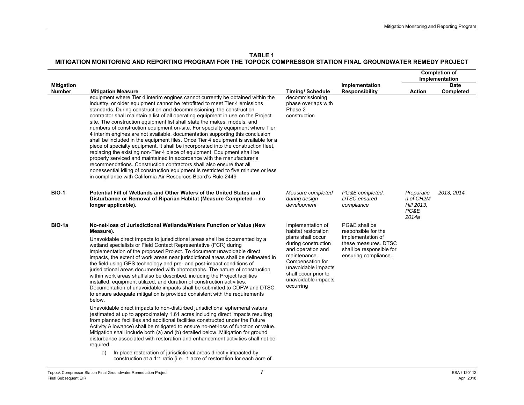|                             |                                                                                                                                                                                                                                                                                                                                                                                                                                                                                                                                                                                                                                                                                                                                                                                                                                                                                                                                                                                                                                                                                                                                                                                                                                                                                                                                                                                                                                                                                                                                                                                  |                                                                                                                                                                                                                                  |                                                                                                                                       | <b>Completion of</b><br>Implementation                 |                          |
|-----------------------------|----------------------------------------------------------------------------------------------------------------------------------------------------------------------------------------------------------------------------------------------------------------------------------------------------------------------------------------------------------------------------------------------------------------------------------------------------------------------------------------------------------------------------------------------------------------------------------------------------------------------------------------------------------------------------------------------------------------------------------------------------------------------------------------------------------------------------------------------------------------------------------------------------------------------------------------------------------------------------------------------------------------------------------------------------------------------------------------------------------------------------------------------------------------------------------------------------------------------------------------------------------------------------------------------------------------------------------------------------------------------------------------------------------------------------------------------------------------------------------------------------------------------------------------------------------------------------------|----------------------------------------------------------------------------------------------------------------------------------------------------------------------------------------------------------------------------------|---------------------------------------------------------------------------------------------------------------------------------------|--------------------------------------------------------|--------------------------|
| <b>Mitigation</b><br>Number | <b>Mitigation Measure</b>                                                                                                                                                                                                                                                                                                                                                                                                                                                                                                                                                                                                                                                                                                                                                                                                                                                                                                                                                                                                                                                                                                                                                                                                                                                                                                                                                                                                                                                                                                                                                        | <b>Timing/Schedule</b>                                                                                                                                                                                                           | Implementation<br><b>Responsibility</b>                                                                                               | <b>Action</b>                                          | <b>Date</b><br>Completed |
|                             | equipment where Tier 4 interim engines cannot currently be obtained within the<br>industry, or older equipment cannot be retrofitted to meet Tier 4 emissions<br>standards. During construction and decommissioning, the construction<br>contractor shall maintain a list of all operating equipment in use on the Project<br>site. The construction equipment list shall state the makes, models, and<br>numbers of construction equipment on-site. For specialty equipment where Tier<br>4 interim engines are not available, documentation supporting this conclusion<br>shall be included in the equipment files. Once Tier 4 equipment is available for a<br>piece of specialty equipment, it shall be incorporated into the construction fleet,<br>replacing the existing non-Tier 4 piece of equipment. Equipment shall be<br>properly serviced and maintained in accordance with the manufacturer's<br>recommendations. Construction contractors shall also ensure that all<br>nonessential idling of construction equipment is restricted to five minutes or less<br>in compliance with California Air Resources Board's Rule 2449                                                                                                                                                                                                                                                                                                                                                                                                                                      | decommissioning<br>phase overlaps with<br>Phase 2<br>construction                                                                                                                                                                |                                                                                                                                       |                                                        |                          |
| <b>BIO-1</b>                | Potential Fill of Wetlands and Other Waters of the United States and<br>Disturbance or Removal of Riparian Habitat (Measure Completed – no<br>longer applicable).                                                                                                                                                                                                                                                                                                                                                                                                                                                                                                                                                                                                                                                                                                                                                                                                                                                                                                                                                                                                                                                                                                                                                                                                                                                                                                                                                                                                                | Measure completed<br>during design<br>development                                                                                                                                                                                | PG&E completed.<br><b>DTSC</b> ensured<br>compliance                                                                                  | Preparatio<br>n of CH2M<br>Hill 2013,<br>PG&E<br>2014a | 2013, 2014               |
| BIO-1a                      | No-net-loss of Jurisdictional Wetlands/Waters Function or Value (New<br>Measure).<br>Unavoidable direct impacts to jurisdictional areas shall be documented by a<br>wetland specialists or Field Contact Representative (FCR) during<br>implementation of the proposed Project. To document unavoidable direct<br>impacts, the extent of work areas near jurisdictional areas shall be delineated in<br>the field using GPS technology and pre- and post-impact conditions of<br>jurisdictional areas documented with photographs. The nature of construction<br>within work areas shall also be described, including the Project facilities<br>installed, equipment utilized, and duration of construction activities.<br>Documentation of unavoidable impacts shall be submitted to CDFW and DTSC<br>to ensure adequate mitigation is provided consistent with the requirements<br>below.<br>Unavoidable direct impacts to non-disturbed jurisdictional ephemeral waters<br>(estimated at up to approximately 1.61 acres including direct impacts resulting<br>from planned facilities and additional facilities constructed under the Future<br>Activity Allowance) shall be mitigated to ensure no-net-loss of function or value.<br>Mitigation shall include both (a) and (b) detailed below. Mitigation for ground<br>disturbance associated with restoration and enhancement activities shall not be<br>required.<br>In-place restoration of jurisdictional areas directly impacted by<br>a)<br>construction at a 1:1 ratio (i.e., 1 acre of restoration for each acre of | Implementation of<br>habitat restoration<br>plans shall occur<br>during construction<br>and operation and<br>maintenance.<br>Compensation for<br>unavoidable impacts<br>shall occur prior to<br>unavoidable impacts<br>occurring | PG&E shall be<br>responsible for the<br>implementation of<br>these measures. DTSC<br>shall be responsible for<br>ensuring compliance. |                                                        |                          |

 $\overline{a}$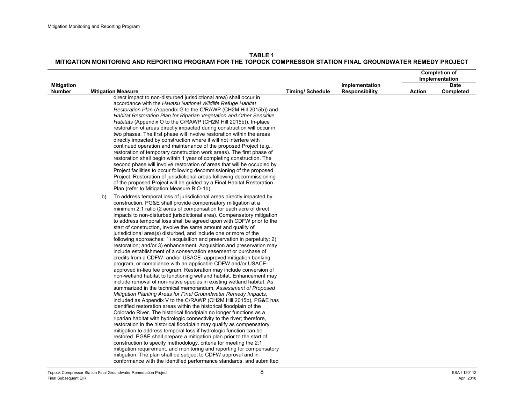|                                    |                           |                                                                                                                                                                                                                                                                                                                                                                                                                                                                                                                                                                                                                                                                                                                                                                                                                                                                                                                                                                                                                                                                                                                                                                                                                                                                                                                                                                                                                                                                                                                                                                                                                                                                                                                                                                                                                                                                                                                                                                                                                                 |                        |                                         | <b>Completion of</b><br>Implementation |                          |
|------------------------------------|---------------------------|---------------------------------------------------------------------------------------------------------------------------------------------------------------------------------------------------------------------------------------------------------------------------------------------------------------------------------------------------------------------------------------------------------------------------------------------------------------------------------------------------------------------------------------------------------------------------------------------------------------------------------------------------------------------------------------------------------------------------------------------------------------------------------------------------------------------------------------------------------------------------------------------------------------------------------------------------------------------------------------------------------------------------------------------------------------------------------------------------------------------------------------------------------------------------------------------------------------------------------------------------------------------------------------------------------------------------------------------------------------------------------------------------------------------------------------------------------------------------------------------------------------------------------------------------------------------------------------------------------------------------------------------------------------------------------------------------------------------------------------------------------------------------------------------------------------------------------------------------------------------------------------------------------------------------------------------------------------------------------------------------------------------------------|------------------------|-----------------------------------------|----------------------------------------|--------------------------|
| <b>Mitigation</b><br><b>Number</b> | <b>Mitigation Measure</b> |                                                                                                                                                                                                                                                                                                                                                                                                                                                                                                                                                                                                                                                                                                                                                                                                                                                                                                                                                                                                                                                                                                                                                                                                                                                                                                                                                                                                                                                                                                                                                                                                                                                                                                                                                                                                                                                                                                                                                                                                                                 | <b>Timing/Schedule</b> | Implementation<br><b>Responsibility</b> | <b>Action</b>                          | <b>Date</b><br>Completed |
|                                    |                           | direct impact to non-disturbed jurisdictional area) shall occur in<br>accordance with the Havasu National Wildlife Refuge Habitat<br>Restoration Plan (Appendix G to the C/RAWP (CH2M Hill 2015b)) and<br>Habitat Restoration Plan for Riparian Vegetation and Other Sensitive<br>Habitats (Appendix O to the C/RAWP (CH2M Hill 2015b)). In-place<br>restoration of areas directly impacted during construction will occur in<br>two phases. The first phase will involve restoration within the areas<br>directly impacted by construction where it will not interfere with<br>continued operation and maintenance of the proposed Project (e.g.,<br>restoration of temporary construction work areas). The first phase of<br>restoration shall begin within 1 year of completing construction. The<br>second phase will involve restoration of areas that will be occupied by<br>Project facilities to occur following decommissioning of the proposed<br>Project. Restoration of jurisdictional areas following decommissioning<br>of the proposed Project will be guided by a Final Habitat Restoration<br>Plan (refer to Mitigation Measure BIO-1b).                                                                                                                                                                                                                                                                                                                                                                                                                                                                                                                                                                                                                                                                                                                                                                                                                                                                       |                        |                                         |                                        |                          |
|                                    | b)                        | To address temporal loss of jurisdictional areas directly impacted by<br>construction, PG&E shall provide compensatory mitigation at a<br>minimum 2:1 ratio (2 acres of compensation for each acre of direct<br>impacts to non-disturbed jurisdictional area). Compensatory mitigation<br>to address temporal loss shall be agreed upon with CDFW prior to the<br>start of construction, involve the same amount and quality of<br>jurisdictional area(s) disturbed, and include one or more of the<br>following approaches: 1) acquisition and preservation in perpetuity; 2)<br>restoration; and/or 3) enhancement. Acquisition and preservation may<br>include establishment of a conservation easement or purchase of<br>credits from a CDFW- and/or USACE -approved mitigation banking<br>program, or compliance with an applicable CDFW and/or USACE-<br>approved in-lieu fee program. Restoration may include conversion of<br>non-wetland habitat to functioning wetland habitat. Enhancement may<br>include removal of non-native species in existing wetland habitat. As<br>summarized in the technical memorandum, Assessment of Proposed<br>Mitigation Planting Areas for Final Groundwater Remedy Impacts,<br>included as Appendix V to the C/RAWP (CH2M Hill 2015b), PG&E has<br>identified restoration areas within the historical floodplain of the<br>Colorado River. The historical floodplain no longer functions as a<br>riparian habitat with hydrologic connectivity to the river; therefore,<br>restoration in the historical floodplain may qualify as compensatory<br>mitigation to address temporal loss if hydrologic function can be<br>restored. PG&E shall prepare a mitigation plan prior to the start of<br>construction to specify methodology, criteria for meeting the 2:1<br>mitigation requirement, and monitoring and reporting for compensatory<br>mitigation. The plan shall be subject to CDFW approval and in<br>conformance with the identified performance standards, and submitted |                        |                                         |                                        |                          |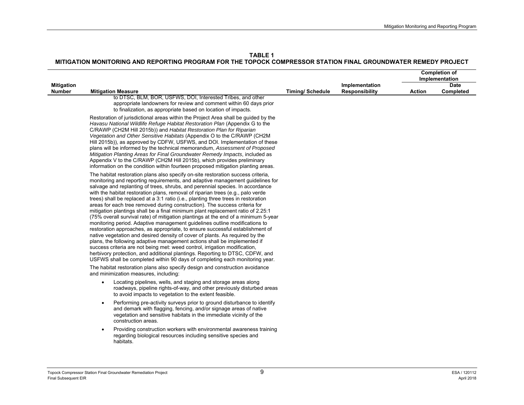|                   |                                                                                                                                                                                                                                                                                                                                                                                                                                                                                                                                                                                                                                                                                                                                                                                                                                                                                                                                                                                                                                                                                                                                                                                                                                                            |                        |                       | <b>Completion of</b><br>Implementation |             |
|-------------------|------------------------------------------------------------------------------------------------------------------------------------------------------------------------------------------------------------------------------------------------------------------------------------------------------------------------------------------------------------------------------------------------------------------------------------------------------------------------------------------------------------------------------------------------------------------------------------------------------------------------------------------------------------------------------------------------------------------------------------------------------------------------------------------------------------------------------------------------------------------------------------------------------------------------------------------------------------------------------------------------------------------------------------------------------------------------------------------------------------------------------------------------------------------------------------------------------------------------------------------------------------|------------------------|-----------------------|----------------------------------------|-------------|
| <b>Mitigation</b> |                                                                                                                                                                                                                                                                                                                                                                                                                                                                                                                                                                                                                                                                                                                                                                                                                                                                                                                                                                                                                                                                                                                                                                                                                                                            |                        | Implementation        |                                        | <b>Date</b> |
| <b>Number</b>     | <b>Mitigation Measure</b>                                                                                                                                                                                                                                                                                                                                                                                                                                                                                                                                                                                                                                                                                                                                                                                                                                                                                                                                                                                                                                                                                                                                                                                                                                  | <b>Timing/Schedule</b> | <b>Responsibility</b> | <b>Action</b>                          | Completed   |
|                   | to DTSC, BLM, BOR, USFWS, DOI, Interested Tribes, and other<br>appropriate landowners for review and comment within 60 days prior<br>to finalization, as appropriate based on location of impacts.                                                                                                                                                                                                                                                                                                                                                                                                                                                                                                                                                                                                                                                                                                                                                                                                                                                                                                                                                                                                                                                         |                        |                       |                                        |             |
|                   | Restoration of jurisdictional areas within the Project Area shall be guided by the<br>Havasu National Wildlife Refuge Habitat Restoration Plan (Appendix G to the<br>C/RAWP (CH2M Hill 2015b)) and Habitat Restoration Plan for Riparian<br>Vegetation and Other Sensitive Habitats (Appendix O to the C/RAWP (CH2M<br>Hill 2015b)), as approved by CDFW, USFWS, and DOI. Implementation of these<br>plans will be informed by the technical memorandum, Assessment of Proposed<br>Mitigation Planting Areas for Final Groundwater Remedy Impacts, included as<br>Appendix V to the C/RAWP (CH2M Hill 2015b), which provides preliminary<br>information on the condition within fourteen proposed mitigation planting areas.                                                                                                                                                                                                                                                                                                                                                                                                                                                                                                                               |                        |                       |                                        |             |
|                   | The habitat restoration plans also specify on-site restoration success criteria,<br>monitoring and reporting requirements, and adaptive management guidelines for<br>salvage and replanting of trees, shrubs, and perennial species. In accordance<br>with the habitat restoration plans, removal of riparian trees (e.g., palo verde<br>trees) shall be replaced at a 3:1 ratio (i.e., planting three trees in restoration<br>areas for each tree removed during construction). The success criteria for<br>mitigation plantings shall be a final minimum plant replacement ratio of 2.25:1<br>(75% overall survival rate) of mitigation plantings at the end of a minimum 5-year<br>monitoring period. Adaptive management guidelines outline modifications to<br>restoration approaches, as appropriate, to ensure successful establishment of<br>native vegetation and desired density of cover of plants. As required by the<br>plans, the following adaptive management actions shall be implemented if<br>success criteria are not being met: weed control, irrigation modification,<br>herbivory protection, and additional plantings. Reporting to DTSC, CDFW, and<br>USFWS shall be completed within 90 days of completing each monitoring year. |                        |                       |                                        |             |
|                   | The habitat restoration plans also specify design and construction avoidance<br>and minimization measures, including:                                                                                                                                                                                                                                                                                                                                                                                                                                                                                                                                                                                                                                                                                                                                                                                                                                                                                                                                                                                                                                                                                                                                      |                        |                       |                                        |             |
|                   | Locating pipelines, wells, and staging and storage areas along<br>$\bullet$<br>roadways, pipeline rights-of-way, and other previously disturbed areas<br>to avoid impacts to vegetation to the extent feasible.                                                                                                                                                                                                                                                                                                                                                                                                                                                                                                                                                                                                                                                                                                                                                                                                                                                                                                                                                                                                                                            |                        |                       |                                        |             |
|                   | Performing pre-activity surveys prior to ground disturbance to identify<br>$\bullet$<br>and demark with flagging, fencing, and/or signage areas of native<br>vegetation and sensitive habitats in the immediate vicinity of the<br>construction areas.                                                                                                                                                                                                                                                                                                                                                                                                                                                                                                                                                                                                                                                                                                                                                                                                                                                                                                                                                                                                     |                        |                       |                                        |             |
|                   | Providing construction workers with environmental awareness training<br>$\bullet$<br>regarding biological resources including sensitive species and<br>habitats.                                                                                                                                                                                                                                                                                                                                                                                                                                                                                                                                                                                                                                                                                                                                                                                                                                                                                                                                                                                                                                                                                           |                        |                       |                                        |             |
|                   |                                                                                                                                                                                                                                                                                                                                                                                                                                                                                                                                                                                                                                                                                                                                                                                                                                                                                                                                                                                                                                                                                                                                                                                                                                                            |                        |                       |                                        |             |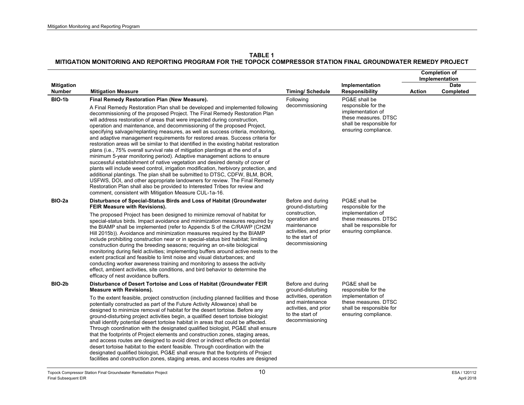|                                    |                                                                                                                                                                                                                                                                                                                                                                                                                                                                                                                                                                                                                                                                                                                                                                                                                                                                                                                                                                                                                                                                                                                                                                                                                                                                                |                                                                                                                                                        |                                                                                                                                       | <b>Completion of</b><br>Implementation |                   |
|------------------------------------|--------------------------------------------------------------------------------------------------------------------------------------------------------------------------------------------------------------------------------------------------------------------------------------------------------------------------------------------------------------------------------------------------------------------------------------------------------------------------------------------------------------------------------------------------------------------------------------------------------------------------------------------------------------------------------------------------------------------------------------------------------------------------------------------------------------------------------------------------------------------------------------------------------------------------------------------------------------------------------------------------------------------------------------------------------------------------------------------------------------------------------------------------------------------------------------------------------------------------------------------------------------------------------|--------------------------------------------------------------------------------------------------------------------------------------------------------|---------------------------------------------------------------------------------------------------------------------------------------|----------------------------------------|-------------------|
| <b>Mitigation</b><br><b>Number</b> | <b>Mitigation Measure</b>                                                                                                                                                                                                                                                                                                                                                                                                                                                                                                                                                                                                                                                                                                                                                                                                                                                                                                                                                                                                                                                                                                                                                                                                                                                      | <b>Timing/Schedule</b>                                                                                                                                 | Implementation<br><b>Responsibility</b>                                                                                               | Action                                 | Date<br>Completed |
| BIO-1b                             | Final Remedy Restoration Plan (New Measure).<br>A Final Remedy Restoration Plan shall be developed and implemented following<br>decommissioning of the proposed Project. The Final Remedy Restoration Plan<br>will address restoration of areas that were impacted during construction,<br>operation and maintenance, and decommissioning of the proposed Project,<br>specifying salvage/replanting measures, as well as success criteria, monitoring,<br>and adaptive management requirements for restored areas. Success criteria for<br>restoration areas will be similar to that identified in the existing habitat restoration<br>plans (i.e., 75% overall survival rate of mitigation plantings at the end of a<br>minimum 5-year monitoring period). Adaptive management actions to ensure<br>successful establishment of native vegetation and desired density of cover of<br>plants will include weed control, irrigation modification, herbivory protection, and<br>additional plantings. The plan shall be submitted to DTSC, CDFW, BLM, BOR,<br>USFWS, DOI, and other appropriate landowners for review. The Final Remedy<br>Restoration Plan shall also be provided to Interested Tribes for review and<br>comment, consistent with Mitigation Measure CUL-1a-16. | Following<br>decommissioning                                                                                                                           | PG&E shall be<br>responsible for the<br>implementation of<br>these measures. DTSC<br>shall be responsible for<br>ensuring compliance. |                                        |                   |
| BIO-2a                             | Disturbance of Special-Status Birds and Loss of Habitat (Groundwater<br>FEIR Measure with Revisions).<br>The proposed Project has been designed to minimize removal of habitat for<br>special-status birds. Impact avoidance and minimization measures required by<br>the BIAMP shall be implemented (refer to Appendix S of the C/RAWP (CH2M)<br>Hill 2015b)). Avoidance and minimization measures required by the BIAMP<br>include prohibiting construction near or in special-status bird habitat; limiting<br>construction during the breeding seasons; requiring an on-site biological<br>monitoring during field activities; implementing buffers around active nests to the<br>extent practical and feasible to limit noise and visual disturbances; and<br>conducting worker awareness training and monitoring to assess the activity<br>effect, ambient activities, site conditions, and bird behavior to determine the<br>efficacy of nest avoidance buffers.                                                                                                                                                                                                                                                                                                        | Before and during<br>ground-disturbing<br>construction,<br>operation and<br>maintenance<br>activities, and prior<br>to the start of<br>decommissioning | PG&E shall be<br>responsible for the<br>implementation of<br>these measures. DTSC<br>shall be responsible for<br>ensuring compliance. |                                        |                   |
| BIO-2b                             | Disturbance of Desert Tortoise and Loss of Habitat (Groundwater FEIR<br><b>Measure with Revisions).</b><br>To the extent feasible, project construction (including planned facilities and those<br>potentially constructed as part of the Future Activity Allowance) shall be<br>designed to minimize removal of habitat for the desert tortoise. Before any<br>ground-disturbing project activities begin, a qualified desert tortoise biologist<br>shall identify potential desert tortoise habitat in areas that could be affected.<br>Through coordination with the designated qualified biologist, PG&E shall ensure<br>that the footprints of Project elements and construction zones, staging areas,<br>and access routes are designed to avoid direct or indirect effects on potential<br>desert tortoise habitat to the extent feasible. Through coordination with the<br>designated qualified biologist, PG&E shall ensure that the footprints of Project                                                                                                                                                                                                                                                                                                            | Before and during<br>ground-disturbing<br>activities, operation<br>and maintenance<br>activities, and prior<br>to the start of<br>decommissioning      | PG&E shall be<br>responsible for the<br>implementation of<br>these measures. DTSC<br>shall be responsible for<br>ensuring compliance. |                                        |                   |

facilities and construction zones, staging areas, and access routes are designed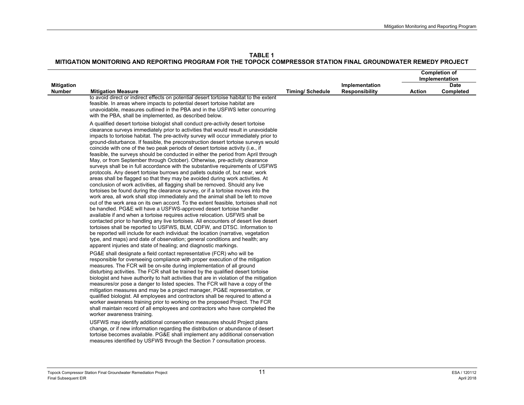**TABLE 1**

|                                    |                                                                                                                                                                                                                                                                                                                                                                                                                                                                                                                                                                                                                                                                                                                                                                                                                                                                                                                                                                                                                                                                                                                                                                                                                                                                                                                                                                                                                                                                                                                                                                                                                                                                                                                                                                                 |                        |                                         | <b>Completion of</b><br>Implementation |                          |
|------------------------------------|---------------------------------------------------------------------------------------------------------------------------------------------------------------------------------------------------------------------------------------------------------------------------------------------------------------------------------------------------------------------------------------------------------------------------------------------------------------------------------------------------------------------------------------------------------------------------------------------------------------------------------------------------------------------------------------------------------------------------------------------------------------------------------------------------------------------------------------------------------------------------------------------------------------------------------------------------------------------------------------------------------------------------------------------------------------------------------------------------------------------------------------------------------------------------------------------------------------------------------------------------------------------------------------------------------------------------------------------------------------------------------------------------------------------------------------------------------------------------------------------------------------------------------------------------------------------------------------------------------------------------------------------------------------------------------------------------------------------------------------------------------------------------------|------------------------|-----------------------------------------|----------------------------------------|--------------------------|
| <b>Mitigation</b><br><b>Number</b> | <b>Mitigation Measure</b>                                                                                                                                                                                                                                                                                                                                                                                                                                                                                                                                                                                                                                                                                                                                                                                                                                                                                                                                                                                                                                                                                                                                                                                                                                                                                                                                                                                                                                                                                                                                                                                                                                                                                                                                                       | <b>Timing/Schedule</b> | Implementation<br><b>Responsibility</b> | <b>Action</b>                          | <b>Date</b><br>Completed |
|                                    | to avoid direct or indirect effects on potential desert tortoise habitat to the extent<br>feasible. In areas where impacts to potential desert tortoise habitat are<br>unavoidable, measures outlined in the PBA and in the USFWS letter concurring<br>with the PBA, shall be implemented, as described below.                                                                                                                                                                                                                                                                                                                                                                                                                                                                                                                                                                                                                                                                                                                                                                                                                                                                                                                                                                                                                                                                                                                                                                                                                                                                                                                                                                                                                                                                  |                        |                                         |                                        |                          |
|                                    | A qualified desert tortoise biologist shall conduct pre-activity desert tortoise<br>clearance surveys immediately prior to activities that would result in unavoidable<br>impacts to tortoise habitat. The pre-activity survey will occur immediately prior to<br>ground-disturbance. If feasible, the preconstruction desert tortoise surveys would<br>coincide with one of the two peak periods of desert tortoise activity (i.e., if<br>feasible, the surveys should be conducted in either the period from April through<br>May, or from September through October). Otherwise, pre-activity clearance<br>surveys shall be in full accordance with the substantive requirements of USFWS<br>protocols. Any desert tortoise burrows and pallets outside of, but near, work<br>areas shall be flagged so that they may be avoided during work activities. At<br>conclusion of work activities, all flagging shall be removed. Should any live<br>tortoises be found during the clearance survey, or if a tortoise moves into the<br>work area, all work shall stop immediately and the animal shall be left to move<br>out of the work area on its own accord. To the extent feasible, tortoises shall not<br>be handled. PG&E will have a USFWS-approved desert tortoise handler<br>available if and when a tortoise requires active relocation. USFWS shall be<br>contacted prior to handling any live tortoises. All encounters of desert live desert<br>tortoises shall be reported to USFWS, BLM, CDFW, and DTSC. Information to<br>be reported will include for each individual: the location (narrative, vegetation<br>type, and maps) and date of observation; general conditions and health; any<br>apparent injuries and state of healing; and diagnostic markings. |                        |                                         |                                        |                          |
|                                    | PG&E shall designate a field contact representative (FCR) who will be<br>responsible for overseeing compliance with proper execution of the mitigation<br>measures. The FCR will be on-site during implementation of all ground<br>disturbing activities. The FCR shall be trained by the qualified desert tortoise<br>biologist and have authority to halt activities that are in violation of the mitigation<br>measures/or pose a danger to listed species. The FCR will have a copy of the<br>mitigation measures and may be a project manager, PG&E representative, or<br>qualified biologist. All employees and contractors shall be required to attend a<br>worker awareness training prior to working on the proposed Project. The FCR<br>shall maintain record of all employees and contractors who have completed the<br>worker awareness training.                                                                                                                                                                                                                                                                                                                                                                                                                                                                                                                                                                                                                                                                                                                                                                                                                                                                                                                   |                        |                                         |                                        |                          |
|                                    | USFWS may identify additional conservation measures should Project plans<br>change, or if new information regarding the distribution or abundance of desert<br>tortoise becomes available. PG&E shall implement any additional conservation<br>measures identified by USFWS through the Section 7 consultation process.                                                                                                                                                                                                                                                                                                                                                                                                                                                                                                                                                                                                                                                                                                                                                                                                                                                                                                                                                                                                                                                                                                                                                                                                                                                                                                                                                                                                                                                         |                        |                                         |                                        |                          |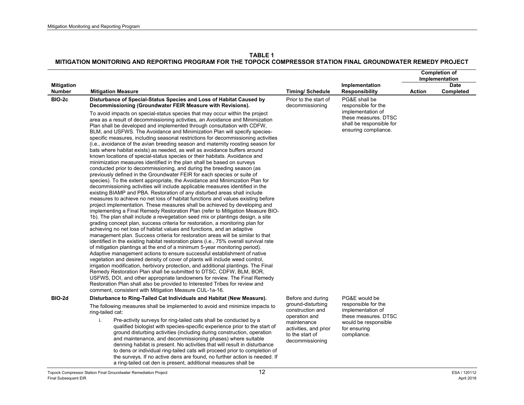|                         |                                                                                                                                                                                                                                                                                                                                                                                                                                                                                                                                                                                                                                                                                                                                                                                                                                                                                                                                                                                                                                                                                                                                                                                                                                                                                                                                                                                                                                                                                                                                                                                                                                                                                                                                                                                                                                                                                                                                                                                                                                                                                                                                                                                                                                                                                                                                                                                                                                                |                                                                                                                                      |                                                                                                                         | <b>Completion of</b><br>Implementation |             |
|-------------------------|------------------------------------------------------------------------------------------------------------------------------------------------------------------------------------------------------------------------------------------------------------------------------------------------------------------------------------------------------------------------------------------------------------------------------------------------------------------------------------------------------------------------------------------------------------------------------------------------------------------------------------------------------------------------------------------------------------------------------------------------------------------------------------------------------------------------------------------------------------------------------------------------------------------------------------------------------------------------------------------------------------------------------------------------------------------------------------------------------------------------------------------------------------------------------------------------------------------------------------------------------------------------------------------------------------------------------------------------------------------------------------------------------------------------------------------------------------------------------------------------------------------------------------------------------------------------------------------------------------------------------------------------------------------------------------------------------------------------------------------------------------------------------------------------------------------------------------------------------------------------------------------------------------------------------------------------------------------------------------------------------------------------------------------------------------------------------------------------------------------------------------------------------------------------------------------------------------------------------------------------------------------------------------------------------------------------------------------------------------------------------------------------------------------------------------------------|--------------------------------------------------------------------------------------------------------------------------------------|-------------------------------------------------------------------------------------------------------------------------|----------------------------------------|-------------|
| <b>Mitigation</b>       |                                                                                                                                                                                                                                                                                                                                                                                                                                                                                                                                                                                                                                                                                                                                                                                                                                                                                                                                                                                                                                                                                                                                                                                                                                                                                                                                                                                                                                                                                                                                                                                                                                                                                                                                                                                                                                                                                                                                                                                                                                                                                                                                                                                                                                                                                                                                                                                                                                                |                                                                                                                                      | Implementation                                                                                                          |                                        | <b>Date</b> |
| <b>Number</b><br>BIO-2c | <b>Mitigation Measure</b><br>Disturbance of Special-Status Species and Loss of Habitat Caused by<br>Decommissioning (Groundwater FEIR Measure with Revisions).                                                                                                                                                                                                                                                                                                                                                                                                                                                                                                                                                                                                                                                                                                                                                                                                                                                                                                                                                                                                                                                                                                                                                                                                                                                                                                                                                                                                                                                                                                                                                                                                                                                                                                                                                                                                                                                                                                                                                                                                                                                                                                                                                                                                                                                                                 | <b>Timing/ Schedule</b><br>Prior to the start of<br>decommissioning                                                                  | <b>Responsibility</b><br>PG&E shall be<br>responsible for the                                                           | <b>Action</b>                          | Completed   |
|                         | To avoid impacts on special-status species that may occur within the project<br>area as a result of decommissioning activities, an Avoidance and Minimization<br>Plan shall be developed and implemented through consultation with CDFW,<br>BLM, and USFWS. The Avoidance and Minimization Plan will specify species-<br>specific measures, including seasonal restrictions for decommissioning activities<br>(i.e., avoidance of the avian breeding season and maternity roosting season for<br>bats where habitat exists) as needed, as well as avoidance buffers around<br>known locations of special-status species or their habitats. Avoidance and<br>minimization measures identified in the plan shall be based on surveys<br>conducted prior to decommissioning, and during the breeding season (as<br>previously defined in the Groundwater FEIR for each species or suite of<br>species). To the extent appropriate, the Avoidance and Minimization Plan for<br>decommissioning activities will include applicable measures identified in the<br>existing BIAMP and PBA. Restoration of any disturbed areas shall include<br>measures to achieve no net loss of habitat functions and values existing before<br>project implementation. These measures shall be achieved by developing and<br>implementing a Final Remedy Restoration Plan (refer to Mitigation Measure BIO-<br>1b). The plan shall include a revegetation seed mix or plantings design, a site<br>grading concept plan, success criteria for restoration, a monitoring plan for<br>achieving no net loss of habitat values and functions, and an adaptive<br>management plan. Success criteria for restoration areas will be similar to that<br>identified in the existing habitat restoration plans (i.e., 75% overall survival rate<br>of mitigation plantings at the end of a minimum 5-year monitoring period).<br>Adaptive management actions to ensure successful establishment of native<br>vegetation and desired density of cover of plants will include weed control,<br>irrigation modification, herbivory protection, and additional plantings. The Final<br>Remedy Restoration Plan shall be submitted to DTSC, CDFW, BLM, BOR,<br>USFWS, DOI, and other appropriate landowners for review. The Final Remedy<br>Restoration Plan shall also be provided to Interested Tribes for review and<br>comment, consistent with Mitigation Measure CUL-1a-16. |                                                                                                                                      | implementation of<br>these measures. DTSC<br>shall be responsible for<br>ensuring compliance.                           |                                        |             |
| BIO-2d                  | Disturbance to Ring-Tailed Cat Individuals and Habitat (New Measure).                                                                                                                                                                                                                                                                                                                                                                                                                                                                                                                                                                                                                                                                                                                                                                                                                                                                                                                                                                                                                                                                                                                                                                                                                                                                                                                                                                                                                                                                                                                                                                                                                                                                                                                                                                                                                                                                                                                                                                                                                                                                                                                                                                                                                                                                                                                                                                          | Before and during                                                                                                                    | PG&E would be                                                                                                           |                                        |             |
|                         | The following measures shall be implemented to avoid and minimize impacts to<br>ring-tailed cat:<br>Pre-activity surveys for ring-tailed cats shall be conducted by a<br>i.<br>qualified biologist with species-specific experience prior to the start of<br>ground disturbing activities (including during construction, operation<br>and maintenance, and decommissioning phases) where suitable<br>denning habitat is present. No activities that will result in disturbance<br>to dens or individual ring-tailed cats will proceed prior to completion of<br>the surveys. If no active dens are found, no further action is needed. If<br>a ring-tailed cat den is present, additional measures shall be                                                                                                                                                                                                                                                                                                                                                                                                                                                                                                                                                                                                                                                                                                                                                                                                                                                                                                                                                                                                                                                                                                                                                                                                                                                                                                                                                                                                                                                                                                                                                                                                                                                                                                                                   | ground-disturbing<br>construction and<br>operation and<br>maintenance<br>activities, and prior<br>to the start of<br>decommissioning | responsible for the<br>implementation of<br>these measures. DTSC<br>would be responsible<br>for ensuring<br>compliance. |                                        |             |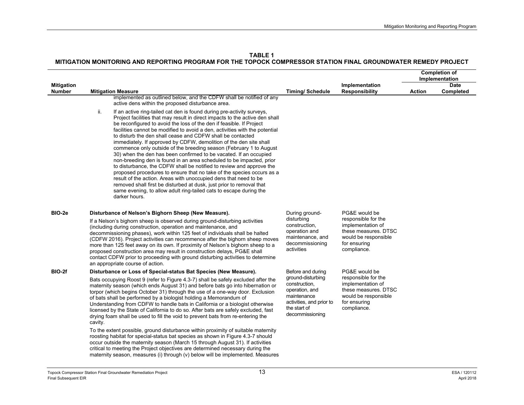**TABLE 1**

|                                    |                                                                                                                                                                                                                                                                                                                                                                                                                                                                                                                                                                                                                                                                                                                                                                                                                                                                                                                                                                                                                                                                 |                                                                                                                                    |                                                                                                                         |               | <b>Completion of</b><br>Implementation |
|------------------------------------|-----------------------------------------------------------------------------------------------------------------------------------------------------------------------------------------------------------------------------------------------------------------------------------------------------------------------------------------------------------------------------------------------------------------------------------------------------------------------------------------------------------------------------------------------------------------------------------------------------------------------------------------------------------------------------------------------------------------------------------------------------------------------------------------------------------------------------------------------------------------------------------------------------------------------------------------------------------------------------------------------------------------------------------------------------------------|------------------------------------------------------------------------------------------------------------------------------------|-------------------------------------------------------------------------------------------------------------------------|---------------|----------------------------------------|
| <b>Mitigation</b><br><b>Number</b> | <b>Mitigation Measure</b>                                                                                                                                                                                                                                                                                                                                                                                                                                                                                                                                                                                                                                                                                                                                                                                                                                                                                                                                                                                                                                       | <b>Timing/ Schedule</b>                                                                                                            | Implementation<br><b>Responsibility</b>                                                                                 | <b>Action</b> | <b>Date</b><br>Completed               |
|                                    | implemented as outlined below, and the CDFW shall be notified of any<br>active dens within the proposed disturbance area.                                                                                                                                                                                                                                                                                                                                                                                                                                                                                                                                                                                                                                                                                                                                                                                                                                                                                                                                       |                                                                                                                                    |                                                                                                                         |               |                                        |
|                                    | ii.<br>If an active ring-tailed cat den is found during pre-activity surveys,<br>Project facilities that may result in direct impacts to the active den shall<br>be reconfigured to avoid the loss of the den if feasible. If Project<br>facilities cannot be modified to avoid a den, activities with the potential<br>to disturb the den shall cease and CDFW shall be contacted<br>immediately. If approved by CDFW, demolition of the den site shall<br>commence only outside of the breeding season (February 1 to August<br>30) when the den has been confirmed to be vacated. If an occupied<br>non-breeding den is found in an area scheduled to be impacted, prior<br>to disturbance, the CDFW shall be notified to review and approve the<br>proposed procedures to ensure that no take of the species occurs as a<br>result of the action. Areas with unoccupied dens that need to be<br>removed shall first be disturbed at dusk, just prior to removal that<br>same evening, to allow adult ring-tailed cats to escape during the<br>darker hours. |                                                                                                                                    |                                                                                                                         |               |                                        |
| BIO-2e                             | Disturbance of Nelson's Bighorn Sheep (New Measure).                                                                                                                                                                                                                                                                                                                                                                                                                                                                                                                                                                                                                                                                                                                                                                                                                                                                                                                                                                                                            | During ground-<br>disturbing                                                                                                       | PG&E would be                                                                                                           |               |                                        |
|                                    | If a Nelson's bighorn sheep is observed during ground-disturbing activities<br>(including during construction, operation and maintenance, and<br>decommissioning phases), work within 125 feet of individuals shall be halted<br>(CDFW 2016). Project activities can recommence after the bighorn sheep moves<br>more than 125 feet away on its own. If proximity of Nelson's bighorn sheep to a<br>proposed construction area may result in construction delays, PG&E shall<br>contact CDFW prior to proceeding with ground disturbing activities to determine<br>an appropriate course of action.                                                                                                                                                                                                                                                                                                                                                                                                                                                             |                                                                                                                                    | responsible for the<br>implementation of<br>these measures. DTSC<br>would be responsible<br>for ensuring<br>compliance. |               |                                        |
| BIO-2f                             | Disturbance or Loss of Special-status Bat Species (New Measure).                                                                                                                                                                                                                                                                                                                                                                                                                                                                                                                                                                                                                                                                                                                                                                                                                                                                                                                                                                                                | Before and during                                                                                                                  | PG&E would be                                                                                                           |               |                                        |
|                                    | Bats occupying Roost 9 (refer to Figure 4.3-7) shall be safely excluded after the<br>maternity season (which ends August 31) and before bats go into hibernation or<br>torpor (which begins October 31) through the use of a one-way door. Exclusion<br>of bats shall be performed by a biologist holding a Memorandum of<br>Understanding from CDFW to handle bats in California or a biologist otherwise<br>licensed by the State of California to do so. After bats are safely excluded, fast<br>drying foam shall be used to fill the void to prevent bats from re-entering the<br>cavity.                                                                                                                                                                                                                                                                                                                                                                                                                                                                  | ground-disturbing<br>construction,<br>operation, and<br>maintenance<br>activities, and prior to<br>the start of<br>decommissioning | responsible for the<br>implementation of<br>these measures. DTSC<br>would be responsible<br>for ensuring<br>compliance. |               |                                        |
|                                    | To the extent possible, ground disturbance within proximity of suitable maternity<br>roosting habitat for special-status bat species as shown in Figure 4.3-7 should<br>occur outside the maternity season (March 15 through August 31). If activities<br>critical to meeting the Project objectives are determined necessary during the<br>maternity season, measures (i) through (v) below will be implemented. Measures                                                                                                                                                                                                                                                                                                                                                                                                                                                                                                                                                                                                                                      |                                                                                                                                    |                                                                                                                         |               |                                        |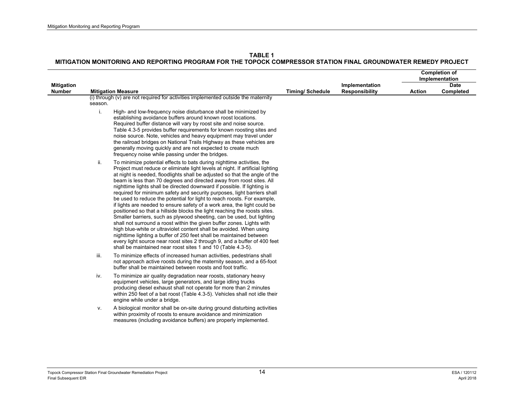|                                    |         |                                                                                                                                                                                                                                                                                                                                                                                                                                                                                                                                                                                                                                                                                                                                                                                                                                                                                                                                                                                                                                                                                                                                                       |                        |                                         |               | <b>Completion of</b><br>Implementation |
|------------------------------------|---------|-------------------------------------------------------------------------------------------------------------------------------------------------------------------------------------------------------------------------------------------------------------------------------------------------------------------------------------------------------------------------------------------------------------------------------------------------------------------------------------------------------------------------------------------------------------------------------------------------------------------------------------------------------------------------------------------------------------------------------------------------------------------------------------------------------------------------------------------------------------------------------------------------------------------------------------------------------------------------------------------------------------------------------------------------------------------------------------------------------------------------------------------------------|------------------------|-----------------------------------------|---------------|----------------------------------------|
| <b>Mitigation</b><br><b>Number</b> |         | <b>Mitigation Measure</b>                                                                                                                                                                                                                                                                                                                                                                                                                                                                                                                                                                                                                                                                                                                                                                                                                                                                                                                                                                                                                                                                                                                             | <b>Timing/Schedule</b> | Implementation<br><b>Responsibility</b> | <b>Action</b> | <b>Date</b><br>Completed               |
|                                    | season. | (i) through (v) are not required for activities implemented outside the maternity                                                                                                                                                                                                                                                                                                                                                                                                                                                                                                                                                                                                                                                                                                                                                                                                                                                                                                                                                                                                                                                                     |                        |                                         |               |                                        |
|                                    | i.      | High- and low-frequency noise disturbance shall be minimized by<br>establishing avoidance buffers around known roost locations.<br>Required buffer distance will vary by roost site and noise source.<br>Table 4.3-5 provides buffer requirements for known roosting sites and<br>noise source. Note, vehicles and heavy equipment may travel under<br>the railroad bridges on National Trails Highway as these vehicles are<br>generally moving quickly and are not expected to create much<br>frequency noise while passing under the bridges.                                                                                                                                                                                                                                                                                                                                                                                                                                                                                                                                                                                                      |                        |                                         |               |                                        |
|                                    | ii.     | To minimize potential effects to bats during nighttime activities, the<br>Project must reduce or eliminate light levels at night. If artificial lighting<br>at night is needed, floodlights shall be adjusted so that the angle of the<br>beam is less than 70 degrees and directed away from roost sites. All<br>nighttime lights shall be directed downward if possible. If lighting is<br>required for minimum safety and security purposes, light barriers shall<br>be used to reduce the potential for light to reach roosts. For example,<br>if lights are needed to ensure safety of a work area, the light could be<br>positioned so that a hillside blocks the light reaching the roosts sites.<br>Smaller barriers, such as plywood sheeting, can be used, but lighting<br>shall not surround a roost within the given buffer zones. Lights with<br>high blue-white or ultraviolet content shall be avoided. When using<br>nighttime lighting a buffer of 250 feet shall be maintained between<br>every light source near roost sites 2 through 9, and a buffer of 400 feet<br>shall be maintained near roost sites 1 and 10 (Table 4.3-5). |                        |                                         |               |                                        |
|                                    | iii.    | To minimize effects of increased human activities, pedestrians shall<br>not approach active roosts during the maternity season, and a 65-foot<br>buffer shall be maintained between roosts and foot traffic.                                                                                                                                                                                                                                                                                                                                                                                                                                                                                                                                                                                                                                                                                                                                                                                                                                                                                                                                          |                        |                                         |               |                                        |
|                                    | iv.     | To minimize air quality degradation near roosts, stationary heavy<br>equipment vehicles, large generators, and large idling trucks<br>producing diesel exhaust shall not operate for more than 2 minutes<br>within 250 feet of a bat roost (Table 4.3-5). Vehicles shall not idle their<br>engine while under a bridge.                                                                                                                                                                                                                                                                                                                                                                                                                                                                                                                                                                                                                                                                                                                                                                                                                               |                        |                                         |               |                                        |
|                                    | V.      | A biological monitor shall be on-site during ground disturbing activities<br>within proximity of roosts to ensure avoidance and minimization<br>measures (including avoidance buffers) are properly implemented.                                                                                                                                                                                                                                                                                                                                                                                                                                                                                                                                                                                                                                                                                                                                                                                                                                                                                                                                      |                        |                                         |               |                                        |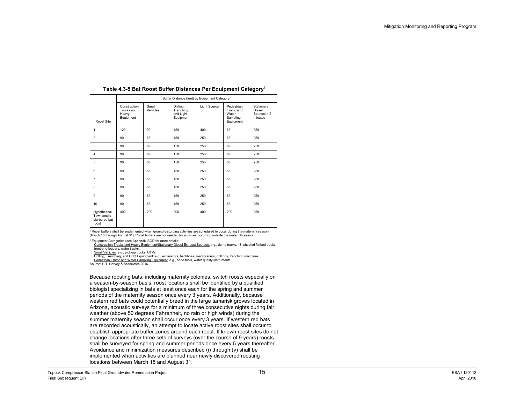|                                                      |                                                  | Buffer Distance (feet) by Equipment Category <sup>2</sup> |                                                   |              |                                                             |                                                  |  |
|------------------------------------------------------|--------------------------------------------------|-----------------------------------------------------------|---------------------------------------------------|--------------|-------------------------------------------------------------|--------------------------------------------------|--|
| Roost Site                                           | Construction<br>Trucks and<br>Heavy<br>Equipment | Small<br>Vehicles                                         | Drilling,<br>Trenching,<br>and Light<br>Equipment | Light Source | Pedestrian<br>Traffic and<br>Water<br>Sampling<br>Equipment | Stationary<br>Diesel<br>Sources $> 2$<br>minutes |  |
| 1                                                    | 120                                              | 90                                                        | 150                                               | 400          | 65                                                          | 250                                              |  |
| $\overline{c}$                                       | 90                                               | 65                                                        | 150                                               | 250          | 65                                                          | 250                                              |  |
| 3                                                    | 90                                               | 65                                                        | 150                                               | 250          | 65                                                          | 250                                              |  |
| $\overline{4}$                                       | 90                                               | 65                                                        | 150                                               | 250          | 65                                                          | 250                                              |  |
| 5                                                    | 90                                               | 65                                                        | 150                                               | 250          | 65                                                          | 250                                              |  |
| 6                                                    | 90                                               | 65                                                        | 150                                               | 250          | 65                                                          | 250                                              |  |
| 7                                                    | 90                                               | 65                                                        | 150                                               | 250          | 65                                                          | 250                                              |  |
| 8                                                    | 90                                               | 65                                                        | 150                                               | 250          | 65                                                          | 250                                              |  |
| 9                                                    | 90                                               | 65                                                        | 150                                               | 250          | 65                                                          | 250                                              |  |
| 10                                                   | 90                                               | 65                                                        | 150                                               | 250          | 65                                                          | 250                                              |  |
| Hypothetical<br>Townsend's<br>big-eared bat<br>roost | 400                                              | 200                                                       | 200                                               | 400          | 200                                                         | 250                                              |  |

#### **Table 4.3-5 Bat Roost Buffer Distances Per Equipment Category1**

1 Roost buffers shall be implemented when ground disturbing activities are scheduled to occur during the maternity season (March 15 through August 31). Roost buffers are not needed for activities occurring outside the maternity season.

2 Equipment Categories (see Appendix BOD for more detail):

Construction Trucks and Heavy Equipment/Stationary Diesel Exhaust Sources: e.g., dump trucks, 18-wheeled flatbed trucks, front-end loaders, water trucks.

Small Vehicles: e.g., pick-up trucks, UTVs.

<u>Drilling, Trenching, and Light Equipment</u>: e.g., excavators, backhoes, road graders, drill rigs, trenching machines.<br>Pedestrian Traffic and Water Sampling Equip<u>ment</u>: e.g., hand tools, water quality instruments.

Source: H.T. Harvey & Associates 2016

Because roosting bats, including maternity colonies, switch roosts especially on a season-by-season basis, roost locations shall be identified by a qualified biologist specializing in bats at least once each for the spring and summer periods of the maternity season once every 3 years. Additionally, because western red bats could potentially breed in the large tamarisk groves located in Arizona, acoustic surveys for a minimum of three consecutive nights during fair weather (above 50 degrees Fahrenheit, no rain or high winds) during the summer maternity season shall occur once every 3 years. If western red bats are recorded acoustically, an attempt to locate active roost sites shall occur to establish appropriate buffer zones around each roost. If known roost sites do not change locations after three sets of surveys (over the course of 9 years) roosts shall be surveyed for spring and summer periods once every 5 years thereafter. Avoidance and minimization measures described (i) through (v) shall be implemented when activities are planned near newly discovered roosting locations between March 15 and August 31.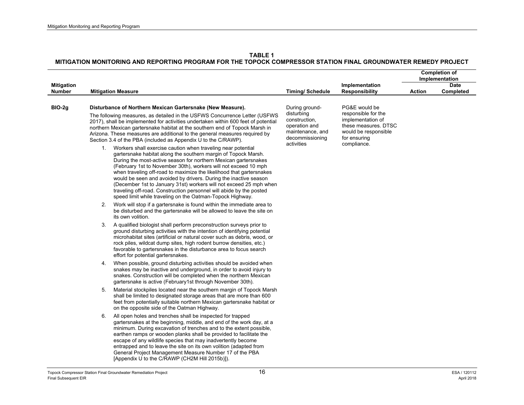|                             |                                                                                                                                                                                                                                                                                                                                                                                                                                                                                                                                                                                                                                  |                                                                                                                                                                                                                                                                                                                                                                                                                                                                                                                                  |                                                                                                       |                                                                                                                           |        | <b>Completion of</b><br>Implementation |
|-----------------------------|----------------------------------------------------------------------------------------------------------------------------------------------------------------------------------------------------------------------------------------------------------------------------------------------------------------------------------------------------------------------------------------------------------------------------------------------------------------------------------------------------------------------------------------------------------------------------------------------------------------------------------|----------------------------------------------------------------------------------------------------------------------------------------------------------------------------------------------------------------------------------------------------------------------------------------------------------------------------------------------------------------------------------------------------------------------------------------------------------------------------------------------------------------------------------|-------------------------------------------------------------------------------------------------------|---------------------------------------------------------------------------------------------------------------------------|--------|----------------------------------------|
| <b>Mitigation</b><br>Number |                                                                                                                                                                                                                                                                                                                                                                                                                                                                                                                                                                                                                                  | <b>Mitigation Measure</b>                                                                                                                                                                                                                                                                                                                                                                                                                                                                                                        | <b>Timing/ Schedule</b>                                                                               | Implementation<br><b>Responsibility</b>                                                                                   | Action | <b>Date</b><br>Completed               |
| $BIO-2g$                    |                                                                                                                                                                                                                                                                                                                                                                                                                                                                                                                                                                                                                                  | Disturbance of Northern Mexican Gartersnake (New Measure).<br>The following measures, as detailed in the USFWS Concurrence Letter (USFWS<br>2017), shall be implemented for activities undertaken within 600 feet of potential<br>northern Mexican gartersnake habitat at the southern end of Topock Marsh in<br>Arizona. These measures are additional to the general measures required by<br>Section 3.4 of the PBA (included as Appendix U to the C/RAWP).                                                                    | During ground-<br>disturbing<br>construction,<br>operation and<br>maintenance, and<br>decommissioning | PG&E would be<br>responsible for the<br>implementation of<br>these measures. DTSC<br>would be responsible<br>for ensuring |        |                                        |
|                             | Workers shall exercise caution when traveling near potential<br>1.<br>gartersnake habitat along the southern margin of Topock Marsh.<br>During the most-active season for northern Mexican gartersnakes<br>(February 1st to November 30th), workers will not exceed 10 mph<br>when traveling off-road to maximize the likelihood that gartersnakes<br>would be seen and avoided by drivers. During the inactive season<br>(December 1st to January 31st) workers will not exceed 25 mph when<br>traveling off-road. Construction personnel will abide by the posted<br>speed limit while traveling on the Oatman-Topock Highway. | activities                                                                                                                                                                                                                                                                                                                                                                                                                                                                                                                       | compliance.                                                                                           |                                                                                                                           |        |                                        |
|                             | 2.                                                                                                                                                                                                                                                                                                                                                                                                                                                                                                                                                                                                                               | Work will stop if a gartersnake is found within the immediate area to<br>be disturbed and the gartersnake will be allowed to leave the site on<br>its own volition.                                                                                                                                                                                                                                                                                                                                                              |                                                                                                       |                                                                                                                           |        |                                        |
|                             | 3.                                                                                                                                                                                                                                                                                                                                                                                                                                                                                                                                                                                                                               | A qualified biologist shall perform preconstruction surveys prior to<br>ground disturbing activities with the intention of identifying potential<br>microhabitat sites (artificial or natural cover such as debris, wood, or<br>rock piles, wildcat dump sites, high rodent burrow densities, etc.)<br>favorable to gartersnakes in the disturbance area to focus search<br>effort for potential gartersnakes.                                                                                                                   |                                                                                                       |                                                                                                                           |        |                                        |
|                             | 4.                                                                                                                                                                                                                                                                                                                                                                                                                                                                                                                                                                                                                               | When possible, ground disturbing activities should be avoided when<br>snakes may be inactive and underground, in order to avoid injury to<br>snakes. Construction will be completed when the northern Mexican<br>gartersnake is active (February1st through November 30th).                                                                                                                                                                                                                                                      |                                                                                                       |                                                                                                                           |        |                                        |
|                             | 5.                                                                                                                                                                                                                                                                                                                                                                                                                                                                                                                                                                                                                               | Material stockpiles located near the southern margin of Topock Marsh<br>shall be limited to designated storage areas that are more than 600<br>feet from potentially suitable northern Mexican gartersnake habitat or<br>on the opposite side of the Oatman Highway.                                                                                                                                                                                                                                                             |                                                                                                       |                                                                                                                           |        |                                        |
|                             | 6.                                                                                                                                                                                                                                                                                                                                                                                                                                                                                                                                                                                                                               | All open holes and trenches shall be inspected for trapped<br>gartersnakes at the beginning, middle, and end of the work day, at a<br>minimum. During excavation of trenches and to the extent possible.<br>earthen ramps or wooden planks shall be provided to facilitate the<br>escape of any wildlife species that may inadvertently become<br>entrapped and to leave the site on its own volition (adapted from<br>General Project Management Measure Number 17 of the PBA<br>[Appendix U to the C/RAWP (CH2M Hill 2015b)]). |                                                                                                       |                                                                                                                           |        |                                        |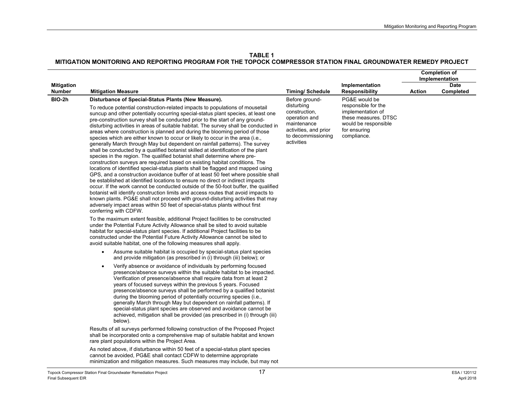|                                    |                                                                                                                                                                                                                                                                                                                                                                                                                                                                                                                                                                                                                                                                                                                                                                                                                                                                                                                                                                                                                                                                                                                                                                                                                                                                                                                                                                                                                                                                             |                                                                                                                          |                                                                                                                         |               | <b>Completion of</b><br>Implementation |
|------------------------------------|-----------------------------------------------------------------------------------------------------------------------------------------------------------------------------------------------------------------------------------------------------------------------------------------------------------------------------------------------------------------------------------------------------------------------------------------------------------------------------------------------------------------------------------------------------------------------------------------------------------------------------------------------------------------------------------------------------------------------------------------------------------------------------------------------------------------------------------------------------------------------------------------------------------------------------------------------------------------------------------------------------------------------------------------------------------------------------------------------------------------------------------------------------------------------------------------------------------------------------------------------------------------------------------------------------------------------------------------------------------------------------------------------------------------------------------------------------------------------------|--------------------------------------------------------------------------------------------------------------------------|-------------------------------------------------------------------------------------------------------------------------|---------------|----------------------------------------|
| <b>Mitigation</b><br><b>Number</b> | <b>Mitigation Measure</b>                                                                                                                                                                                                                                                                                                                                                                                                                                                                                                                                                                                                                                                                                                                                                                                                                                                                                                                                                                                                                                                                                                                                                                                                                                                                                                                                                                                                                                                   | <b>Timing/Schedule</b>                                                                                                   | Implementation<br><b>Responsibility</b>                                                                                 | <b>Action</b> | <b>Date</b><br>Completed               |
| BIO-2h                             | Disturbance of Special-Status Plants (New Measure).                                                                                                                                                                                                                                                                                                                                                                                                                                                                                                                                                                                                                                                                                                                                                                                                                                                                                                                                                                                                                                                                                                                                                                                                                                                                                                                                                                                                                         | Before ground-                                                                                                           | PG&E would be                                                                                                           |               |                                        |
|                                    | To reduce potential construction-related impacts to populations of mousetail<br>suncup and other potentially occurring special-status plant species, at least one<br>pre-construction survey shall be conducted prior to the start of any ground-<br>disturbing activities in areas of suitable habitat. The survey shall be conducted in<br>areas where construction is planned and during the blooming period of those<br>species which are either known to occur or likely to occur in the area (i.e.,<br>generally March through May but dependent on rainfall patterns). The survey<br>shall be conducted by a qualified botanist skilled at identification of the plant<br>species in the region. The qualified botanist shall determine where pre-<br>construction surveys are required based on existing habitat conditions. The<br>locations of identified special-status plants shall be flagged and mapped using<br>GPS, and a construction avoidance buffer of at least 50 feet where possible shall<br>be established at identified locations to ensure no direct or indirect impacts<br>occur. If the work cannot be conducted outside of the 50-foot buffer, the qualified<br>botanist will identify construction limits and access routes that avoid impacts to<br>known plants. PG&E shall not proceed with ground-disturbing activities that may<br>adversely impact areas within 50 feet of special-status plants without first<br>conferring with CDFW. | disturbing<br>construction,<br>operation and<br>maintenance<br>activities, and prior<br>to decommissioning<br>activities | responsible for the<br>implementation of<br>these measures. DTSC<br>would be responsible<br>for ensuring<br>compliance. |               |                                        |
|                                    | To the maximum extent feasible, additional Project facilities to be constructed<br>under the Potential Future Activity Allowance shall be sited to avoid suitable<br>habitat for special-status plant species. If additional Project facilities to be<br>constructed under the Potential Future Activity Allowance cannot be sited to<br>avoid suitable habitat, one of the following measures shall apply.                                                                                                                                                                                                                                                                                                                                                                                                                                                                                                                                                                                                                                                                                                                                                                                                                                                                                                                                                                                                                                                                 |                                                                                                                          |                                                                                                                         |               |                                        |
|                                    | Assume suitable habitat is occupied by special-status plant species<br>$\bullet$<br>and provide mitigation (as prescribed in (i) through (iii) below); or                                                                                                                                                                                                                                                                                                                                                                                                                                                                                                                                                                                                                                                                                                                                                                                                                                                                                                                                                                                                                                                                                                                                                                                                                                                                                                                   |                                                                                                                          |                                                                                                                         |               |                                        |
|                                    | Verify absence or avoidance of individuals by performing focused<br>$\bullet$<br>presence/absence surveys within the suitable habitat to be impacted.<br>Verification of presence/absence shall require data from at least 2<br>years of focused surveys within the previous 5 years. Focused<br>presence/absence surveys shall be performed by a qualified botanist<br>during the blooming period of potentially occurring species (i.e.,<br>generally March through May but dependent on rainfall patterns). If<br>special-status plant species are observed and avoidance cannot be<br>achieved, mitigation shall be provided (as prescribed in (i) through (iii)<br>below).                                                                                                                                                                                                                                                                                                                                                                                                                                                                                                                                                                                                                                                                                                                                                                                             |                                                                                                                          |                                                                                                                         |               |                                        |
|                                    | Results of all surveys performed following construction of the Proposed Project<br>shall be incorporated onto a comprehensive map of suitable habitat and known<br>rare plant populations within the Project Area.                                                                                                                                                                                                                                                                                                                                                                                                                                                                                                                                                                                                                                                                                                                                                                                                                                                                                                                                                                                                                                                                                                                                                                                                                                                          |                                                                                                                          |                                                                                                                         |               |                                        |
|                                    | As noted above, if disturbance within 50 feet of a special-status plant species<br>cannot be avoided, PG&E shall contact CDFW to determine appropriate<br>minimization and mitigation measures. Such measures may include, but may not                                                                                                                                                                                                                                                                                                                                                                                                                                                                                                                                                                                                                                                                                                                                                                                                                                                                                                                                                                                                                                                                                                                                                                                                                                      |                                                                                                                          |                                                                                                                         |               |                                        |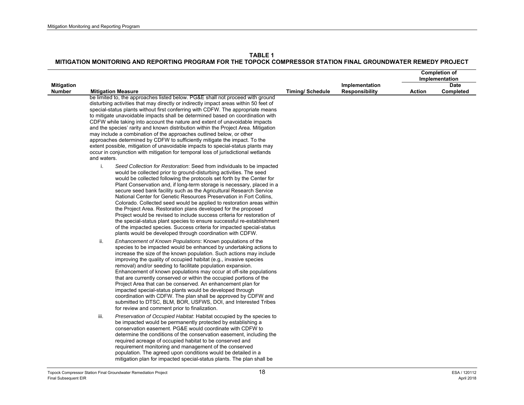|                                    |                                                                                                                                                                                                                                                                                                                                                                                                                                                                                                                                                                                                                                                                                                                                                                                                                                                                                           |                         |                                         |               | <b>Completion of</b>          |
|------------------------------------|-------------------------------------------------------------------------------------------------------------------------------------------------------------------------------------------------------------------------------------------------------------------------------------------------------------------------------------------------------------------------------------------------------------------------------------------------------------------------------------------------------------------------------------------------------------------------------------------------------------------------------------------------------------------------------------------------------------------------------------------------------------------------------------------------------------------------------------------------------------------------------------------|-------------------------|-----------------------------------------|---------------|-------------------------------|
|                                    |                                                                                                                                                                                                                                                                                                                                                                                                                                                                                                                                                                                                                                                                                                                                                                                                                                                                                           |                         |                                         |               | Implementation<br><b>Date</b> |
| <b>Mitigation</b><br><b>Number</b> | <b>Mitigation Measure</b>                                                                                                                                                                                                                                                                                                                                                                                                                                                                                                                                                                                                                                                                                                                                                                                                                                                                 | <b>Timing/ Schedule</b> | Implementation<br><b>Responsibility</b> | <b>Action</b> | Completed                     |
|                                    | be limited to, the approaches listed below. PG&E shall not proceed with ground<br>disturbing activities that may directly or indirectly impact areas within 50 feet of<br>special-status plants without first conferring with CDFW. The appropriate means<br>to mitigate unavoidable impacts shall be determined based on coordination with<br>CDFW while taking into account the nature and extent of unavoidable impacts<br>and the species' rarity and known distribution within the Project Area. Mitigation<br>may include a combination of the approaches outlined below, or other<br>approaches determined by CDFW to sufficiently mitigate the impact. To the<br>extent possible, mitigation of unavoidable impacts to special-status plants may<br>occur in conjunction with mitigation for temporal loss of jurisdictional wetlands<br>and waters.                              |                         |                                         |               |                               |
|                                    | i.<br>Seed Collection for Restoration: Seed from individuals to be impacted<br>would be collected prior to ground-disturbing activities. The seed<br>would be collected following the protocols set forth by the Center for<br>Plant Conservation and, if long-term storage is necessary, placed in a<br>secure seed bank facility such as the Agricultural Research Service<br>National Center for Genetic Resources Preservation in Fort Collins,<br>Colorado. Collected seed would be applied to restoration areas within<br>the Project Area. Restoration plans developed for the proposed<br>Project would be revised to include success criteria for restoration of<br>the special-status plant species to ensure successful re-establishment<br>of the impacted species. Success criteria for impacted special-status<br>plants would be developed through coordination with CDFW. |                         |                                         |               |                               |
|                                    | ii.<br>Enhancement of Known Populations: Known populations of the<br>species to be impacted would be enhanced by undertaking actions to<br>increase the size of the known population. Such actions may include<br>improving the quality of occupied habitat (e.g., invasive species<br>removal) and/or seeding to facilitate population expansion.<br>Enhancement of known populations may occur at off-site populations<br>that are currently conserved or within the occupied portions of the<br>Project Area that can be conserved. An enhancement plan for<br>impacted special-status plants would be developed through<br>coordination with CDFW. The plan shall be approved by CDFW and<br>submitted to DTSC, BLM, BOR, USFWS, DOI, and Interested Tribes<br>for review and comment prior to finalization.                                                                          |                         |                                         |               |                               |
|                                    | Preservation of Occupied Habitat: Habitat occupied by the species to<br>iii.<br>be impacted would be permanently protected by establishing a<br>conservation easement. PG&E would coordinate with CDFW to<br>determine the conditions of the conservation easement, including the<br>required acreage of occupied habitat to be conserved and<br>requirement monitoring and management of the conserved<br>population. The agreed upon conditions would be detailed in a<br>mitigation plan for impacted special-status plants. The plan shall be                                                                                                                                                                                                                                                                                                                                         |                         |                                         |               |                               |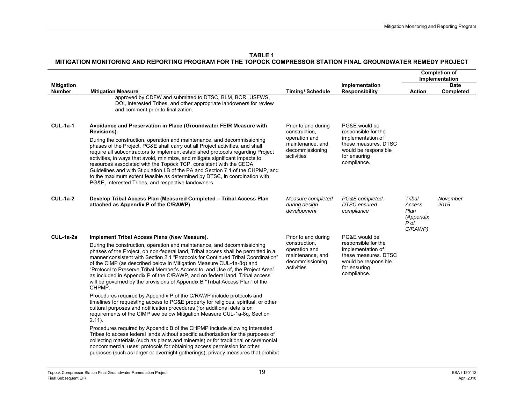|                                    |                                                                                                                                                                                                                                                                                                                                                                                                                                                                                                                                                                                                                                                                                                                                                                                                                                                                                                                                                                                                                                                                                                                                                                                                                                                                                                                                                                                                    |                                                                                                            |                                                                                                                                          |                                                          | <b>Completion of</b><br>Implementation |
|------------------------------------|----------------------------------------------------------------------------------------------------------------------------------------------------------------------------------------------------------------------------------------------------------------------------------------------------------------------------------------------------------------------------------------------------------------------------------------------------------------------------------------------------------------------------------------------------------------------------------------------------------------------------------------------------------------------------------------------------------------------------------------------------------------------------------------------------------------------------------------------------------------------------------------------------------------------------------------------------------------------------------------------------------------------------------------------------------------------------------------------------------------------------------------------------------------------------------------------------------------------------------------------------------------------------------------------------------------------------------------------------------------------------------------------------|------------------------------------------------------------------------------------------------------------|------------------------------------------------------------------------------------------------------------------------------------------|----------------------------------------------------------|----------------------------------------|
| <b>Mitigation</b><br><b>Number</b> | <b>Mitigation Measure</b>                                                                                                                                                                                                                                                                                                                                                                                                                                                                                                                                                                                                                                                                                                                                                                                                                                                                                                                                                                                                                                                                                                                                                                                                                                                                                                                                                                          | <b>Timing/Schedule</b>                                                                                     | Implementation<br><b>Responsibility</b>                                                                                                  | <b>Action</b>                                            | <b>Date</b><br>Completed               |
|                                    | approved by CDFW and submitted to DTSC, BLM, BOR, USFWS,<br>DOI, Interested Tribes, and other appropriate landowners for review<br>and comment prior to finalization.                                                                                                                                                                                                                                                                                                                                                                                                                                                                                                                                                                                                                                                                                                                                                                                                                                                                                                                                                                                                                                                                                                                                                                                                                              |                                                                                                            |                                                                                                                                          |                                                          |                                        |
| $CUL-1a-1$                         | Avoidance and Preservation in Place (Groundwater FEIR Measure with<br>Revisions).<br>During the construction, operation and maintenance, and decommissioning<br>phases of the Project, PG&E shall carry out all Project activities, and shall<br>require all subcontractors to implement established protocols regarding Project<br>activities, in ways that avoid, minimize, and mitigate significant impacts to<br>resources associated with the Topock TCP, consistent with the CEQA<br>Guidelines and with Stipulation I.B of the PA and Section 7.1 of the CHPMP, and<br>to the maximum extent feasible as determined by DTSC, in coordination with<br>PG&E, Interested Tribes, and respective landowners.                                                                                                                                                                                                                                                                                                                                                                                                                                                                                                                                                                                                                                                                                    | Prior to and during<br>construction,<br>operation and<br>maintenance, and<br>decommissioning<br>activities | PG&E would be<br>responsible for the<br>implementation of<br>these measures. DTSC<br>would be responsible<br>for ensuring<br>compliance. |                                                          |                                        |
| $CUL-1a-2$                         | Develop Tribal Access Plan (Measured Completed - Tribal Access Plan<br>attached as Appendix P of the C/RAWP)                                                                                                                                                                                                                                                                                                                                                                                                                                                                                                                                                                                                                                                                                                                                                                                                                                                                                                                                                                                                                                                                                                                                                                                                                                                                                       | Measure completed<br>during design<br>development                                                          | PG&E completed,<br><b>DTSC</b> ensured<br>compliance                                                                                     | Tribal<br>Access<br>Plan<br>(Appendix<br>P of<br>C/RAWP) | November<br>2015                       |
| CUL-1a-2a                          | Implement Tribal Access Plans (New Measure).<br>During the construction, operation and maintenance, and decommissioning<br>phases of the Project, on non-federal land, Tribal access shall be permitted in a<br>manner consistent with Section 2.1 "Protocols for Continued Tribal Coordination"<br>of the CIMP (as described below in Mitigation Measure CUL-1a-8q) and<br>"Protocol to Preserve Tribal Member's Access to, and Use of, the Project Area"<br>as included in Appendix P of the C/RAWP, and on federal land, Tribal access<br>will be governed by the provisions of Appendix B "Tribal Access Plan" of the<br>CHPMP.<br>Procedures required by Appendix P of the C/RAWP include protocols and<br>timelines for requesting access to PG&E property for religious, spiritual, or other<br>cultural purposes and notification procedures (for additional details on<br>requirements of the CIMP see below Mitigation Measure CUL-1a-8q, Section<br>$2.11$ ).<br>Procedures required by Appendix B of the CHPMP include allowing Interested<br>Tribes to access federal lands without specific authorization for the purposes of<br>collecting materials (such as plants and minerals) or for traditional or ceremonial<br>noncommercial uses; protocols for obtaining access permission for other<br>purposes (such as larger or overnight gatherings); privacy measures that prohibit | Prior to and during<br>construction,<br>operation and<br>maintenance, and<br>decommissioning<br>activities | PG&E would be<br>responsible for the<br>implementation of<br>these measures. DTSC<br>would be responsible<br>for ensuring<br>compliance. |                                                          |                                        |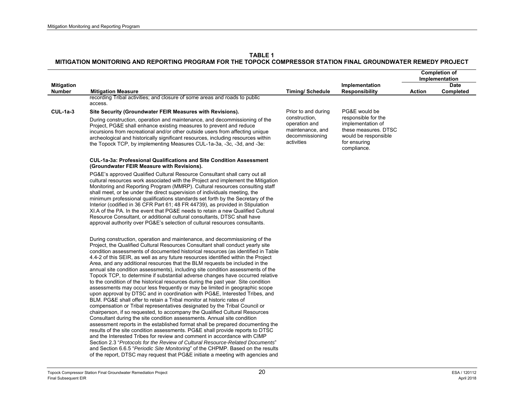|                                    |                                                                                                                                                                                                                                                                                                                                                                                                                                                                                                                                                                                                                                                                                                                                                                                                                                                                                                                                                                                                                                                                                                                                                                                                                                                                                                                                                                                                                                                                                                                                                                                                                                                                    |                                                                                     |                                                                                                                         | <b>Completion of</b><br>Implementation |                          |
|------------------------------------|--------------------------------------------------------------------------------------------------------------------------------------------------------------------------------------------------------------------------------------------------------------------------------------------------------------------------------------------------------------------------------------------------------------------------------------------------------------------------------------------------------------------------------------------------------------------------------------------------------------------------------------------------------------------------------------------------------------------------------------------------------------------------------------------------------------------------------------------------------------------------------------------------------------------------------------------------------------------------------------------------------------------------------------------------------------------------------------------------------------------------------------------------------------------------------------------------------------------------------------------------------------------------------------------------------------------------------------------------------------------------------------------------------------------------------------------------------------------------------------------------------------------------------------------------------------------------------------------------------------------------------------------------------------------|-------------------------------------------------------------------------------------|-------------------------------------------------------------------------------------------------------------------------|----------------------------------------|--------------------------|
| <b>Mitigation</b><br><b>Number</b> | <b>Mitigation Measure</b>                                                                                                                                                                                                                                                                                                                                                                                                                                                                                                                                                                                                                                                                                                                                                                                                                                                                                                                                                                                                                                                                                                                                                                                                                                                                                                                                                                                                                                                                                                                                                                                                                                          | <b>Timing/Schedule</b>                                                              | Implementation<br><b>Responsibility</b>                                                                                 | Action                                 | <b>Date</b><br>Completed |
|                                    | recording Tribal activities; and closure of some areas and roads to public<br>access.                                                                                                                                                                                                                                                                                                                                                                                                                                                                                                                                                                                                                                                                                                                                                                                                                                                                                                                                                                                                                                                                                                                                                                                                                                                                                                                                                                                                                                                                                                                                                                              |                                                                                     |                                                                                                                         |                                        |                          |
| $CUL-1a-3$                         | Site Security (Groundwater FEIR Measures with Revisions).                                                                                                                                                                                                                                                                                                                                                                                                                                                                                                                                                                                                                                                                                                                                                                                                                                                                                                                                                                                                                                                                                                                                                                                                                                                                                                                                                                                                                                                                                                                                                                                                          | Prior to and during                                                                 | PG&E would be                                                                                                           |                                        |                          |
|                                    | During construction, operation and maintenance, and decommissioning of the<br>Project, PG&E shall enhance existing measures to prevent and reduce<br>incursions from recreational and/or other outside users from affecting unique<br>archeological and historically significant resources, including resources within<br>the Topock TCP, by implementing Measures CUL-1a-3a, -3c, -3d, and -3e:                                                                                                                                                                                                                                                                                                                                                                                                                                                                                                                                                                                                                                                                                                                                                                                                                                                                                                                                                                                                                                                                                                                                                                                                                                                                   | construction,<br>operation and<br>maintenance, and<br>decommissioning<br>activities | responsible for the<br>implementation of<br>these measures. DTSC<br>would be responsible<br>for ensuring<br>compliance. |                                        |                          |
|                                    | CUL-1a-3a: Professional Qualifications and Site Condition Assessment<br>(Groundwater FEIR Measure with Revisions).                                                                                                                                                                                                                                                                                                                                                                                                                                                                                                                                                                                                                                                                                                                                                                                                                                                                                                                                                                                                                                                                                                                                                                                                                                                                                                                                                                                                                                                                                                                                                 |                                                                                     |                                                                                                                         |                                        |                          |
|                                    | PG&E's approved Qualified Cultural Resource Consultant shall carry out all<br>cultural resources work associated with the Project and implement the Mitigation<br>Monitoring and Reporting Program (MMRP). Cultural resources consulting staff<br>shall meet, or be under the direct supervision of individuals meeting, the<br>minimum professional qualifications standards set forth by the Secretary of the<br>Interior (codified in 36 CFR Part 61; 48 FR 44739), as provided in Stipulation<br>XI.A of the PA. In the event that PG&E needs to retain a new Qualified Cultural<br>Resource Consultant, or additional cultural consultants, DTSC shall have<br>approval authority over PG&E's selection of cultural resources consultants.                                                                                                                                                                                                                                                                                                                                                                                                                                                                                                                                                                                                                                                                                                                                                                                                                                                                                                                    |                                                                                     |                                                                                                                         |                                        |                          |
|                                    | During construction, operation and maintenance, and decommissioning of the<br>Project, the Qualified Cultural Resources Consultant shall conduct yearly site<br>condition assessments of documented historical resources (as identified in Table<br>4.4-2 of this SEIR, as well as any future resources identified within the Project<br>Area, and any additional resources that the BLM requests be included in the<br>annual site condition assessments), including site condition assessments of the<br>Topock TCP, to determine if substantial adverse changes have occurred relative<br>to the condition of the historical resources during the past year. Site condition<br>assessments may occur less frequently or may be limited in geographic scope<br>upon approval by DTSC and in coordination with PG&E, Interested Tribes, and<br>BLM. PG&E shall offer to retain a Tribal monitor at historic rates of<br>compensation or Tribal representatives designated by the Tribal Council or<br>chairperson, if so requested, to accompany the Qualified Cultural Resources<br>Consultant during the site condition assessments. Annual site condition<br>assessment reports in the established format shall be prepared documenting the<br>results of the site condition assessments. PG&E shall provide reports to DTSC<br>and the Interested Tribes for review and comment in accordance with CIMP<br>Section 2.3 "Protocols for the Review of Cultural Resource-Related Documents"<br>and Section 6.6.5 "Periodic Site Monitoring" of the CHPMP. Based on the results<br>of the report, DTSC may request that PG&E initiate a meeting with agencies and |                                                                                     |                                                                                                                         |                                        |                          |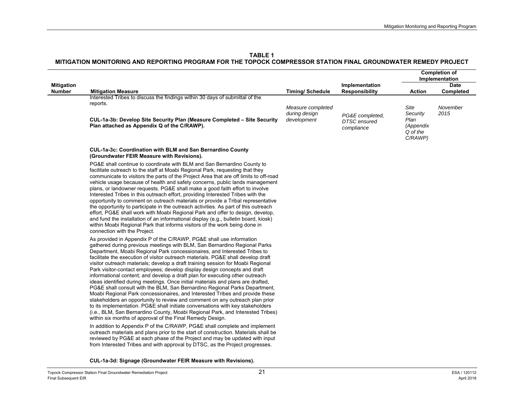|                                                                                                                                                                                                                                                                                                                                                                                                                                                                                                                                                                                                                                                                                                                                                                                                                                                                                                                                                                                                                                                                                                                                                                                                                                                                                                                                                                                         |                                                                              |                                                      |                                                              | <b>Completion of</b><br>Implementation |
|-----------------------------------------------------------------------------------------------------------------------------------------------------------------------------------------------------------------------------------------------------------------------------------------------------------------------------------------------------------------------------------------------------------------------------------------------------------------------------------------------------------------------------------------------------------------------------------------------------------------------------------------------------------------------------------------------------------------------------------------------------------------------------------------------------------------------------------------------------------------------------------------------------------------------------------------------------------------------------------------------------------------------------------------------------------------------------------------------------------------------------------------------------------------------------------------------------------------------------------------------------------------------------------------------------------------------------------------------------------------------------------------|------------------------------------------------------------------------------|------------------------------------------------------|--------------------------------------------------------------|----------------------------------------|
| <b>Mitigation Measure</b>                                                                                                                                                                                                                                                                                                                                                                                                                                                                                                                                                                                                                                                                                                                                                                                                                                                                                                                                                                                                                                                                                                                                                                                                                                                                                                                                                               | <b>Timing/Schedule</b>                                                       | Implementation<br><b>Responsibility</b>              | <b>Action</b>                                                | <b>Date</b><br><b>Completed</b>        |
| Interested Tribes to discuss the findings within 30 days of submittal of the<br>reports.<br>CUL-1a-3b: Develop Site Security Plan (Measure Completed - Site Security<br>Plan attached as Appendix Q of the C/RAWP).                                                                                                                                                                                                                                                                                                                                                                                                                                                                                                                                                                                                                                                                                                                                                                                                                                                                                                                                                                                                                                                                                                                                                                     | Measure completed<br>during design<br>development                            | PG&E completed,<br><b>DTSC</b> ensured<br>compliance | Site<br>Security<br>Plan<br>(Appendix<br>Q of the<br>C/RAWP) | November<br>2015                       |
| CUL-1a-3c: Coordination with BLM and San Bernardino County<br>(Groundwater FEIR Measure with Revisions).                                                                                                                                                                                                                                                                                                                                                                                                                                                                                                                                                                                                                                                                                                                                                                                                                                                                                                                                                                                                                                                                                                                                                                                                                                                                                |                                                                              |                                                      |                                                              |                                        |
| PG&E shall continue to coordinate with BLM and San Bernardino County to<br>facilitate outreach to the staff at Moabi Regional Park, requesting that they<br>communicate to visitors the parts of the Project Area that are off limits to off-road<br>vehicle usage because of health and safety concerns, public lands management<br>plans, or landowner requests. PG&E shall make a good faith effort to involve<br>Interested Tribes in this outreach effort, providing Interested Tribes with the<br>opportunity to comment on outreach materials or provide a Tribal representative<br>the opportunity to participate in the outreach activities. As part of this outreach<br>effort, PG&E shall work with Moabi Regional Park and offer to design, develop,<br>and fund the installation of an informational display (e.g., bulletin board, kiosk)<br>within Moabi Regional Park that informs visitors of the work being done in<br>connection with the Project.                                                                                                                                                                                                                                                                                                                                                                                                                   |                                                                              |                                                      |                                                              |                                        |
| As provided in Appendix P of the C/RAWP, PG&E shall use information<br>gathered during previous meetings with BLM, San Bernardino Regional Parks<br>Department, Moabi Regional Park concessionaires, and Interested Tribes to<br>facilitate the execution of visitor outreach materials. PG&E shall develop draft<br>visitor outreach materials; develop a draft training session for Moabi Regional<br>Park visitor-contact employees; develop display design concepts and draft<br>informational content; and develop a draft plan for executing other outreach<br>ideas identified during meetings. Once initial materials and plans are drafted,<br>PG&E shall consult with the BLM, San Bernardino Regional Parks Department,<br>Moabi Regional Park concessionaires, and Interested Tribes and provide these<br>stakeholders an opportunity to review and comment on any outreach plan prior<br>to its implementation. PG&E shall initiate conversations with key stakeholders<br>(i.e., BLM, San Bernardino County, Moabi Regional Park, and Interested Tribes)<br>within six months of approval of the Final Remedy Design.<br>In addition to Appendix P of the C/RAWP, PG&E shall complete and implement<br>outreach materials and plans prior to the start of construction. Materials shall be<br>reviewed by PG&E at each phase of the Project and may be updated with input |                                                                              |                                                      |                                                              |                                        |
|                                                                                                                                                                                                                                                                                                                                                                                                                                                                                                                                                                                                                                                                                                                                                                                                                                                                                                                                                                                                                                                                                                                                                                                                                                                                                                                                                                                         | from Interested Tribes and with approval by DTSC, as the Project progresses. |                                                      |                                                              |                                        |

**CUL-1a-3d: Signage (Groundwater FEIR Measure with Revisions).**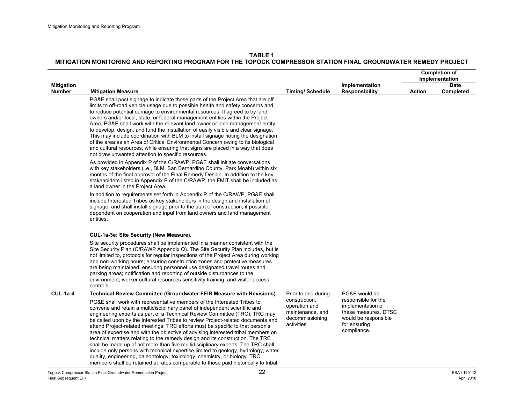|                   |                                                                                                                                                                                                                                                                                                                                                                                                                                                                                                                                                                                                                                                                                                                                                                                                                                                                                                                             |                                                                                     |                                                                                                                         |               | <b>Completion of</b> |
|-------------------|-----------------------------------------------------------------------------------------------------------------------------------------------------------------------------------------------------------------------------------------------------------------------------------------------------------------------------------------------------------------------------------------------------------------------------------------------------------------------------------------------------------------------------------------------------------------------------------------------------------------------------------------------------------------------------------------------------------------------------------------------------------------------------------------------------------------------------------------------------------------------------------------------------------------------------|-------------------------------------------------------------------------------------|-------------------------------------------------------------------------------------------------------------------------|---------------|----------------------|
|                   |                                                                                                                                                                                                                                                                                                                                                                                                                                                                                                                                                                                                                                                                                                                                                                                                                                                                                                                             |                                                                                     |                                                                                                                         |               | Implementation       |
| <b>Mitigation</b> |                                                                                                                                                                                                                                                                                                                                                                                                                                                                                                                                                                                                                                                                                                                                                                                                                                                                                                                             |                                                                                     | Implementation                                                                                                          |               | <b>Date</b>          |
| <b>Number</b>     | <b>Mitigation Measure</b><br>PG&E shall post signage to indicate those parts of the Project Area that are off<br>limits to off-road vehicle usage due to possible health and safety concerns and<br>to reduce potential damage to environmental resources. If agreed to by land<br>owners and/or local, state, or federal management entities within the Project<br>Area, PG&E shall work with the relevant land owner or land management entity<br>to develop, design, and fund the installation of easily visible and clear signage.<br>This may include coordination with BLM to install signage noting the designation<br>of the area as an Area of Critical Environmental Concern owing to its biological<br>and cultural resources, while ensuring that signs are placed in a way that does<br>not draw unwanted attention to specific resources.                                                                     | <b>Timing/Schedule</b>                                                              | <b>Responsibility</b>                                                                                                   | <b>Action</b> | Completed            |
|                   | As provided in Appendix P of the C/RAWP, PG&E shall initiate conversations<br>with key stakeholders (i.e., BLM, San Bernardino County, Park Moabi) within six<br>months of the final approval of the Final Remedy Design. In addition to the key<br>stakeholders listed in Appendix P of the C/RAWP, the FMIT shall be included as<br>a land owner in the Project Area.                                                                                                                                                                                                                                                                                                                                                                                                                                                                                                                                                     |                                                                                     |                                                                                                                         |               |                      |
|                   | In addition to requirements set forth in Appendix P of the C/RAWP, PG&E shall<br>include Interested Tribes as key stakeholders in the design and installation of<br>signage, and shall install signage prior to the start of construction, if possible,<br>dependent on cooperation and input from land owners and land management<br>entities.                                                                                                                                                                                                                                                                                                                                                                                                                                                                                                                                                                             |                                                                                     |                                                                                                                         |               |                      |
|                   | CUL-1a-3e: Site Security (New Measure).                                                                                                                                                                                                                                                                                                                                                                                                                                                                                                                                                                                                                                                                                                                                                                                                                                                                                     |                                                                                     |                                                                                                                         |               |                      |
|                   | Site security procedures shall be implemented in a manner consistent with the<br>Site Security Plan (C/RAWP Appendix Q). The Site Security Plan includes, but is<br>not limited to, protocols for regular inspections of the Project Area during working<br>and non-working hours; ensuring construction zones and protective measures<br>are being maintained; ensuring personnel use designated travel routes and<br>parking areas; notification and reporting of outside disturbances to the<br>environment; worker cultural resources sensitivity training; and visitor access<br>controls.                                                                                                                                                                                                                                                                                                                             |                                                                                     |                                                                                                                         |               |                      |
| $CUL-1a-4$        | Technical Review Committee (Groundwater FEIR Measure with Revisions).                                                                                                                                                                                                                                                                                                                                                                                                                                                                                                                                                                                                                                                                                                                                                                                                                                                       | Prior to and during                                                                 | PG&E would be                                                                                                           |               |                      |
|                   | PG&E shall work with representative members of the Interested Tribes to<br>convene and retain a multidisciplinary panel of independent scientific and<br>engineering experts as part of a Technical Review Committee (TRC). TRC may<br>be called upon by the Interested Tribes to review Project-related documents and<br>attend Project-related meetings. TRC efforts must be specific to that person's<br>area of expertise and with the objective of advising interested tribal members on<br>technical matters relating to the remedy design and its construction. The TRC<br>shall be made up of not more than five multidisciplinary experts. The TRC shall<br>include only persons with technical expertise limited to geology, hydrology, water<br>quality, engineering, paleontology, toxicology, chemistry, or biology. TRC<br>members shall be retained at rates comparable to those paid historically to tribal | construction,<br>operation and<br>maintenance, and<br>decommissioning<br>activities | responsible for the<br>implementation of<br>these measures. DTSC<br>would be responsible<br>for ensuring<br>compliance. |               |                      |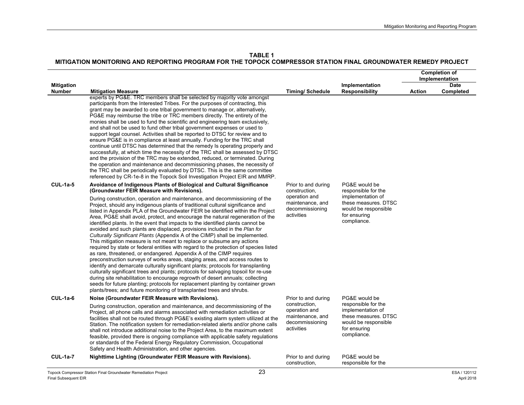**TABLE 1**

|                                    |                                                                                                                                                                                                                                                                                                                                                                                                                                                                                                                                                                                                                                                                                                                                                                                                                                                                                                                                                                                                                                                                                                                                                                                                                                                                                                                                        |                                                                                     |                                                                                                                         |               | <b>Completion of</b>     |
|------------------------------------|----------------------------------------------------------------------------------------------------------------------------------------------------------------------------------------------------------------------------------------------------------------------------------------------------------------------------------------------------------------------------------------------------------------------------------------------------------------------------------------------------------------------------------------------------------------------------------------------------------------------------------------------------------------------------------------------------------------------------------------------------------------------------------------------------------------------------------------------------------------------------------------------------------------------------------------------------------------------------------------------------------------------------------------------------------------------------------------------------------------------------------------------------------------------------------------------------------------------------------------------------------------------------------------------------------------------------------------|-------------------------------------------------------------------------------------|-------------------------------------------------------------------------------------------------------------------------|---------------|--------------------------|
|                                    |                                                                                                                                                                                                                                                                                                                                                                                                                                                                                                                                                                                                                                                                                                                                                                                                                                                                                                                                                                                                                                                                                                                                                                                                                                                                                                                                        |                                                                                     |                                                                                                                         |               | Implementation           |
| <b>Mitigation</b><br><b>Number</b> | <b>Mitigation Measure</b>                                                                                                                                                                                                                                                                                                                                                                                                                                                                                                                                                                                                                                                                                                                                                                                                                                                                                                                                                                                                                                                                                                                                                                                                                                                                                                              | <b>Timing/Schedule</b>                                                              | Implementation<br><b>Responsibility</b>                                                                                 | <b>Action</b> | <b>Date</b><br>Completed |
|                                    | experts by PG&E. TRC members shall be selected by majority vote amongst<br>participants from the Interested Tribes. For the purposes of contracting, this<br>grant may be awarded to one tribal government to manage or, alternatively,<br>PG&E may reimburse the tribe or TRC members directly. The entirety of the<br>monies shall be used to fund the scientific and engineering team exclusively.<br>and shall not be used to fund other tribal government expenses or used to<br>support legal counsel. Activities shall be reported to DTSC for review and to<br>ensure PG&E is in compliance at least annually. Funding for the TRC shall<br>continue until DTSC has determined that the remedy Is operating properly and<br>successfully, at which time the necessity of the TRC shall be assessed by DTSC<br>and the provision of the TRC may be extended, reduced, or terminated. During<br>the operation and maintenance and decommissioning phases, the necessity of<br>the TRC shall be periodically evaluated by DTSC. This is the same committee<br>referenced by CR-1e-8 in the Topock Soil Investigation Project EIR and MMRP.                                                                                                                                                                                        |                                                                                     |                                                                                                                         |               |                          |
| <b>CUL-1a-5</b>                    | Avoidance of Indigenous Plants of Biological and Cultural Significance<br>(Groundwater FEIR Measure with Revisions).                                                                                                                                                                                                                                                                                                                                                                                                                                                                                                                                                                                                                                                                                                                                                                                                                                                                                                                                                                                                                                                                                                                                                                                                                   | Prior to and during<br>construction,                                                | PG&E would be<br>responsible for the                                                                                    |               |                          |
|                                    | During construction, operation and maintenance, and decommissioning of the<br>Project, should any indigenous plants of traditional cultural significance and<br>listed in Appendix PLA of the Groundwater FEIR be identified within the Project<br>Area, PG&E shall avoid, protect, and encourage the natural regeneration of the<br>identified plants. In the event that impacts to the identified plants cannot be<br>avoided and such plants are displaced, provisions included in the Plan for<br>Culturally Significant Plants (Appendix A of the CIMP) shall be implemented.<br>This mitigation measure is not meant to replace or subsume any actions<br>required by state or federal entities with regard to the protection of species listed<br>as rare, threatened, or endangered. Appendix A of the CIMP requires<br>preconstruction surveys of works areas, staging areas, and access routes to<br>identify and demarcate culturally significant plants; protocols for transplanting<br>culturally significant trees and plants; protocols for salvaging topsoil for re-use<br>during site rehabilitation to encourage regrowth of desert annuals; collecting<br>seeds for future planting; protocols for replacement planting by container grown<br>plants/trees; and future monitoring of transplanted trees and shrubs. | operation and<br>maintenance, and<br>decommissioning<br>activities                  | implementation of<br>these measures. DTSC<br>would be responsible<br>for ensuring<br>compliance.                        |               |                          |
| $CUL-1a-6$                         | Noise (Groundwater FEIR Measure with Revisions).                                                                                                                                                                                                                                                                                                                                                                                                                                                                                                                                                                                                                                                                                                                                                                                                                                                                                                                                                                                                                                                                                                                                                                                                                                                                                       | Prior to and during                                                                 | PG&E would be                                                                                                           |               |                          |
|                                    | During construction, operation and maintenance, and decommissioning of the<br>Project, all phone calls and alarms associated with remediation activities or<br>facilities shall not be routed through PG&E's existing alarm system utilized at the<br>Station. The notification system for remediation-related alerts and/or phone calls<br>shall not introduce additional noise to the Project Area, to the maximum extent<br>feasible, provided there is ongoing compliance with applicable safety regulations<br>or standards of the Federal Energy Regulatory Commission, Occupational<br>Safety and Health Administration, and other agencies.                                                                                                                                                                                                                                                                                                                                                                                                                                                                                                                                                                                                                                                                                    | construction,<br>operation and<br>maintenance, and<br>decommissioning<br>activities | responsible for the<br>implementation of<br>these measures. DTSC<br>would be responsible<br>for ensuring<br>compliance. |               |                          |
| $CUL-1a-7$                         | Nighttime Lighting (Groundwater FEIR Measure with Revisions).                                                                                                                                                                                                                                                                                                                                                                                                                                                                                                                                                                                                                                                                                                                                                                                                                                                                                                                                                                                                                                                                                                                                                                                                                                                                          | Prior to and during<br>construction,                                                | PG&E would be<br>responsible for the                                                                                    |               |                          |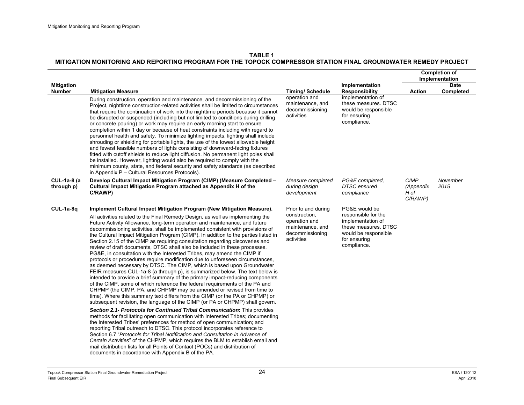|                                    |                                                                                                                                                                                                                                                                                                                                                                                                                                                                                                                                                                                                                                                                                                                                                                                                                                                                                                                                                                                                                                                                                                                                                                                                                                                                                                                                                                                                                                                                             |                                                                                                            |                                                                                                                                          |                                             | <b>Completion of</b><br>Implementation |
|------------------------------------|-----------------------------------------------------------------------------------------------------------------------------------------------------------------------------------------------------------------------------------------------------------------------------------------------------------------------------------------------------------------------------------------------------------------------------------------------------------------------------------------------------------------------------------------------------------------------------------------------------------------------------------------------------------------------------------------------------------------------------------------------------------------------------------------------------------------------------------------------------------------------------------------------------------------------------------------------------------------------------------------------------------------------------------------------------------------------------------------------------------------------------------------------------------------------------------------------------------------------------------------------------------------------------------------------------------------------------------------------------------------------------------------------------------------------------------------------------------------------------|------------------------------------------------------------------------------------------------------------|------------------------------------------------------------------------------------------------------------------------------------------|---------------------------------------------|----------------------------------------|
| <b>Mitigation</b><br><b>Number</b> | <b>Mitigation Measure</b>                                                                                                                                                                                                                                                                                                                                                                                                                                                                                                                                                                                                                                                                                                                                                                                                                                                                                                                                                                                                                                                                                                                                                                                                                                                                                                                                                                                                                                                   | <b>Timing/Schedule</b>                                                                                     | Implementation<br><b>Responsibility</b>                                                                                                  | <b>Action</b>                               | <b>Date</b><br>Completed               |
|                                    | During construction, operation and maintenance, and decommissioning of the<br>Project, nighttime construction-related activities shall be limited to circumstances<br>that require the continuation of work into the nighttime periods because it cannot<br>be disrupted or suspended (including but not limited to conditions during drilling<br>or concrete pouring) or work may require an early morning start to ensure<br>completion within 1 day or because of heat constraints including with regard to<br>personnel health and safety. To minimize lighting impacts, lighting shall include<br>shrouding or shielding for portable lights, the use of the lowest allowable height<br>and fewest feasible numbers of lights consisting of downward-facing fixtures<br>fitted with cutoff shields to reduce light diffusion. No permanent light poles shall<br>be installed. However, lighting would also be required to comply with the<br>minimum county, state, and federal security and safety standards (as described<br>in Appendix P - Cultural Resources Protocols).                                                                                                                                                                                                                                                                                                                                                                                          | operation and<br>maintenance, and<br>decommissioning<br>activities                                         | implementation of<br>these measures. DTSC<br>would be responsible<br>for ensuring<br>compliance.                                         |                                             |                                        |
| <b>CUL-1a-8 (a</b><br>through p)   | Develop Cultural Impact Mitigation Program (CIMP) (Measure Completed -<br>Cultural Impact Mitigation Program attached as Appendix H of the<br>C/RAWP)                                                                                                                                                                                                                                                                                                                                                                                                                                                                                                                                                                                                                                                                                                                                                                                                                                                                                                                                                                                                                                                                                                                                                                                                                                                                                                                       | Measure completed<br>during design<br>development                                                          | PG&E completed.<br><b>DTSC</b> ensured<br>compliance                                                                                     | <b>CIMP</b><br>(Appendix<br>H of<br>C/RAWP) | November<br>2015                       |
| $CUL-1a-8q$                        | Implement Cultural Impact Mitigation Program (New Mitigation Measure).<br>All activities related to the Final Remedy Design, as well as implementing the<br>Future Activity Allowance, long-term operation and maintenance, and future<br>decommissioning activities, shall be implemented consistent with provisions of<br>the Cultural Impact Mitigation Program (CIMP). In addition to the parties listed in<br>Section 2.15 of the CIMP as requiring consultation regarding discoveries and<br>review of draft documents, DTSC shall also be included in these processes.<br>PG&E, in consultation with the Interested Tribes, may amend the CIMP if<br>protocols or procedures require modification due to unforeseen circumstances,<br>as deemed necessary by DTSC. The CIMP, which is based upon Groundwater<br>FEIR measures CUL-1a-8 (a through p), is summarized below. The text below is<br>intended to provide a brief summary of the primary impact-reducing components<br>of the CIMP, some of which reference the federal requirements of the PA and<br>CHPMP (the CIMP, PA, and CHPMP may be amended or revised from time to<br>time). Where this summary text differs from the CIMP (or the PA or CHPMP) or<br>subsequent revision, the language of the CIMP (or PA or CHPMP) shall govern.<br>Section 2.1- Protocols for Continued Tribal Communication: This provides<br>methods for facilitating open communication with Interested Tribes; documenting | Prior to and during<br>construction,<br>operation and<br>maintenance, and<br>decommissioning<br>activities | PG&E would be<br>responsible for the<br>implementation of<br>these measures. DTSC<br>would be responsible<br>for ensuring<br>compliance. |                                             |                                        |
|                                    | the Interested Tribes' preferences for method of open communication; and<br>reporting Tribal outreach to DTSC. This protocol incorporates reference to<br>Section 6.7 "Protocols for Tribal Notification and Consultation in Advance of<br>Certain Activities" of the CHPMP, which requires the BLM to establish email and<br>mail distribution lists for all Points of Contact (POCs) and distribution of<br>documents in accordance with Appendix B of the PA.                                                                                                                                                                                                                                                                                                                                                                                                                                                                                                                                                                                                                                                                                                                                                                                                                                                                                                                                                                                                            |                                                                                                            |                                                                                                                                          |                                             |                                        |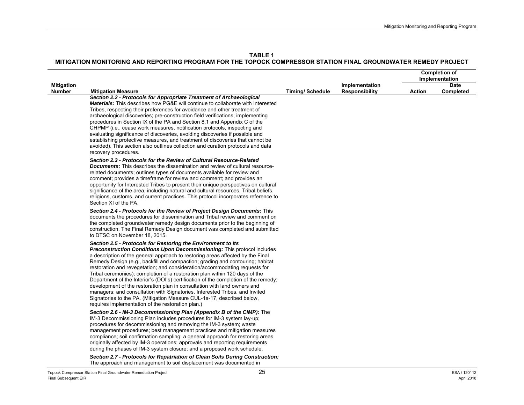|                                    |                                                                                                                                                                                                                                                                                                                                                                                                                                                                                                                                                                                                                                                                                                                                                                                                                                                                 |                        |                                         |        | <b>Completion of</b>     |
|------------------------------------|-----------------------------------------------------------------------------------------------------------------------------------------------------------------------------------------------------------------------------------------------------------------------------------------------------------------------------------------------------------------------------------------------------------------------------------------------------------------------------------------------------------------------------------------------------------------------------------------------------------------------------------------------------------------------------------------------------------------------------------------------------------------------------------------------------------------------------------------------------------------|------------------------|-----------------------------------------|--------|--------------------------|
|                                    |                                                                                                                                                                                                                                                                                                                                                                                                                                                                                                                                                                                                                                                                                                                                                                                                                                                                 |                        |                                         |        | Implementation           |
| <b>Mitigation</b><br><b>Number</b> | <b>Mitigation Measure</b>                                                                                                                                                                                                                                                                                                                                                                                                                                                                                                                                                                                                                                                                                                                                                                                                                                       | <b>Timing/Schedule</b> | Implementation<br><b>Responsibility</b> | Action | <b>Date</b><br>Completed |
|                                    | Section 2.2 - Protocols for Appropriate Treatment of Archaeological<br><b>Materials:</b> This describes how PG&E will continue to collaborate with Interested<br>Tribes, respecting their preferences for avoidance and other treatment of<br>archaeological discoveries; pre-construction field verifications; implementing<br>procedures in Section IX of the PA and Section 8.1 and Appendix C of the<br>CHPMP (i.e., cease work measures, notification protocols, inspecting and<br>evaluating significance of discoveries, avoiding discoveries if possible and<br>establishing protective measures, and treatment of discoveries that cannot be<br>avoided). This section also outlines collection and curation protocols and data<br>recovery procedures.                                                                                                |                        |                                         |        |                          |
|                                    | Section 2.3 - Protocols for the Review of Cultural Resource-Related<br><b>Documents:</b> This describes the dissemination and review of cultural resource-<br>related documents; outlines types of documents available for review and<br>comment; provides a timeframe for review and comment; and provides an<br>opportunity for Interested Tribes to present their unique perspectives on cultural<br>significance of the area, including natural and cultural resources, Tribal beliefs,<br>religions, customs, and current practices. This protocol incorporates reference to<br>Section XI of the PA.                                                                                                                                                                                                                                                      |                        |                                         |        |                          |
|                                    | Section 2.4 - Protocols for the Review of Project Design Documents: This<br>documents the procedures for dissemination and Tribal review and comment on<br>the completed groundwater remedy design documents prior to the beginning of<br>construction. The Final Remedy Design document was completed and submitted<br>to DTSC on November 18, 2015.                                                                                                                                                                                                                                                                                                                                                                                                                                                                                                           |                        |                                         |        |                          |
|                                    | Section 2.5 - Protocols for Restoring the Environment to Its<br><b>Preconstruction Conditions Upon Decommissioning:</b> This protocol includes<br>a description of the general approach to restoring areas affected by the Final<br>Remedy Design (e.g., backfill and compaction; grading and contouring; habitat<br>restoration and revegetation; and consideration/accommodating requests for<br>Tribal ceremonies); completion of a restoration plan within 120 days of the<br>Department of the Interior's (DOI's) certification of the completion of the remedy;<br>development of the restoration plan in consultation with land owners and<br>managers; and consultation with Signatories, Interested Tribes, and Invited<br>Signatories to the PA. (Mitigation Measure CUL-1a-17, described below,<br>requires implementation of the restoration plan.) |                        |                                         |        |                          |
|                                    | Section 2.6 - IM-3 Decommissioning Plan (Appendix B of the CIMP): The<br>IM-3 Decommissioning Plan includes procedures for IM-3 system lay-up;<br>procedures for decommissioning and removing the IM-3 system; waste<br>management procedures; best management practices and mitigation measures<br>compliance; soil confirmation sampling; a general approach for restoring areas<br>originally affected by IM-3 operations; approvals and reporting requirements<br>during the phases of IM-3 system closure; and a proposed work schedule.                                                                                                                                                                                                                                                                                                                   |                        |                                         |        |                          |
|                                    | Section 2.7 - Protocols for Repatriation of Clean Soils During Construction:<br>The approach and management to soil displacement was documented in                                                                                                                                                                                                                                                                                                                                                                                                                                                                                                                                                                                                                                                                                                              |                        |                                         |        |                          |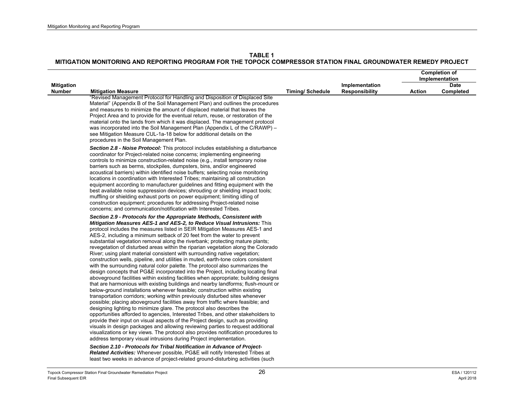|                                    |                                                                                                                                                                                                                                                                                                                                                                                                                                                                                                                                                                                                                                                                                                                                                                                                                                                                                                                                                                                                                                                                                                                                                                                                                                                                                                                                                                                                                                                                                                                                                                                                                                                                                                                                                                                                                                                                                                                                                                                                                                                                                                                                                                                                                                                                                                                                                                                                            |                        |                                         |               | <b>Completion of</b><br>Implementation |
|------------------------------------|------------------------------------------------------------------------------------------------------------------------------------------------------------------------------------------------------------------------------------------------------------------------------------------------------------------------------------------------------------------------------------------------------------------------------------------------------------------------------------------------------------------------------------------------------------------------------------------------------------------------------------------------------------------------------------------------------------------------------------------------------------------------------------------------------------------------------------------------------------------------------------------------------------------------------------------------------------------------------------------------------------------------------------------------------------------------------------------------------------------------------------------------------------------------------------------------------------------------------------------------------------------------------------------------------------------------------------------------------------------------------------------------------------------------------------------------------------------------------------------------------------------------------------------------------------------------------------------------------------------------------------------------------------------------------------------------------------------------------------------------------------------------------------------------------------------------------------------------------------------------------------------------------------------------------------------------------------------------------------------------------------------------------------------------------------------------------------------------------------------------------------------------------------------------------------------------------------------------------------------------------------------------------------------------------------------------------------------------------------------------------------------------------------|------------------------|-----------------------------------------|---------------|----------------------------------------|
| <b>Mitigation</b><br><b>Number</b> | <b>Mitigation Measure</b>                                                                                                                                                                                                                                                                                                                                                                                                                                                                                                                                                                                                                                                                                                                                                                                                                                                                                                                                                                                                                                                                                                                                                                                                                                                                                                                                                                                                                                                                                                                                                                                                                                                                                                                                                                                                                                                                                                                                                                                                                                                                                                                                                                                                                                                                                                                                                                                  | <b>Timing/Schedule</b> | Implementation<br><b>Responsibility</b> | <b>Action</b> | <b>Date</b><br>Completed               |
|                                    | "Revised Management Protocol for Handling and Disposition of Displaced Site<br>Material" (Appendix B of the Soil Management Plan) and outlines the procedures<br>and measures to minimize the amount of displaced material that leaves the<br>Project Area and to provide for the eventual return, reuse, or restoration of the<br>material onto the lands from which it was displaced. The management protocol<br>was incorporated into the Soil Management Plan (Appendix L of the C/RAWP) -<br>see Mitigation Measure CUL-1a-18 below for additional details on the<br>procedures in the Soil Management Plan.                                                                                                                                                                                                                                                                                                                                                                                                                                                                                                                                                                                                                                                                                                                                                                                                                                                                                                                                                                                                                                                                                                                                                                                                                                                                                                                                                                                                                                                                                                                                                                                                                                                                                                                                                                                          |                        |                                         |               |                                        |
|                                    | Section 2.8 - Noise Protocol: This protocol includes establishing a disturbance<br>coordinator for Project-related noise concerns; implementing engineering<br>controls to minimize construction-related noise (e.g., install temporary noise<br>barriers such as berms, stockpiles, dumpsters, bins, and/or engineered<br>acoustical barriers) within identified noise buffers; selecting noise monitoring<br>locations in coordination with Interested Tribes; maintaining all construction<br>equipment according to manufacturer guidelines and fitting equipment with the<br>best available noise suppression devices; shrouding or shielding impact tools;<br>muffling or shielding exhaust ports on power equipment; limiting idling of<br>construction equipment; procedures for addressing Project-related noise<br>concerns; and communication/notification with Interested Tribes.<br>Section 2.9 - Protocols for the Appropriate Methods, Consistent with<br><b>Mitigation Measures AES-1 and AES-2, to Reduce Visual Intrusions:</b> This<br>protocol includes the measures listed in SEIR Mitigation Measures AES-1 and<br>AES-2, including a minimum setback of 20 feet from the water to prevent<br>substantial vegetation removal along the riverbank; protecting mature plants;<br>revegetation of disturbed areas within the riparian vegetation along the Colorado<br>River; using plant material consistent with surrounding native vegetation;<br>construction wells, pipeline, and utilities in muted, earth-tone colors consistent<br>with the surrounding natural color palette. The protocol also summarizes the<br>design concepts that PG&E incorporated into the Project, including locating final<br>aboveground facilities within existing facilities when appropriate; building designs<br>that are harmonious with existing buildings and nearby landforms; flush-mount or<br>below-ground installations whenever feasible; construction within existing<br>transportation corridors; working within previously disturbed sites whenever<br>possible; placing aboveground facilities away from traffic where feasible; and<br>designing lighting to minimize glare. The protocol also describes the<br>opportunities afforded to agencies, Interested Tribes, and other stakeholders to<br>provide their input on visual aspects of the Project design, such as providing |                        |                                         |               |                                        |
|                                    | visuals in design packages and allowing reviewing parties to request additional<br>visualizations or key views. The protocol also provides notification procedures to<br>address temporary visual intrusions during Project implementation.<br>Section 2.10 - Protocols for Tribal Notification in Advance of Project-<br><b>Related Activities:</b> Whenever possible, PG&E will notify Interested Tribes at                                                                                                                                                                                                                                                                                                                                                                                                                                                                                                                                                                                                                                                                                                                                                                                                                                                                                                                                                                                                                                                                                                                                                                                                                                                                                                                                                                                                                                                                                                                                                                                                                                                                                                                                                                                                                                                                                                                                                                                              |                        |                                         |               |                                        |

least two weeks in advance of project-related ground-disturbing activities (such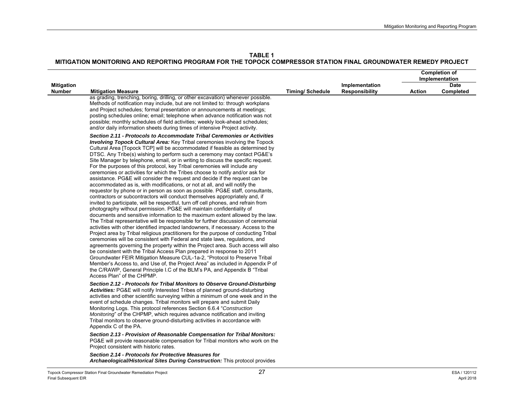**TABLE 1**

|                                    |                                                                                                                                                                                                                                                                                                                                                                                                                                                                                                                                                                                                                                                                                                                                                                                                                                                                                                                                                                                                                                                                                                                                                                                                                                                                                                                                                                                                                                                                                                                                                                                                                                                                                                                                                                                                                                                                                                                                                   |                        |                                         |               | <b>Completion of</b><br>Implementation |
|------------------------------------|---------------------------------------------------------------------------------------------------------------------------------------------------------------------------------------------------------------------------------------------------------------------------------------------------------------------------------------------------------------------------------------------------------------------------------------------------------------------------------------------------------------------------------------------------------------------------------------------------------------------------------------------------------------------------------------------------------------------------------------------------------------------------------------------------------------------------------------------------------------------------------------------------------------------------------------------------------------------------------------------------------------------------------------------------------------------------------------------------------------------------------------------------------------------------------------------------------------------------------------------------------------------------------------------------------------------------------------------------------------------------------------------------------------------------------------------------------------------------------------------------------------------------------------------------------------------------------------------------------------------------------------------------------------------------------------------------------------------------------------------------------------------------------------------------------------------------------------------------------------------------------------------------------------------------------------------------|------------------------|-----------------------------------------|---------------|----------------------------------------|
| <b>Mitigation</b><br><b>Number</b> | <b>Mitigation Measure</b>                                                                                                                                                                                                                                                                                                                                                                                                                                                                                                                                                                                                                                                                                                                                                                                                                                                                                                                                                                                                                                                                                                                                                                                                                                                                                                                                                                                                                                                                                                                                                                                                                                                                                                                                                                                                                                                                                                                         | <b>Timing/Schedule</b> | Implementation<br><b>Responsibility</b> | <b>Action</b> | <b>Date</b><br>Completed               |
|                                    | as grading, trenching, boring, drilling, or other excavation) whenever possible.<br>Methods of notification may include, but are not limited to: through workplans<br>and Project schedules; formal presentation or announcements at meetings;<br>posting schedules online; email; telephone when advance notification was not<br>possible; monthly schedules of field activities; weekly look-ahead schedules;<br>and/or daily information sheets during times of intensive Project activity.                                                                                                                                                                                                                                                                                                                                                                                                                                                                                                                                                                                                                                                                                                                                                                                                                                                                                                                                                                                                                                                                                                                                                                                                                                                                                                                                                                                                                                                    |                        |                                         |               |                                        |
|                                    | Section 2.11 - Protocols to Accommodate Tribal Ceremonies or Activities<br><b>Involving Topock Cultural Area: Key Tribal ceremonies involving the Topock</b><br>Cultural Area [Topock TCP] will be accommodated if feasible as determined by<br>DTSC. Any Tribe(s) wishing to perform such a ceremony may contact PG&E's<br>Site Manager by telephone, email, or in writing to discuss the specific request.<br>For the purposes of this protocol, key Tribal ceremonies will include any<br>ceremonies or activities for which the Tribes choose to notify and/or ask for<br>assistance. PG&E will consider the request and decide if the request can be<br>accommodated as is, with modifications, or not at all, and will notify the<br>requestor by phone or in person as soon as possible. PG&E staff, consultants,<br>contractors or subcontractors will conduct themselves appropriately and, if<br>invited to participate, will be respectful, turn off cell phones, and refrain from<br>photography without permission. PG&E will maintain confidentiality of<br>documents and sensitive information to the maximum extent allowed by the law.<br>The Tribal representative will be responsible for further discussion of ceremonial<br>activities with other identified impacted landowners, if necessary. Access to the<br>Project area by Tribal religious practitioners for the purpose of conducting Tribal<br>ceremonies will be consistent with Federal and state laws, regulations, and<br>agreements governing the property within the Project area. Such access will also<br>be consistent with the Tribal Access Plan prepared in response to 2011<br>Groundwater FEIR Mitigation Measure CUL-1a-2, "Protocol to Preserve Tribal<br>Member's Access to, and Use of, the Project Area" as included in Appendix P of<br>the C/RAWP, General Principle I.C of the BLM's PA, and Appendix B "Tribal<br>Access Plan" of the CHPMP. |                        |                                         |               |                                        |
|                                    | Section 2.12 - Protocols for Tribal Monitors to Observe Ground-Disturbing<br>Activities: PG&E will notify Interested Tribes of planned ground-disturbing<br>activities and other scientific surveying within a minimum of one week and in the<br>event of schedule changes. Tribal monitors will prepare and submit Daily<br>Monitoring Logs. This protocol references Section 6.6.4 "Construction<br>Monitoring" of the CHPMP, which requires advance notification and inviting<br>Tribal monitors to observe ground-disturbing activities in accordance with<br>Appendix C of the PA.                                                                                                                                                                                                                                                                                                                                                                                                                                                                                                                                                                                                                                                                                                                                                                                                                                                                                                                                                                                                                                                                                                                                                                                                                                                                                                                                                           |                        |                                         |               |                                        |
|                                    | Section 2.13 - Provision of Reasonable Compensation for Tribal Monitors:<br>PG&E will provide reasonable compensation for Tribal monitors who work on the<br>Project consistent with historic rates.                                                                                                                                                                                                                                                                                                                                                                                                                                                                                                                                                                                                                                                                                                                                                                                                                                                                                                                                                                                                                                                                                                                                                                                                                                                                                                                                                                                                                                                                                                                                                                                                                                                                                                                                              |                        |                                         |               |                                        |
|                                    | Section 2.14 - Protocols for Protective Measures for<br>Archaeological/Historical Sites During Construction: This protocol provides                                                                                                                                                                                                                                                                                                                                                                                                                                                                                                                                                                                                                                                                                                                                                                                                                                                                                                                                                                                                                                                                                                                                                                                                                                                                                                                                                                                                                                                                                                                                                                                                                                                                                                                                                                                                               |                        |                                         |               |                                        |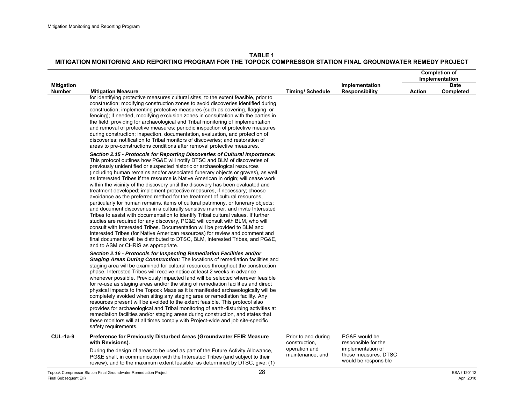|                                    |                                                                                                                                                                                                                                                                                                                                                                                                                                                                                                                                                                                                                                                                                                                                                                                                                                                                                                                                                                                                                                                                                                                                                                                                                                                                                                  |                                                                           |                                                                                   |               | <b>Completion of</b><br>Implementation |
|------------------------------------|--------------------------------------------------------------------------------------------------------------------------------------------------------------------------------------------------------------------------------------------------------------------------------------------------------------------------------------------------------------------------------------------------------------------------------------------------------------------------------------------------------------------------------------------------------------------------------------------------------------------------------------------------------------------------------------------------------------------------------------------------------------------------------------------------------------------------------------------------------------------------------------------------------------------------------------------------------------------------------------------------------------------------------------------------------------------------------------------------------------------------------------------------------------------------------------------------------------------------------------------------------------------------------------------------|---------------------------------------------------------------------------|-----------------------------------------------------------------------------------|---------------|----------------------------------------|
| <b>Mitigation</b><br><b>Number</b> | <b>Mitigation Measure</b>                                                                                                                                                                                                                                                                                                                                                                                                                                                                                                                                                                                                                                                                                                                                                                                                                                                                                                                                                                                                                                                                                                                                                                                                                                                                        | <b>Timing/Schedule</b>                                                    | Implementation<br>Responsibility                                                  | <b>Action</b> | <b>Date</b><br>Completed               |
|                                    | for identifying protective measures cultural sites, to the extent feasible, prior to<br>construction; modifying construction zones to avoid discoveries identified during<br>construction; implementing protective measures (such as covering, flagging, or<br>fencing); if needed, modifying exclusion zones in consultation with the parties in<br>the field; providing for archaeological and Tribal monitoring of implementation<br>and removal of protective measures; periodic inspection of protective measures<br>during construction; inspection, documentation, evaluation, and protection of<br>discoveries; notification to Tribal monitors of discoveries; and restoration of<br>areas to pre-constructions conditions after removal protective measures.                                                                                                                                                                                                                                                                                                                                                                                                                                                                                                                           |                                                                           |                                                                                   |               |                                        |
|                                    | Section 2.15 - Protocols for Reporting Discoveries of Cultural Importance:<br>This protocol outlines how PG&E will notify DTSC and BLM of discoveries of<br>previously unidentified or suspected historic or archaeological resources<br>(including human remains and/or associated funerary objects or graves), as well<br>as Interested Tribes if the resource is Native American in origin; will cease work<br>within the vicinity of the discovery until the discovery has been evaluated and<br>treatment developed; implement protective measures, if necessary; choose<br>avoidance as the preferred method for the treatment of cultural resources,<br>particularly for human remains, items of cultural patrimony, or funerary objects;<br>and document discoveries in a culturally sensitive manner, and invite Interested<br>Tribes to assist with documentation to identify Tribal cultural values. If further<br>studies are required for any discovery, PG&E will consult with BLM, who will<br>consult with Interested Tribes. Documentation will be provided to BLM and<br>Interested Tribes (for Native American resources) for review and comment and<br>final documents will be distributed to DTSC, BLM, Interested Tribes, and PG&E,<br>and to ASM or CHRIS as appropriate. |                                                                           |                                                                                   |               |                                        |
|                                    | Section 2.16 - Protocols for Inspecting Remediation Facilities and/or<br><b>Staging Areas During Construction:</b> The locations of remediation facilities and<br>staging area will be examined for cultural resources throughout the construction<br>phase. Interested Tribes will receive notice at least 2 weeks in advance<br>whenever possible. Previously impacted land will be selected wherever feasible<br>for re-use as staging areas and/or the siting of remediation facilities and direct<br>physical impacts to the Topock Maze as it is manifested archaeologically will be<br>completely avoided when siting any staging area or remediation facility. Any<br>resources present will be avoided to the extent feasible. This protocol also<br>provides for archaeological and Tribal monitoring of earth-disturbing activities at<br>remediation facilities and/or staging areas during construction, and states that<br>these monitors will at all times comply with Project-wide and job site-specific<br>safety requirements.                                                                                                                                                                                                                                                 |                                                                           |                                                                                   |               |                                        |
| $CUL-1a-9$                         | Preference for Previously Disturbed Areas (Groundwater FEIR Measure<br>with Revisions).<br>During the design of areas to be used as part of the Future Activity Allowance,<br>PG&E shall, in communication with the Interested Tribes (and subject to their                                                                                                                                                                                                                                                                                                                                                                                                                                                                                                                                                                                                                                                                                                                                                                                                                                                                                                                                                                                                                                      | Prior to and during<br>construction,<br>operation and<br>maintenance, and | PG&E would be<br>responsible for the<br>implementation of<br>these measures. DTSC |               |                                        |
|                                    | review), and to the maximum extent feasible, as determined by DTSC, give: (1)<br>.                                                                                                                                                                                                                                                                                                                                                                                                                                                                                                                                                                                                                                                                                                                                                                                                                                                                                                                                                                                                                                                                                                                                                                                                               |                                                                           | would be responsible                                                              |               | -------                                |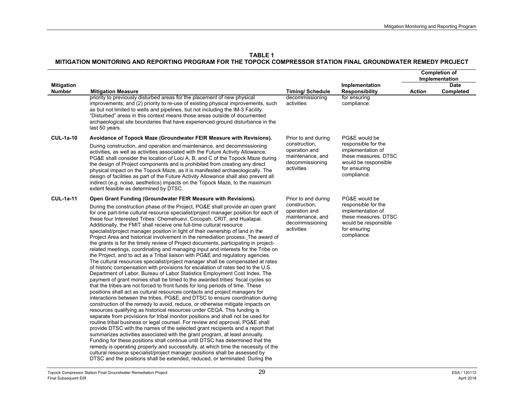|                   |                                                                                                                                                                                                                                                                                                                                                                                                                                                                                                                                                                                                                                                                                                                                                                                                                                                                                                                                                                                                                                                                                                                                                                                                                                                                                                                                                                                                                                                                                                                                                                                                                                                                                                                                                                                                                                                                                                                                                                                                                                                                                                                                                                                            |                                                                                     |                                                                                                                         | <b>Completion of</b><br>Implementation |           |
|-------------------|--------------------------------------------------------------------------------------------------------------------------------------------------------------------------------------------------------------------------------------------------------------------------------------------------------------------------------------------------------------------------------------------------------------------------------------------------------------------------------------------------------------------------------------------------------------------------------------------------------------------------------------------------------------------------------------------------------------------------------------------------------------------------------------------------------------------------------------------------------------------------------------------------------------------------------------------------------------------------------------------------------------------------------------------------------------------------------------------------------------------------------------------------------------------------------------------------------------------------------------------------------------------------------------------------------------------------------------------------------------------------------------------------------------------------------------------------------------------------------------------------------------------------------------------------------------------------------------------------------------------------------------------------------------------------------------------------------------------------------------------------------------------------------------------------------------------------------------------------------------------------------------------------------------------------------------------------------------------------------------------------------------------------------------------------------------------------------------------------------------------------------------------------------------------------------------------|-------------------------------------------------------------------------------------|-------------------------------------------------------------------------------------------------------------------------|----------------------------------------|-----------|
| <b>Mitigation</b> |                                                                                                                                                                                                                                                                                                                                                                                                                                                                                                                                                                                                                                                                                                                                                                                                                                                                                                                                                                                                                                                                                                                                                                                                                                                                                                                                                                                                                                                                                                                                                                                                                                                                                                                                                                                                                                                                                                                                                                                                                                                                                                                                                                                            |                                                                                     | Implementation                                                                                                          |                                        | Date      |
| <b>Number</b>     | <b>Mitigation Measure</b><br>priority to previously disturbed areas for the placement of new physical                                                                                                                                                                                                                                                                                                                                                                                                                                                                                                                                                                                                                                                                                                                                                                                                                                                                                                                                                                                                                                                                                                                                                                                                                                                                                                                                                                                                                                                                                                                                                                                                                                                                                                                                                                                                                                                                                                                                                                                                                                                                                      | <b>Timing/Schedule</b><br>decommissioning                                           | <b>Responsibility</b><br>for ensuring                                                                                   | <b>Action</b>                          | Completed |
|                   | improvements; and (2) priority to re-use of existing physical improvements, such<br>as but not limited to wells and pipelines, but not including the IM-3 Facility.<br>"Disturbed" areas in this context means those areas outside of documented<br>archaeological site boundaries that have experienced ground disturbance in the<br>last 50 years.                                                                                                                                                                                                                                                                                                                                                                                                                                                                                                                                                                                                                                                                                                                                                                                                                                                                                                                                                                                                                                                                                                                                                                                                                                                                                                                                                                                                                                                                                                                                                                                                                                                                                                                                                                                                                                       | activities                                                                          | compliance.                                                                                                             |                                        |           |
| <b>CUL-1a-10</b>  | Avoidance of Topock Maze (Groundwater FEIR Measure with Revisions).                                                                                                                                                                                                                                                                                                                                                                                                                                                                                                                                                                                                                                                                                                                                                                                                                                                                                                                                                                                                                                                                                                                                                                                                                                                                                                                                                                                                                                                                                                                                                                                                                                                                                                                                                                                                                                                                                                                                                                                                                                                                                                                        | Prior to and during                                                                 | PG&E would be                                                                                                           |                                        |           |
|                   | During construction, and operation and maintenance, and decommissioning<br>activities, as well as activities associated with the Future Activity Allowance,<br>PG&E shall consider the location of Loci A, B, and C of the Topock Maze during<br>the design of Project components and is prohibited from creating any direct<br>physical impact on the Topock Maze, as it is manifested archaeologically. The<br>design of facilities as part of the Future Activity Allowance shall also prevent all<br>indirect (e.g. noise, aesthetics) impacts on the Topock Maze, to the maximum<br>extent feasible as determined by DTSC.                                                                                                                                                                                                                                                                                                                                                                                                                                                                                                                                                                                                                                                                                                                                                                                                                                                                                                                                                                                                                                                                                                                                                                                                                                                                                                                                                                                                                                                                                                                                                            | construction,<br>operation and<br>maintenance, and<br>decommissioning<br>activities | responsible for the<br>implementation of<br>these measures. DTSC<br>would be responsible<br>for ensuring<br>compliance. |                                        |           |
| <b>CUL-1a-11</b>  | Open Grant Funding (Groundwater FEIR Measure with Revisions).                                                                                                                                                                                                                                                                                                                                                                                                                                                                                                                                                                                                                                                                                                                                                                                                                                                                                                                                                                                                                                                                                                                                                                                                                                                                                                                                                                                                                                                                                                                                                                                                                                                                                                                                                                                                                                                                                                                                                                                                                                                                                                                              | Prior to and during                                                                 | PG&E would be                                                                                                           |                                        |           |
|                   | During the construction phase of the Project, PG&E shall provide an open grant<br>for one part-time cultural resource specialist/project manager position for each of<br>these four Interested Tribes: Chemehuevi, Cocopah, CRIT, and Hualapai.<br>Additionally, the FMIT shall receive one full-time cultural resource<br>specialist/project manager position in light of their ownership of land in the<br>Project Area and historical involvement in the remediation process. The award of<br>the grants is for the timely review of Project documents, participating in project-<br>related meetings, coordinating and managing input and interests for the Tribe on<br>the Project, and to act as a Tribal liaison with PG&E and regulatory agencies.<br>The cultural resources specialist/project manager shall be compensated at rates<br>of historic compensation with provisions for escalation of rates tied to the U.S.<br>Department of Labor, Bureau of Labor Statistics Employment Cost Index. The<br>payment of grant monies shall be timed to the awarded tribes' fiscal cycles so<br>that the tribes are not forced to front funds for long periods of time. These<br>positions shall act as cultural resources contacts and project managers for<br>interactions between the tribes, PG&E, and DTSC to ensure coordination during<br>construction of the remedy to avoid, reduce, or otherwise mitigate impacts on<br>resources qualifying as historical resources under CEQA. This funding is<br>separate from provisions for tribal monitor positions and shall not be used for<br>routine tribal business or legal counsel. For review and approval, PG&E shall<br>provide DTSC with the names of the selected grant recipients and a report that<br>summarizes activities associated with the grant program, at least annually.<br>Funding for these positions shall continue until DTSC has determined that the<br>remedy is operating properly and successfully, at which time the necessity of the<br>cultural resource specialist/project manager positions shall be assessed by<br>DTSC and the positions shall be extended, reduced, or terminated. During the | construction,<br>operation and<br>maintenance, and<br>decommissioning<br>activities | responsible for the<br>implementation of<br>these measures. DTSC<br>would be responsible<br>for ensuring<br>compliance. |                                        |           |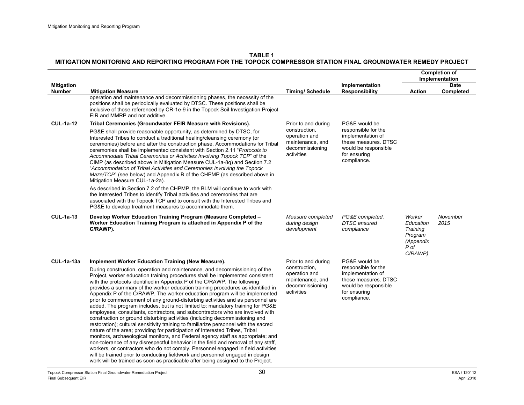|                                    |                                                                                                                                                                                                                                                                                                                                                                                                                                                                                                                                                                                                                                                                                                                                                                                                                                                                                                                                                                                                                                                                                                                                                                                                                                                                                                                                                                                                               |                                                                                                            |                                                                                                                                          | <b>Completion of</b><br>Implementation                                     |                          |
|------------------------------------|---------------------------------------------------------------------------------------------------------------------------------------------------------------------------------------------------------------------------------------------------------------------------------------------------------------------------------------------------------------------------------------------------------------------------------------------------------------------------------------------------------------------------------------------------------------------------------------------------------------------------------------------------------------------------------------------------------------------------------------------------------------------------------------------------------------------------------------------------------------------------------------------------------------------------------------------------------------------------------------------------------------------------------------------------------------------------------------------------------------------------------------------------------------------------------------------------------------------------------------------------------------------------------------------------------------------------------------------------------------------------------------------------------------|------------------------------------------------------------------------------------------------------------|------------------------------------------------------------------------------------------------------------------------------------------|----------------------------------------------------------------------------|--------------------------|
| <b>Mitigation</b><br><b>Number</b> | <b>Mitigation Measure</b>                                                                                                                                                                                                                                                                                                                                                                                                                                                                                                                                                                                                                                                                                                                                                                                                                                                                                                                                                                                                                                                                                                                                                                                                                                                                                                                                                                                     | <b>Timing/ Schedule</b>                                                                                    | Implementation<br><b>Responsibility</b>                                                                                                  | <b>Action</b>                                                              | <b>Date</b><br>Completed |
|                                    | operation and maintenance and decommissioning phases, the necessity of the<br>positions shall be periodically evaluated by DTSC. These positions shall be<br>inclusive of those referenced by CR-1e-9 in the Topock Soil Investigation Project<br>EIR and MMRP and not additive.                                                                                                                                                                                                                                                                                                                                                                                                                                                                                                                                                                                                                                                                                                                                                                                                                                                                                                                                                                                                                                                                                                                              |                                                                                                            |                                                                                                                                          |                                                                            |                          |
| <b>CUL-1a-12</b>                   | Tribal Ceremonies (Groundwater FEIR Measure with Revisions).                                                                                                                                                                                                                                                                                                                                                                                                                                                                                                                                                                                                                                                                                                                                                                                                                                                                                                                                                                                                                                                                                                                                                                                                                                                                                                                                                  | Prior to and during                                                                                        | PG&E would be                                                                                                                            |                                                                            |                          |
|                                    | PG&E shall provide reasonable opportunity, as determined by DTSC, for<br>Interested Tribes to conduct a traditional healing/cleansing ceremony (or<br>ceremonies) before and after the construction phase. Accommodations for Tribal<br>ceremonies shall be implemented consistent with Section 2.11 "Protocols to<br>Accommodate Tribal Ceremonies or Activities Involving Topock TCP" of the<br>CIMP (as described above in Mitigation Measure CUL-1a-8q) and Section 7.2<br>"Accommodation of Tribal Activities and Ceremonies Involving the Topock<br>Maze/TCP" (see below) and Appendix B of the CHPMP (as described above in<br>Mitigation Measure CUL-1a-2a).                                                                                                                                                                                                                                                                                                                                                                                                                                                                                                                                                                                                                                                                                                                                          | construction,<br>operation and<br>maintenance, and<br>decommissioning<br>activities                        | responsible for the<br>implementation of<br>these measures. DTSC<br>would be responsible<br>for ensuring<br>compliance.                  |                                                                            |                          |
|                                    | As described in Section 7.2 of the CHPMP, the BLM will continue to work with<br>the Interested Tribes to identify Tribal activities and ceremonies that are<br>associated with the Topock TCP and to consult with the Interested Tribes and<br>PG&E to develop treatment measures to accommodate them.                                                                                                                                                                                                                                                                                                                                                                                                                                                                                                                                                                                                                                                                                                                                                                                                                                                                                                                                                                                                                                                                                                        |                                                                                                            |                                                                                                                                          |                                                                            |                          |
| <b>CUL-1a-13</b>                   | Develop Worker Education Training Program (Measure Completed -<br>Worker Education Training Program is attached in Appendix P of the<br>C/RAWP).                                                                                                                                                                                                                                                                                                                                                                                                                                                                                                                                                                                                                                                                                                                                                                                                                                                                                                                                                                                                                                                                                                                                                                                                                                                              | Measure completed<br>during design<br>development                                                          | PG&E completed.<br><b>DTSC</b> ensured<br>compliance                                                                                     | Worker<br>Education<br>Training<br>Program<br>(Appendix<br>P of<br>C/RAWP) | November<br>2015         |
| <b>CUL-1a-13a</b>                  | Implement Worker Education Training (New Measure).<br>During construction, operation and maintenance, and decommissioning of the<br>Project, worker education training procedures shall be implemented consistent<br>with the protocols identified in Appendix P of the C/RAWP. The following<br>provides a summary of the worker education training procedures as identified in<br>Appendix P of the C/RAWP. The worker education program will be implemented<br>prior to commencement of any ground-disturbing activities and as personnel are<br>added. The program includes, but is not limited to: mandatory training for PG&E<br>employees, consultants, contractors, and subcontractors who are involved with<br>construction or ground disturbing activities (including decommissioning and<br>restoration); cultural sensitivity training to familiarize personnel with the sacred<br>nature of the area; providing for participation of Interested Tribes, Tribal<br>monitors, archaeological monitors, and Federal agency staff as appropriate; and<br>non-tolerance of any disrespectful behavior in the field and removal of any staff.<br>workers, or contractors who do not comply. Personnel engaged in field activities<br>will be trained prior to conducting fieldwork and personnel engaged in design<br>work will be trained as soon as practicable after being assigned to the Project. | Prior to and during<br>construction,<br>operation and<br>maintenance, and<br>decommissioning<br>activities | PG&E would be<br>responsible for the<br>implementation of<br>these measures. DTSC<br>would be responsible<br>for ensuring<br>compliance. |                                                                            |                          |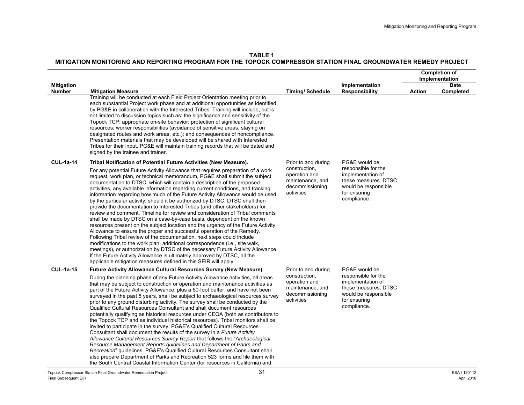|                                    |                                                                                                                                                                                                                                                                                                                                                                                                                                                                                                                                                                                                                                                                                                                                                                                                                                                                                                                                                                                                                                                                                                                                                                                                                                                                                                                                                                     |                                                                                                            |                                                                                                                                          |               | <b>Completion of</b><br>Implementation |
|------------------------------------|---------------------------------------------------------------------------------------------------------------------------------------------------------------------------------------------------------------------------------------------------------------------------------------------------------------------------------------------------------------------------------------------------------------------------------------------------------------------------------------------------------------------------------------------------------------------------------------------------------------------------------------------------------------------------------------------------------------------------------------------------------------------------------------------------------------------------------------------------------------------------------------------------------------------------------------------------------------------------------------------------------------------------------------------------------------------------------------------------------------------------------------------------------------------------------------------------------------------------------------------------------------------------------------------------------------------------------------------------------------------|------------------------------------------------------------------------------------------------------------|------------------------------------------------------------------------------------------------------------------------------------------|---------------|----------------------------------------|
| <b>Mitigation</b><br><b>Number</b> | <b>Mitigation Measure</b>                                                                                                                                                                                                                                                                                                                                                                                                                                                                                                                                                                                                                                                                                                                                                                                                                                                                                                                                                                                                                                                                                                                                                                                                                                                                                                                                           | <b>Timing/Schedule</b>                                                                                     | Implementation<br><b>Responsibility</b>                                                                                                  | <b>Action</b> | <b>Date</b><br>Completed               |
|                                    | Training will be conducted at each Field Project Orientation meeting prior to<br>each substantial Project work phase and at additional opportunities as identified<br>by PG&E in collaboration with the Interested Tribes. Training will include, but is<br>not limited to discussion topics such as: the significance and sensitivity of the<br>Topock TCP; appropriate on-site behavior; protection of significant cultural<br>resources; worker responsibilities (avoidance of sensitive areas, staying on<br>designated routes and work areas, etc.); and consequences of noncompliance.<br>Presentation materials that may be developed will be shared with Interested<br>Tribes for their input. PG&E will maintain training records that will be dated and<br>signed by the trainee and trainer.                                                                                                                                                                                                                                                                                                                                                                                                                                                                                                                                                             |                                                                                                            |                                                                                                                                          |               |                                        |
| <b>CUL-1a-14</b>                   | Tribal Notification of Potential Future Activities (New Measure).<br>For any potential Future Activity Allowance that requires preparation of a work<br>request, work plan, or technical memorandum, PG&E shall submit the subject<br>documentation to DTSC, which will contain a description of the proposed<br>activities, any available information regarding current conditions, and tracking<br>information regarding how much of the Future Activity Allowance would be used<br>by the particular activity, should it be authorized by DTSC. DTSC shall then<br>provide the documentation to Interested Tribes (and other stakeholders) for<br>review and comment. Timeline for review and consideration of Tribal comments<br>shall be made by DTSC on a case-by-case basis, dependent on the known<br>resources present on the subject location and the urgency of the Future Activity<br>Allowance to ensure the proper and successful operation of the Remedy.<br>Following Tribal review of the documentation, next steps could include<br>modifications to the work plan, additional correspondence (i.e., site walk,<br>meetings), or authorization by DTSC of the necessary Future Activity Allowance.<br>If the Future Activity Allowance is ultimately approved by DTSC, all the<br>applicable mitigation measures defined in this SEIR will apply. | Prior to and during<br>construction,<br>operation and<br>maintenance, and<br>decommissioning<br>activities | PG&E would be<br>responsible for the<br>implementation of<br>these measures. DTSC<br>would be responsible<br>for ensuring<br>compliance. |               |                                        |
| <b>CUL-1a-15</b>                   | Future Activity Allowance Cultural Resources Survey (New Measure).<br>During the planning phase of any Future Activity Allowance activities, all areas<br>that may be subject to construction or operation and maintenance activities as<br>part of the Future Activity Allowance, plus a 50-foot buffer, and have not been<br>surveyed in the past 5 years, shall be subject to archaeological resources survey<br>prior to any ground disturbing activity. The survey shall be conducted by the<br>Qualified Cultural Resources Consultant and shall document resources<br>potentially qualifying as historical resources under CEQA (both as contributors to<br>the Topock TCP and as individual historical resources). Tribal monitors shall be<br>invited to participate in the survey. PG&E's Qualified Cultural Resources<br>Consultant shall document the results of the survey in a Future Activity<br>Allowance Cultural Resources Survey Report that follows the "Archaeological<br>Resource Management Reports guidelines and Department of Parks and<br>Recreation" quidelines. PG&E's Qualified Cultural Resources Consultant shall<br>also prepare Department of Parks and Recreation 523 forms and file them with                                                                                                                                   | Prior to and during<br>construction,<br>operation and<br>maintenance, and<br>decommissioning<br>activities | PG&E would be<br>responsible for the<br>implementation of<br>these measures. DTSC<br>would be responsible<br>for ensuring<br>compliance. |               |                                        |

the South Central Coastal Information Center (for resources in California) and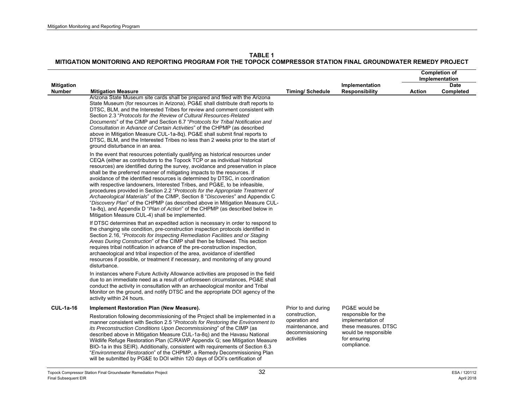|                                    |                                                                                                                                                                                                                                                                                                                                                                                                                                                                                                                                                                                                                                                                                                                                                                                                                                                                                   |                                                                                     |                                                                                                                         | <b>Completion of</b><br>Implementation |                          |
|------------------------------------|-----------------------------------------------------------------------------------------------------------------------------------------------------------------------------------------------------------------------------------------------------------------------------------------------------------------------------------------------------------------------------------------------------------------------------------------------------------------------------------------------------------------------------------------------------------------------------------------------------------------------------------------------------------------------------------------------------------------------------------------------------------------------------------------------------------------------------------------------------------------------------------|-------------------------------------------------------------------------------------|-------------------------------------------------------------------------------------------------------------------------|----------------------------------------|--------------------------|
| <b>Mitigation</b><br><b>Number</b> | <b>Mitigation Measure</b>                                                                                                                                                                                                                                                                                                                                                                                                                                                                                                                                                                                                                                                                                                                                                                                                                                                         | <b>Timing/Schedule</b>                                                              | Implementation<br><b>Responsibility</b>                                                                                 | <b>Action</b>                          | <b>Date</b><br>Completed |
|                                    | Arizona State Museum site cards shall be prepared and filed with the Arizona<br>State Museum (for resources in Arizona). PG&E shall distribute draft reports to<br>DTSC, BLM, and the Interested Tribes for review and comment consistent with<br>Section 2.3 "Protocols for the Review of Cultural Resources-Related<br>Documents" of the CIMP and Section 6.7 "Protocols for Tribal Notification and<br>Consultation in Advance of Certain Activities" of the CHPMP (as described<br>above in Mitigation Measure CUL-1a-8q). PG&E shall submit final reports to<br>DTSC, BLM, and the Interested Tribes no less than 2 weeks prior to the start of<br>ground disturbance in an area.                                                                                                                                                                                            |                                                                                     |                                                                                                                         |                                        |                          |
|                                    | In the event that resources potentially qualifying as historical resources under<br>CEQA (either as contributors to the Topock TCP or as individual historical<br>resources) are identified during the survey, avoidance and preservation in place<br>shall be the preferred manner of mitigating impacts to the resources. If<br>avoidance of the identified resources is determined by DTSC, in coordination<br>with respective landowners, Interested Tribes, and PG&E, to be infeasible,<br>procedures provided in Section 2.2 "Protocols for the Appropriate Treatment of<br>Archaeological Materials" of the CIMP, Section 8 "Discoveries" and Appendix C<br>"Discovery Plan" of the CHPMP (as described above in Mitigation Measure CUL-<br>1a-8q), and Appendix D "Plan of Action" of the CHPMP (as described below in<br>Mitigation Measure CUL-4) shall be implemented. |                                                                                     |                                                                                                                         |                                        |                          |
|                                    | If DTSC determines that an expedited action is necessary in order to respond to<br>the changing site condition, pre-construction inspection protocols identified in<br>Section 2.16, "Protocols for Inspecting Remediation Facilities and or Staging<br>Areas During Construction" of the CIMP shall then be followed. This section<br>requires tribal notification in advance of the pre-construction inspection.<br>archaeological and tribal inspection of the area, avoidance of identified<br>resources if possible, or treatment if necessary, and monitoring of any ground<br>disturbance.                                                                                                                                                                                                                                                                                 |                                                                                     |                                                                                                                         |                                        |                          |
|                                    | In instances where Future Activity Allowance activities are proposed in the field<br>due to an immediate need as a result of unforeseen circumstances, PG&E shall<br>conduct the activity in consultation with an archaeological monitor and Tribal<br>Monitor on the ground, and notify DTSC and the appropriate DOI agency of the<br>activity within 24 hours.                                                                                                                                                                                                                                                                                                                                                                                                                                                                                                                  |                                                                                     |                                                                                                                         |                                        |                          |
| <b>CUL-1a-16</b>                   | Implement Restoration Plan (New Measure).                                                                                                                                                                                                                                                                                                                                                                                                                                                                                                                                                                                                                                                                                                                                                                                                                                         | Prior to and during                                                                 | PG&E would be                                                                                                           |                                        |                          |
|                                    | Restoration following decommissioning of the Project shall be implemented in a<br>manner consistent with Section 2.5 "Protocols for Restoring the Environment to<br>its Preconstruction Conditions Upon Decommissioning" of the CIMP (as<br>described above in Mitigation Measure CUL-1a-8q) and the Havasu National<br>Wildlife Refuge Restoration Plan (C/RAWP Appendix G; see Mitigation Measure<br>BIO-1a in this SEIR). Additionally, consistent with requirements of Section 6.3<br>"Environmental Restoration" of the CHPMP, a Remedy Decommissioning Plan<br>will be submitted by PG&E to DOI within 120 days of DOI's certification of                                                                                                                                                                                                                                   | construction,<br>operation and<br>maintenance, and<br>decommissioning<br>activities | responsible for the<br>implementation of<br>these measures. DTSC<br>would be responsible<br>for ensuring<br>compliance. |                                        |                          |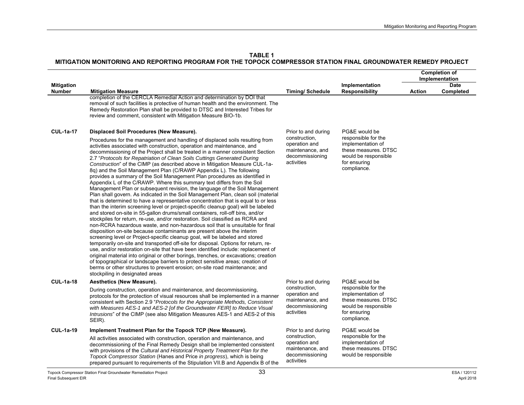|                                    |                                                                                                                                                                                                                                                                                                                                                                                                                                                                                                                                                                                                                                                                                                                                                                                                                                                                                                                                                                                                                                                                                                                                                                                                                                                                                                                                                                                                                                                                                                                                                                                                                                                                                                                                                                                                                                                                           |                                                                                     |                                                                                                                         | <b>Completion of</b><br>Implementation |                          |
|------------------------------------|---------------------------------------------------------------------------------------------------------------------------------------------------------------------------------------------------------------------------------------------------------------------------------------------------------------------------------------------------------------------------------------------------------------------------------------------------------------------------------------------------------------------------------------------------------------------------------------------------------------------------------------------------------------------------------------------------------------------------------------------------------------------------------------------------------------------------------------------------------------------------------------------------------------------------------------------------------------------------------------------------------------------------------------------------------------------------------------------------------------------------------------------------------------------------------------------------------------------------------------------------------------------------------------------------------------------------------------------------------------------------------------------------------------------------------------------------------------------------------------------------------------------------------------------------------------------------------------------------------------------------------------------------------------------------------------------------------------------------------------------------------------------------------------------------------------------------------------------------------------------------|-------------------------------------------------------------------------------------|-------------------------------------------------------------------------------------------------------------------------|----------------------------------------|--------------------------|
| <b>Mitigation</b><br><b>Number</b> | <b>Mitigation Measure</b>                                                                                                                                                                                                                                                                                                                                                                                                                                                                                                                                                                                                                                                                                                                                                                                                                                                                                                                                                                                                                                                                                                                                                                                                                                                                                                                                                                                                                                                                                                                                                                                                                                                                                                                                                                                                                                                 | <b>Timing/Schedule</b>                                                              | Implementation<br><b>Responsibility</b>                                                                                 | <b>Action</b>                          | <b>Date</b><br>Completed |
|                                    | completion of the CERCLA Remedial Action and determination by DOI that<br>removal of such facilities is protective of human health and the environment. The<br>Remedy Restoration Plan shall be provided to DTSC and Interested Tribes for<br>review and comment, consistent with Mitigation Measure BIO-1b.                                                                                                                                                                                                                                                                                                                                                                                                                                                                                                                                                                                                                                                                                                                                                                                                                                                                                                                                                                                                                                                                                                                                                                                                                                                                                                                                                                                                                                                                                                                                                              |                                                                                     |                                                                                                                         |                                        |                          |
| <b>CUL-1a-17</b>                   | Displaced Soil Procedures (New Measure).                                                                                                                                                                                                                                                                                                                                                                                                                                                                                                                                                                                                                                                                                                                                                                                                                                                                                                                                                                                                                                                                                                                                                                                                                                                                                                                                                                                                                                                                                                                                                                                                                                                                                                                                                                                                                                  | Prior to and during                                                                 | PG&E would be                                                                                                           |                                        |                          |
|                                    | Procedures for the management and handling of displaced soils resulting from<br>activities associated with construction, operation and maintenance, and<br>decommissioning of the Project shall be treated in a manner consistent Section<br>2.7 "Protocols for Repatriation of Clean Soils Cuttings Generated During<br>Construction" of the CIMP (as described above in Mitigation Measure CUL-1a-<br>8q) and the Soil Management Plan (C/RAWP Appendix L). The following<br>provides a summary of the Soil Management Plan procedures as identified in<br>Appendix L of the C/RAWP. Where this summary text differs from the Soil<br>Management Plan or subsequent revision, the language of the Soil Management<br>Plan shall govern. As indicated in the Soil Management Plan, clean soil (material<br>that is determined to have a representative concentration that is equal to or less<br>than the interim screening level or project-specific cleanup goal) will be labeled<br>and stored on-site in 55-gallon drums/small containers, roll-off bins, and/or<br>stockpiles for return, re-use, and/or restoration. Soil classified as RCRA and<br>non-RCRA hazardous waste, and non-hazardous soil that is unsuitable for final<br>disposition on-site because contaminants are present above the interim<br>screening level or Project-specific cleanup goal, will be labeled and stored<br>temporarily on-site and transported off-site for disposal. Options for return, re-<br>use, and/or restoration on-site that have been identified include: replacement of<br>original material into original or other borings, trenches, or excavations; creation<br>of topographical or landscape barriers to protect sensitive areas; creation of<br>berms or other structures to prevent erosion; on-site road maintenance; and<br>stockpiling in designated areas | construction,<br>operation and<br>maintenance, and<br>decommissioning<br>activities | responsible for the<br>implementation of<br>these measures. DTSC<br>would be responsible<br>for ensuring<br>compliance. |                                        |                          |
| <b>CUL-1a-18</b>                   | Aesthetics (New Measure).                                                                                                                                                                                                                                                                                                                                                                                                                                                                                                                                                                                                                                                                                                                                                                                                                                                                                                                                                                                                                                                                                                                                                                                                                                                                                                                                                                                                                                                                                                                                                                                                                                                                                                                                                                                                                                                 | Prior to and during                                                                 | PG&E would be                                                                                                           |                                        |                          |
|                                    | During construction, operation and maintenance, and decommissioning,<br>protocols for the protection of visual resources shall be implemented in a manner<br>consistent with Section 2.9 "Protocols for the Appropriate Methods, Consistent<br>with Measures AES-1 and AES-2 [of the Groundwater FEIR] to Reduce Visual<br>Intrusions" of the CIMP (see also Mitigation Measures AES-1 and AES-2 of this<br>SEIR).                                                                                                                                                                                                                                                                                                                                                                                                                                                                                                                                                                                                                                                                                                                                                                                                                                                                                                                                                                                                                                                                                                                                                                                                                                                                                                                                                                                                                                                        | construction,<br>operation and<br>maintenance, and<br>decommissioning<br>activities | responsible for the<br>implementation of<br>these measures. DTSC<br>would be responsible<br>for ensuring<br>compliance. |                                        |                          |
| <b>CUL-1a-19</b>                   | Implement Treatment Plan for the Topock TCP (New Measure).                                                                                                                                                                                                                                                                                                                                                                                                                                                                                                                                                                                                                                                                                                                                                                                                                                                                                                                                                                                                                                                                                                                                                                                                                                                                                                                                                                                                                                                                                                                                                                                                                                                                                                                                                                                                                | Prior to and during                                                                 | PG&E would be                                                                                                           |                                        |                          |
|                                    | All activities associated with construction, operation and maintenance, and<br>decommissioning of the Final Remedy Design shall be implemented consistent<br>with provisions of the Cultural and Historical Property Treatment Plan for the<br>Topock Compressor Station (Hanes and Price in progress), which is being<br>prepared pursuant to requirements of the Stipulation VII.B and Appendix B of the                                                                                                                                                                                                                                                                                                                                                                                                                                                                                                                                                                                                                                                                                                                                                                                                                                                                                                                                                                                                                                                                                                                                                                                                                                                                                                                                                                                                                                                                | construction,<br>operation and<br>maintenance, and<br>decommissioning<br>activities | responsible for the<br>implementation of<br>these measures. DTSC<br>would be responsible                                |                                        |                          |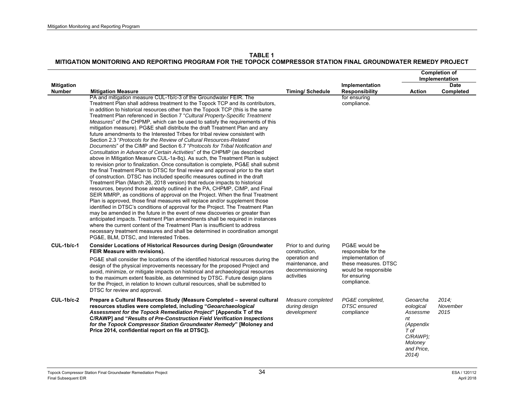|                                    |                                                                                                                                                                                                                                                                                                                                                                                                                                                                                                                                                                                                                                                                                                                                                                                                                                                                                                                                                                                                                                                                                                                                                                                                                                                                                                                                                                                                                                                                                                                                                                                                                                                                                                                                                                                                                                                                                                                                                 |                                                                                                            |                                                                                                                                          |                                                                                                               | <b>Completion of</b><br>Implementation |
|------------------------------------|-------------------------------------------------------------------------------------------------------------------------------------------------------------------------------------------------------------------------------------------------------------------------------------------------------------------------------------------------------------------------------------------------------------------------------------------------------------------------------------------------------------------------------------------------------------------------------------------------------------------------------------------------------------------------------------------------------------------------------------------------------------------------------------------------------------------------------------------------------------------------------------------------------------------------------------------------------------------------------------------------------------------------------------------------------------------------------------------------------------------------------------------------------------------------------------------------------------------------------------------------------------------------------------------------------------------------------------------------------------------------------------------------------------------------------------------------------------------------------------------------------------------------------------------------------------------------------------------------------------------------------------------------------------------------------------------------------------------------------------------------------------------------------------------------------------------------------------------------------------------------------------------------------------------------------------------------|------------------------------------------------------------------------------------------------------------|------------------------------------------------------------------------------------------------------------------------------------------|---------------------------------------------------------------------------------------------------------------|----------------------------------------|
| <b>Mitigation</b><br><b>Number</b> | <b>Mitigation Measure</b>                                                                                                                                                                                                                                                                                                                                                                                                                                                                                                                                                                                                                                                                                                                                                                                                                                                                                                                                                                                                                                                                                                                                                                                                                                                                                                                                                                                                                                                                                                                                                                                                                                                                                                                                                                                                                                                                                                                       | <b>Timing/Schedule</b>                                                                                     | Implementation<br><b>Responsibility</b>                                                                                                  | <b>Action</b>                                                                                                 | <b>Date</b><br>Completed               |
|                                    | PA and mitigation measure CUL-1b/c-3 of the Groundwater FEIR. The<br>Treatment Plan shall address treatment to the Topock TCP and its contributors,<br>in addition to historical resources other than the Topock TCP (this is the same<br>Treatment Plan referenced in Section 7 "Cultural Property-Specific Treatment<br>Measures" of the CHPMP, which can be used to satisfy the requirements of this<br>mitigation measure). PG&E shall distribute the draft Treatment Plan and any<br>future amendments to the Interested Tribes for tribal review consistent with<br>Section 2.3 "Protocols for the Review of Cultural Resources-Related<br>Documents" of the CIMP and Section 6.7 "Protocols for Tribal Notification and<br>Consultation in Advance of Certain Activities" of the CHPMP (as described<br>above in Mitigation Measure CUL-1a-8q). As such, the Treatment Plan is subject<br>to revision prior to finalization. Once consultation is complete, PG&E shall submit<br>the final Treatment Plan to DTSC for final review and approval prior to the start<br>of construction. DTSC has included specific measures outlined in the draft<br>Treatment Plan (March 26, 2018 version) that reduce impacts to historical<br>resources, beyond those already outlined in the PA, CHPMP, CIMP, and Final<br>SEIR MMRP, as conditions of approval on the Project. When the final Treatment<br>Plan is approved, those final measures will replace and/or supplement those<br>identified in DTSC's conditions of approval for the Project. The Treatment Plan<br>may be amended in the future in the event of new discoveries or greater than<br>anticipated impacts. Treatment Plan amendments shall be required in instances<br>where the current content of the Treatment Plan is insufficient to address<br>necessary treatment measures and shall be determined in coordination amongst<br>PG&E, BLM, DTSC, and Interested Tribes. |                                                                                                            | for ensuring<br>compliance.                                                                                                              |                                                                                                               |                                        |
| $CUL-1b/c-1$                       | <b>Consider Locations of Historical Resources during Design (Groundwater</b><br>FEIR Measure with revisions).<br>PG&E shall consider the locations of the identified historical resources during the<br>design of the physical improvements necessary for the proposed Project and<br>avoid, minimize, or mitigate impacts on historical and archaeological resources<br>to the maximum extent feasible, as determined by DTSC. Future design plans<br>for the Project, in relation to known cultural resources, shall be submitted to<br>DTSC for review and approval.                                                                                                                                                                                                                                                                                                                                                                                                                                                                                                                                                                                                                                                                                                                                                                                                                                                                                                                                                                                                                                                                                                                                                                                                                                                                                                                                                                         | Prior to and during<br>construction,<br>operation and<br>maintenance, and<br>decommissioning<br>activities | PG&E would be<br>responsible for the<br>implementation of<br>these measures. DTSC<br>would be responsible<br>for ensuring<br>compliance. |                                                                                                               |                                        |
| $CUL-1b/c-2$                       | Prepare a Cultural Resources Study (Measure Completed - several cultural<br>resources studies were completed, including "Geoarchaeological<br>Assessment for the Topock Remediation Project" [Appendix T of the<br>C/RAWP] and "Results of Pre-Construction Field Verification Inspections<br>for the Topock Compressor Station Groundwater Remedy" [Moloney and<br>Price 2014, confidential report on file at DTSC]).                                                                                                                                                                                                                                                                                                                                                                                                                                                                                                                                                                                                                                                                                                                                                                                                                                                                                                                                                                                                                                                                                                                                                                                                                                                                                                                                                                                                                                                                                                                          | Measure completed<br>during design<br>development                                                          | PG&E completed.<br><b>DTSC</b> ensured<br>compliance                                                                                     | Geoarcha<br>eological<br>Assessme<br>nt<br>(Appendix<br>T of<br>$C/RAWP$ );<br>Moloney<br>and Price.<br>2014) | 2014.<br>November<br>2015              |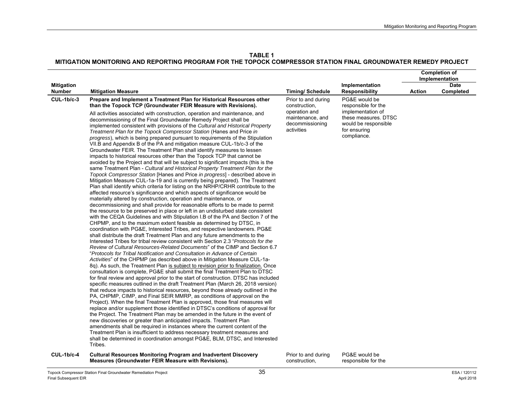**TABLE 1MITIGATION MONITORING AND REPORTING PROGRAM FOR THE TOPOCK COMPRESSOR STATION FINAL GROUNDWATER REMEDY PROJECT** 

|                                    |                                                                                                                                                                                                                                                                                                                                                                                                                                                                                                                                                                                                                                                                                                                                                                                                                                                                                                                                                                                                                                                                                                                                                                                                                                                                                                                                                                                                                                                                                                                                                                                                                                                                                                                                                                                                                                                                                                                                                                                                                                                                                                                                                                                                                                                                                                                                                                                                                                                                                                                                                                                                                                                                                                                                                                                                                                                                                                                                                                                                                                                                                                                                             |                                                                    |                                                                                                  |        | <b>Completion of</b><br>Implementation |
|------------------------------------|---------------------------------------------------------------------------------------------------------------------------------------------------------------------------------------------------------------------------------------------------------------------------------------------------------------------------------------------------------------------------------------------------------------------------------------------------------------------------------------------------------------------------------------------------------------------------------------------------------------------------------------------------------------------------------------------------------------------------------------------------------------------------------------------------------------------------------------------------------------------------------------------------------------------------------------------------------------------------------------------------------------------------------------------------------------------------------------------------------------------------------------------------------------------------------------------------------------------------------------------------------------------------------------------------------------------------------------------------------------------------------------------------------------------------------------------------------------------------------------------------------------------------------------------------------------------------------------------------------------------------------------------------------------------------------------------------------------------------------------------------------------------------------------------------------------------------------------------------------------------------------------------------------------------------------------------------------------------------------------------------------------------------------------------------------------------------------------------------------------------------------------------------------------------------------------------------------------------------------------------------------------------------------------------------------------------------------------------------------------------------------------------------------------------------------------------------------------------------------------------------------------------------------------------------------------------------------------------------------------------------------------------------------------------------------------------------------------------------------------------------------------------------------------------------------------------------------------------------------------------------------------------------------------------------------------------------------------------------------------------------------------------------------------------------------------------------------------------------------------------------------------------|--------------------------------------------------------------------|--------------------------------------------------------------------------------------------------|--------|----------------------------------------|
| <b>Mitigation</b><br><b>Number</b> | <b>Mitigation Measure</b>                                                                                                                                                                                                                                                                                                                                                                                                                                                                                                                                                                                                                                                                                                                                                                                                                                                                                                                                                                                                                                                                                                                                                                                                                                                                                                                                                                                                                                                                                                                                                                                                                                                                                                                                                                                                                                                                                                                                                                                                                                                                                                                                                                                                                                                                                                                                                                                                                                                                                                                                                                                                                                                                                                                                                                                                                                                                                                                                                                                                                                                                                                                   | <b>Timing/Schedule</b>                                             | Implementation<br><b>Responsibility</b>                                                          | Action | <b>Date</b><br>Completed               |
| <b>CUL-1b/c-3</b>                  | Prepare and Implement a Treatment Plan for Historical Resources other<br>than the Topock TCP (Groundwater FEIR Measure with Revisions).                                                                                                                                                                                                                                                                                                                                                                                                                                                                                                                                                                                                                                                                                                                                                                                                                                                                                                                                                                                                                                                                                                                                                                                                                                                                                                                                                                                                                                                                                                                                                                                                                                                                                                                                                                                                                                                                                                                                                                                                                                                                                                                                                                                                                                                                                                                                                                                                                                                                                                                                                                                                                                                                                                                                                                                                                                                                                                                                                                                                     | Prior to and during<br>construction,                               | PG&E would be<br>responsible for the                                                             |        |                                        |
|                                    | All activities associated with construction, operation and maintenance, and<br>decommissioning of the Final Groundwater Remedy Project shall be<br>implemented consistent with provisions of the Cultural and Historical Property<br>Treatment Plan for the Topock Compressor Station (Hanes and Price in<br>progress), which is being prepared pursuant to requirements of the Stipulation<br>VII.B and Appendix B of the PA and mitigation measure CUL-1b/c-3 of the<br>Groundwater FEIR. The Treatment Plan shall identify measures to lessen<br>impacts to historical resources other than the Topock TCP that cannot be<br>avoided by the Project and that will be subject to significant impacts (this is the<br>same Treatment Plan - Cultural and Historical Property Treatment Plan for the<br>Topock Compressor Station [Hanes and Price in progress] - described above in<br>Mitigation Measure CUL-1a-19 and is currently being prepared). The Treatment<br>Plan shall identify which criteria for listing on the NRHP/CRHR contribute to the<br>affected resource's significance and which aspects of significance would be<br>materially altered by construction, operation and maintenance, or<br>decommissioning and shall provide for reasonable efforts to be made to permit<br>the resource to be preserved in place or left in an undisturbed state consistent<br>with the CEQA Guidelines and with Stipulation I.B of the PA and Section 7 of the<br>CHPMP, and to the maximum extent feasible as determined by DTSC, in<br>coordination with PG&E, Interested Tribes, and respective landowners. PG&E<br>shall distribute the draft Treatment Plan and any future amendments to the<br>Interested Tribes for tribal review consistent with Section 2.3 "Protocols for the<br>Review of Cultural Resources-Related Documents" of the CIMP and Section 6.7<br>"Protocols for Tribal Notification and Consultation in Advance of Certain<br>Activities" of the CHPMP (as described above in Mitigation Measure CUL-1a-<br>8q). As such, the Treatment Plan is subject to revision prior to finalization. Once<br>consultation is complete, PG&E shall submit the final Treatment Plan to DTSC<br>for final review and approval prior to the start of construction. DTSC has included<br>specific measures outlined in the draft Treatment Plan (March 26, 2018 version)<br>that reduce impacts to historical resources, beyond those already outlined in the<br>PA, CHPMP, CIMP, and Final SEIR MMRP, as conditions of approval on the<br>Project). When the final Treatment Plan is approved, those final measures will<br>replace and/or supplement those identified in DTSC's conditions of approval for<br>the Project. The Treatment Plan may be amended in the future in the event of<br>new discoveries or greater than anticipated impacts. Treatment Plan<br>amendments shall be required in instances where the current content of the<br>Treatment Plan is insufficient to address necessary treatment measures and<br>shall be determined in coordination amongst PG&E, BLM, DTSC, and Interested<br>Tribes. | operation and<br>maintenance, and<br>decommissioning<br>activities | implementation of<br>these measures. DTSC<br>would be responsible<br>for ensuring<br>compliance. |        |                                        |
| $CIII$ $4h/a$ $A$                  | Cultural Peneurosa Menitering Program and Inadvertent Dioenvery                                                                                                                                                                                                                                                                                                                                                                                                                                                                                                                                                                                                                                                                                                                                                                                                                                                                                                                                                                                                                                                                                                                                                                                                                                                                                                                                                                                                                                                                                                                                                                                                                                                                                                                                                                                                                                                                                                                                                                                                                                                                                                                                                                                                                                                                                                                                                                                                                                                                                                                                                                                                                                                                                                                                                                                                                                                                                                                                                                                                                                                                             | Drior to and during                                                | $DOPE$ <i>would</i> be                                                                           |        |                                        |

#### **CUL-1b/c-4 Cultural Resources Monitoring Program and Inadvertent Discovery Measures (Groundwater FEIR Measure with Revisions).**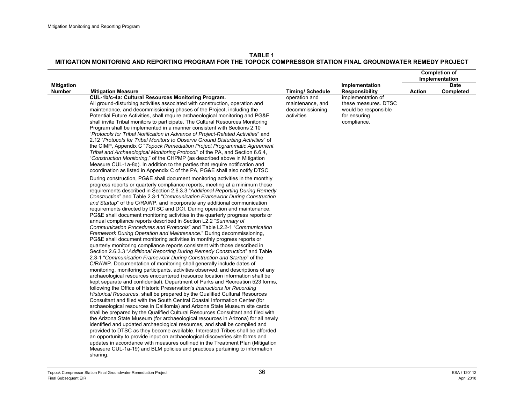|                                    |                                                                                                                                                                                                                                                                                                                                                                                                                                                                                                                                                                                                                                                                                                                                                                                                                                                                                                                                                                                                                                                                                                                                                                                                                                                                                                                                                                                                                                                                                                                                                                                                                                                                                                                                                                                                                                                                                                                                                                                                                                                                                                                                                                                                                                                                                                                                                                               |                                                                    |                                                                                                  |               | <b>Completion of</b><br>Implementation |
|------------------------------------|-------------------------------------------------------------------------------------------------------------------------------------------------------------------------------------------------------------------------------------------------------------------------------------------------------------------------------------------------------------------------------------------------------------------------------------------------------------------------------------------------------------------------------------------------------------------------------------------------------------------------------------------------------------------------------------------------------------------------------------------------------------------------------------------------------------------------------------------------------------------------------------------------------------------------------------------------------------------------------------------------------------------------------------------------------------------------------------------------------------------------------------------------------------------------------------------------------------------------------------------------------------------------------------------------------------------------------------------------------------------------------------------------------------------------------------------------------------------------------------------------------------------------------------------------------------------------------------------------------------------------------------------------------------------------------------------------------------------------------------------------------------------------------------------------------------------------------------------------------------------------------------------------------------------------------------------------------------------------------------------------------------------------------------------------------------------------------------------------------------------------------------------------------------------------------------------------------------------------------------------------------------------------------------------------------------------------------------------------------------------------------|--------------------------------------------------------------------|--------------------------------------------------------------------------------------------------|---------------|----------------------------------------|
|                                    |                                                                                                                                                                                                                                                                                                                                                                                                                                                                                                                                                                                                                                                                                                                                                                                                                                                                                                                                                                                                                                                                                                                                                                                                                                                                                                                                                                                                                                                                                                                                                                                                                                                                                                                                                                                                                                                                                                                                                                                                                                                                                                                                                                                                                                                                                                                                                                               |                                                                    |                                                                                                  |               | <b>Date</b>                            |
| <b>Mitigation</b><br><b>Number</b> | <b>Mitigation Measure</b>                                                                                                                                                                                                                                                                                                                                                                                                                                                                                                                                                                                                                                                                                                                                                                                                                                                                                                                                                                                                                                                                                                                                                                                                                                                                                                                                                                                                                                                                                                                                                                                                                                                                                                                                                                                                                                                                                                                                                                                                                                                                                                                                                                                                                                                                                                                                                     | <b>Timing/Schedule</b>                                             | Implementation<br><b>Responsibility</b>                                                          | <b>Action</b> | Completed                              |
|                                    | CUL-1b/c-4a: Cultural Resources Monitoring Program.<br>All ground-disturbing activities associated with construction, operation and<br>maintenance, and decommissioning phases of the Project, including the<br>Potential Future Activities, shall require archaeological monitoring and PG&E<br>shall invite Tribal monitors to participate. The Cultural Resources Monitoring<br>Program shall be implemented in a manner consistent with Sections 2.10<br>"Protocols for Tribal Notification in Advance of Project-Related Activities" and<br>2.12 "Protocols for Tribal Monitors to Observe Ground Disturbing Activities" of<br>the CIMP, Appendix C "Topock Remediation Project Programmatic Agreement<br>Tribal and Archaeological Monitoring Protocol' of the PA, and Section 6.6.4,<br>"Construction Monitoring," of the CHPMP (as described above in Mitigation<br>Measure CUL-1a-8q). In addition to the parties that require notification and<br>coordination as listed in Appendix C of the PA, PG&E shall also notify DTSC.                                                                                                                                                                                                                                                                                                                                                                                                                                                                                                                                                                                                                                                                                                                                                                                                                                                                                                                                                                                                                                                                                                                                                                                                                                                                                                                                      | operation and<br>maintenance, and<br>decommissioning<br>activities | implementation of<br>these measures. DTSC<br>would be responsible<br>for ensuring<br>compliance. |               |                                        |
|                                    | During construction, PG&E shall document monitoring activities in the monthly<br>progress reports or quarterly compliance reports, meeting at a minimum those<br>requirements described in Section 2.6.3.3 "Additional Reporting During Remedy<br>Construction" and Table 2.3-1 "Communication Framework During Construction<br>and Startup" of the C/RAWP, and incorporate any additional communication<br>requirements directed by DTSC and DOI. During operation and maintenance,<br>PG&E shall document monitoring activities in the quarterly progress reports or<br>annual compliance reports described in Section L2.2 "Summary of<br>Communication Procedures and Protocols" and Table L2.2-1 "Communication<br>Framework During Operation and Maintenance." During decommissioning,<br>PG&E shall document monitoring activities in monthly progress reports or<br>quarterly monitoring compliance reports consistent with those described in<br>Section 2.6.3.3 "Additional Reporting During Remedy Construction" and Table<br>2.3-1 "Communication Framework During Construction and Startup" of the<br>C/RAWP. Documentation of monitoring shall generally include dates of<br>monitoring, monitoring participants, activities observed, and descriptions of any<br>archaeological resources encountered (resource location information shall be<br>kept separate and confidential). Department of Parks and Recreation 523 forms,<br>following the Office of Historic Preservation's Instructions for Recording<br>Historical Resources, shall be prepared by the Qualified Cultural Resources<br>Consultant and filed with the South Central Coastal Information Center (for<br>archaeological resources in California) and Arizona State Museum site cards<br>shall be prepared by the Qualified Cultural Resources Consultant and filed with<br>the Arizona State Museum (for archaeological resources in Arizona) for all newly<br>identified and updated archaeological resources, and shall be compiled and<br>provided to DTSC as they become available. Interested Tribes shall be afforded<br>an opportunity to provide input on archaeological discoveries site forms and<br>updates in accordance with measures outlined in the Treatment Plan (Mitigation<br>Measure CUL-1a-19) and BLM policies and practices pertaining to information<br>sharing. |                                                                    |                                                                                                  |               |                                        |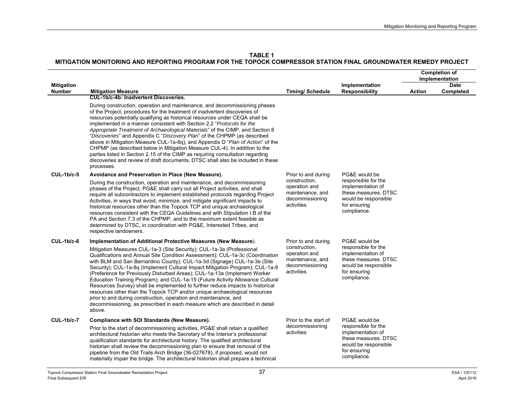**TABLE 1**

|                                    |                                                                                                                                                                                                                                                                                                                                                                                                                                                                                                                                                                                                                                                                                                                                                                                                                                    |                                                                                     |                                                                                                                                          |               | <b>Completion of</b><br>Implementation |
|------------------------------------|------------------------------------------------------------------------------------------------------------------------------------------------------------------------------------------------------------------------------------------------------------------------------------------------------------------------------------------------------------------------------------------------------------------------------------------------------------------------------------------------------------------------------------------------------------------------------------------------------------------------------------------------------------------------------------------------------------------------------------------------------------------------------------------------------------------------------------|-------------------------------------------------------------------------------------|------------------------------------------------------------------------------------------------------------------------------------------|---------------|----------------------------------------|
| <b>Mitigation</b><br><b>Number</b> | <b>Mitigation Measure</b>                                                                                                                                                                                                                                                                                                                                                                                                                                                                                                                                                                                                                                                                                                                                                                                                          | <b>Timing/Schedule</b>                                                              | Implementation<br><b>Responsibility</b>                                                                                                  | <b>Action</b> | <b>Date</b><br>Completed               |
|                                    | <b>CUL-1b/c-4b: Inadvertent Discoveries.</b>                                                                                                                                                                                                                                                                                                                                                                                                                                                                                                                                                                                                                                                                                                                                                                                       |                                                                                     |                                                                                                                                          |               |                                        |
|                                    | During construction, operation and maintenance, and decommissioning phases<br>of the Project, procedures for the treatment of inadvertent discoveries of<br>resources potentially qualifying as historical resources under CEQA shall be<br>implemented in a manner consistent with Section 2.2 "Protocols for the<br>Appropriate Treatment of Archaeological Materials" of the CIMP, and Section 8<br>"Discoveries" and Appendix C "Discovery Plan" of the CHPMP (as described<br>above in Mitigation Measure CUL-1a-8q), and Appendix D "Plan of Action" of the<br>CHPMP (as described below in Mitigation Measure CUL-4). In addition to the<br>parties listed in Section 2.15 of the CIMP as requiring consultation regarding<br>discoveries and review of draft documents, DTSC shall also be included in these<br>processes. |                                                                                     |                                                                                                                                          |               |                                        |
| $CUL-1b/c-5$                       | Avoidance and Preservation in Place (New Measure).                                                                                                                                                                                                                                                                                                                                                                                                                                                                                                                                                                                                                                                                                                                                                                                 | Prior to and during                                                                 | PG&E would be                                                                                                                            |               |                                        |
|                                    | During the construction, operation and maintenance, and decommissioning<br>phases of the Project, PG&E shall carry out all Project activities, and shall<br>require all subcontractors to implement established protocols regarding Project<br>Activities, in ways that avoid, minimize, and mitigate significant impacts to<br>historical resources other than the Topock TCP and unique archaeological<br>resources consistent with the CEQA Guidelines and with Stipulation I.B of the<br>PA and Section 7.3 of the CHPMP, and to the maximum extent feasible as<br>determined by DTSC, in coordination with PG&E, Interested Tribes, and<br>respective landowners.                                                                                                                                                             | construction,<br>operation and<br>maintenance, and<br>decommissioning<br>activities | responsible for the<br>implementation of<br>these measures. DTSC<br>would be responsible<br>for ensuring<br>compliance.                  |               |                                        |
| $CUL-1b/c-6$                       | Implementation of Additional Protective Measures (New Measure).                                                                                                                                                                                                                                                                                                                                                                                                                                                                                                                                                                                                                                                                                                                                                                    | Prior to and during                                                                 | PG&E would be                                                                                                                            |               |                                        |
|                                    | Mitigation Measures CUL-1a-3 (Site Security); CUL-1a-3a (Professional<br>Qualifications and Annual Site Condition Assessment); CUL-1a-3c (Coordination<br>with BLM and San Bernardino County); CUL-1a-3d (Signage) CUL-1a-3e (Site<br>Security); CUL-1a-8q (Implement Cultural Impact Mitigation Program); CUL-1a-9<br>(Preference for Previously Disturbed Areas); CUL-1a-13a (Implement Worker<br>Education Training Program); and CUL-1a-15 (Future Activity Allowance Cultural<br>Resources Survey) shall be implemented to further reduce impacts to historical<br>resources other than the Topock TCP and/or unique archaeological resources<br>prior to and during construction, operation and maintenance, and<br>decommissioning, as prescribed in each measure which are described in detail<br>above.                   | construction,<br>operation and<br>maintenance, and<br>decommissioning<br>activities | responsible for the<br>implementation of<br>these measures. DTSC<br>would be responsible<br>for ensuring<br>compliance.                  |               |                                        |
| <b>CUL-1b/c-7</b>                  | Compliance with SOI Standards (New Measure).<br>Prior to the start of decommissioning activities, PG&E shall retain a qualified<br>architectural historian who meets the Secretary of the Interior's professional<br>qualification standards for architectural history. The qualified architectural<br>historian shall review the decommissioning plan to ensure that removal of the<br>pipeline from the Old Trails Arch Bridge (36-027678), if proposed, would not<br>materially impair the bridge. The architectural historian shall prepare a technical                                                                                                                                                                                                                                                                        | Prior to the start of<br>decommissioning<br>activities                              | PG&E would be<br>responsible for the<br>implementation of<br>these measures. DTSC<br>would be responsible<br>for ensuring<br>compliance. |               |                                        |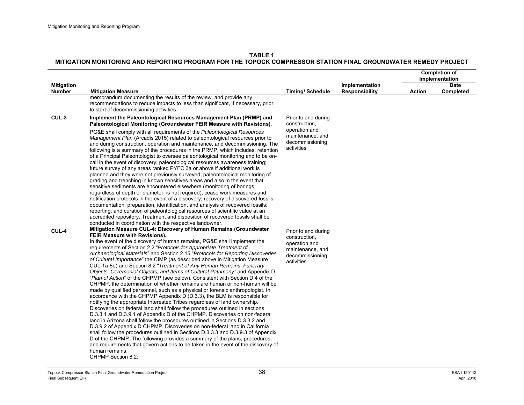|                                    |                                                                                                                                                                                                                                                                                                                                                                                                                                                                                                                                                                                                                                                                                                                                                                                                                                                                                                                                                                                                                                                                                                                                                                                                                                                                                                                                                                                                                                                                                                                                                                                                                       |                                                                                                            |                                         |               | <b>Completion of</b><br>Implementation |
|------------------------------------|-----------------------------------------------------------------------------------------------------------------------------------------------------------------------------------------------------------------------------------------------------------------------------------------------------------------------------------------------------------------------------------------------------------------------------------------------------------------------------------------------------------------------------------------------------------------------------------------------------------------------------------------------------------------------------------------------------------------------------------------------------------------------------------------------------------------------------------------------------------------------------------------------------------------------------------------------------------------------------------------------------------------------------------------------------------------------------------------------------------------------------------------------------------------------------------------------------------------------------------------------------------------------------------------------------------------------------------------------------------------------------------------------------------------------------------------------------------------------------------------------------------------------------------------------------------------------------------------------------------------------|------------------------------------------------------------------------------------------------------------|-----------------------------------------|---------------|----------------------------------------|
| <b>Mitigation</b><br><b>Number</b> | <b>Mitigation Measure</b>                                                                                                                                                                                                                                                                                                                                                                                                                                                                                                                                                                                                                                                                                                                                                                                                                                                                                                                                                                                                                                                                                                                                                                                                                                                                                                                                                                                                                                                                                                                                                                                             | <b>Timing/Schedule</b>                                                                                     | Implementation<br><b>Responsibility</b> | <b>Action</b> | <b>Date</b><br>Completed               |
|                                    | memorandum documenting the results of the review, and provide any<br>recommendations to reduce impacts to less than significant, if necessary, prior<br>to start of decommissioning activities.                                                                                                                                                                                                                                                                                                                                                                                                                                                                                                                                                                                                                                                                                                                                                                                                                                                                                                                                                                                                                                                                                                                                                                                                                                                                                                                                                                                                                       |                                                                                                            |                                         |               |                                        |
| CUL-3                              | Implement the Paleontological Resources Management Plan (PRMP) and<br>Paleontological Monitoring (Groundwater FEIR Measure with Revisions).                                                                                                                                                                                                                                                                                                                                                                                                                                                                                                                                                                                                                                                                                                                                                                                                                                                                                                                                                                                                                                                                                                                                                                                                                                                                                                                                                                                                                                                                           | Prior to and during<br>construction.                                                                       |                                         |               |                                        |
|                                    | PG&E shall comply with all requirements of the Paleontological Resources<br>Management Plan (Arcadis 2015) related to paleontological resources prior to<br>and during construction, operation and maintenance, and decommissioning. The<br>following is a summary of the procedures in the PRMP, which includes: retention<br>of a Principal Paleontologist to oversee paleontological monitoring and to be on-<br>call in the event of discovery; paleontological resources awareness training;<br>future survey of any areas ranked PYFC 3a or above if additional work is<br>planned and they were not previously surveyed; paleontological monitoring of<br>grading and trenching in known sensitives areas and also in the event that<br>sensitive sediments are encountered elsewhere (monitoring of borings,<br>regardless of depth or diameter, is not required); cease work measures and<br>notification protocols in the event of a discovery; recovery of discovered fossils;<br>documentation, preparation, identification, and analysis of recovered fossils;<br>reporting; and curation of paleontological resources of scientific value at an<br>accredited repository. Treatment and disposition of recovered fossils shall be<br>conducted in coordination with the respective landowner.                                                                                                                                                                                                                                                                                                           | operation and<br>maintenance, and<br>decommissioning<br>activities                                         |                                         |               |                                        |
| CUL-4                              | Mitigation Measure CUL-4: Discovery of Human Remains (Groundwater<br>FEIR Measure with Revisions).<br>In the event of the discovery of human remains, PG&E shall implement the<br>requirements of Section 2.2 "Protocols for Appropriate Treatment of<br>Archaeological Materials" and Section 2.15 "Protocols for Reporting Discoveries<br>of Cultural Importance" the CIMP (as described above in Mitigation Measure<br>CUL-1a-8q) and Section 8.2 "Treatment of Any Human Remains, Funerary<br>Objects, Ceremonial Objects, and Items of Cultural Patrimony" and Appendix D<br>"Plan of Action" of the CHPMP (see below). Consistent with Section D.4 of the<br>CHPMP, the determination of whether remains are human or non-human will be<br>made by qualified personnel, such as a physical or forensic anthropologist. In<br>accordance with the CHPMP Appendix $D(D.3.3)$ , the BLM is responsible for<br>notifying the appropriate Interested Tribes regardless of land ownership.<br>Discoveries on federal land shall follow the procedures outlined in sections<br>D.3.3.1 and D.3.9.1 of Appendix D of the CHPMP. Discoveries on non-federal<br>land in Arizona shall follow the procedures outlined in Sections D.3.3.2 and<br>D.3.9.2 of Appendix D CHPMP. Discoveries on non-federal land in California<br>shall follow the procedures outlined in Sections D.3.3.3 and D.3.9.3 of Appendix<br>D of the CHPMP. The following provides a summary of the plans, procedures,<br>and requirements that govern actions to be taken in the event of the discovery of<br>human remains.<br>CHPMP Section 8.2: | Prior to and during<br>construction,<br>operation and<br>maintenance, and<br>decommissioning<br>activities |                                         |               |                                        |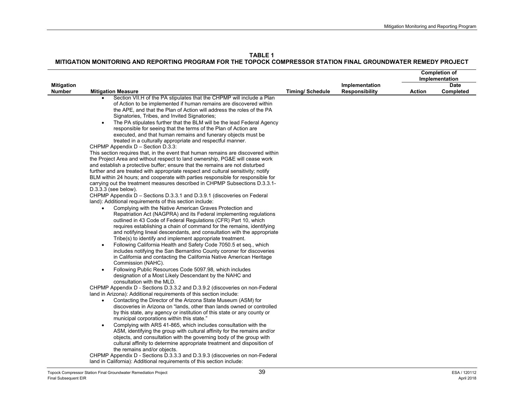|                                    |                                                                                                                                                                                                                                                                                                                                                                                                                                                                                                                                                                                                                                                                                                                                                                                                                                                                                                                                                                                                                                                                                                                                                                                                                                                                                                                                                                                                                                                                                                                                                                                                                                                                                                                                                                                                                                                                                                                                                                                                                                                                                                                                                                                                                                                                                                                                                                                                                                                                                                                                                                                                                                                                                                                                                                                                                                                                                                                                                                                                                                                                           |                        |                                         | <b>Completion of</b><br>Implementation |                          |
|------------------------------------|---------------------------------------------------------------------------------------------------------------------------------------------------------------------------------------------------------------------------------------------------------------------------------------------------------------------------------------------------------------------------------------------------------------------------------------------------------------------------------------------------------------------------------------------------------------------------------------------------------------------------------------------------------------------------------------------------------------------------------------------------------------------------------------------------------------------------------------------------------------------------------------------------------------------------------------------------------------------------------------------------------------------------------------------------------------------------------------------------------------------------------------------------------------------------------------------------------------------------------------------------------------------------------------------------------------------------------------------------------------------------------------------------------------------------------------------------------------------------------------------------------------------------------------------------------------------------------------------------------------------------------------------------------------------------------------------------------------------------------------------------------------------------------------------------------------------------------------------------------------------------------------------------------------------------------------------------------------------------------------------------------------------------------------------------------------------------------------------------------------------------------------------------------------------------------------------------------------------------------------------------------------------------------------------------------------------------------------------------------------------------------------------------------------------------------------------------------------------------------------------------------------------------------------------------------------------------------------------------------------------------------------------------------------------------------------------------------------------------------------------------------------------------------------------------------------------------------------------------------------------------------------------------------------------------------------------------------------------------------------------------------------------------------------------------------------------------|------------------------|-----------------------------------------|----------------------------------------|--------------------------|
| <b>Mitigation</b><br><b>Number</b> | <b>Mitigation Measure</b>                                                                                                                                                                                                                                                                                                                                                                                                                                                                                                                                                                                                                                                                                                                                                                                                                                                                                                                                                                                                                                                                                                                                                                                                                                                                                                                                                                                                                                                                                                                                                                                                                                                                                                                                                                                                                                                                                                                                                                                                                                                                                                                                                                                                                                                                                                                                                                                                                                                                                                                                                                                                                                                                                                                                                                                                                                                                                                                                                                                                                                                 | <b>Timing/Schedule</b> | Implementation<br><b>Responsibility</b> | Action                                 | <b>Date</b><br>Completed |
|                                    | Section VII.H of the PA stipulates that the CHPMP will include a Plan<br>of Action to be implemented if human remains are discovered within<br>the APE, and that the Plan of Action will address the roles of the PA<br>Signatories, Tribes, and Invited Signatories;<br>The PA stipulates further that the BLM will be the lead Federal Agency<br>$\bullet$<br>responsible for seeing that the terms of the Plan of Action are<br>executed, and that human remains and funerary objects must be<br>treated in a culturally appropriate and respectful manner.<br>CHPMP Appendix D - Section D.3.3:<br>This section requires that, in the event that human remains are discovered within<br>the Project Area and without respect to land ownership, PG&E will cease work<br>and establish a protective buffer; ensure that the remains are not disturbed<br>further and are treated with appropriate respect and cultural sensitivity; notify<br>BLM within 24 hours; and cooperate with parties responsible for responsible for<br>carrying out the treatment measures described in CHPMP Subsections D.3.3.1-<br>$D.3.3.3$ (see below).<br>CHPMP Appendix D - Sections D.3.3.1 and D.3.9.1 (discoveries on Federal<br>land): Additional requirements of this section include:<br>Complying with the Native American Graves Protection and<br>Repatriation Act (NAGPRA) and its Federal implementing regulations<br>outlined in 43 Code of Federal Regulations (CFR) Part 10, which<br>requires establishing a chain of command for the remains, identifying<br>and notifying lineal descendants, and consultation with the appropriate<br>Tribe(s) to identify and implement appropriate treatment.<br>Following California Health and Safety Code 7050.5 et seq., which<br>$\bullet$<br>includes notifying the San Bernardino County coroner for discoveries<br>in California and contacting the California Native American Heritage<br>Commission (NAHC).<br>Following Public Resources Code 5097.98, which includes<br>$\bullet$<br>designation of a Most Likely Descendant by the NAHC and<br>consultation with the MLD.<br>CHPMP Appendix D - Sections D.3.3.2 and D.3.9.2 (discoveries on non-Federal<br>land in Arizona): Additional requirements of this section include:<br>Contacting the Director of the Arizona State Museum (ASM) for<br>$\bullet$<br>discoveries in Arizona on "lands, other than lands owned or controlled<br>by this state, any agency or institution of this state or any county or<br>municipal corporations within this state."<br>Complying with ARS 41-865, which includes consultation with the<br>$\bullet$<br>ASM, identifying the group with cultural affinity for the remains and/or<br>objects, and consultation with the governing body of the group with<br>cultural affinity to determine appropriate treatment and disposition of<br>the remains and/or objects.<br>CHPMP Appendix D - Sections D.3.3.3 and D.3.9.3 (discoveries on non-Federal<br>land in California): Additional requirements of this section include: |                        |                                         |                                        |                          |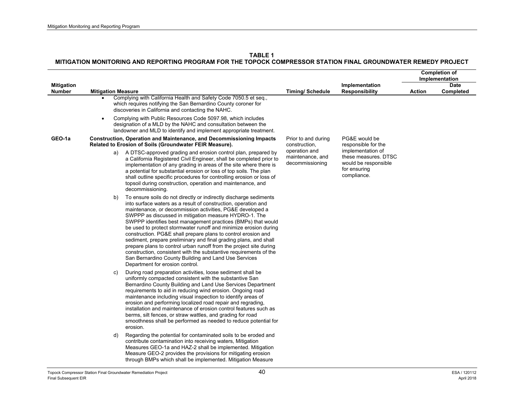|                                    |                                                                                                                                                                                                                                                                                                                                                                                                                                                                                                                                                                                                                                                                                                                                                                                |                                                      |                                                                                                  |               | <b>Completion of</b><br>Implementation |
|------------------------------------|--------------------------------------------------------------------------------------------------------------------------------------------------------------------------------------------------------------------------------------------------------------------------------------------------------------------------------------------------------------------------------------------------------------------------------------------------------------------------------------------------------------------------------------------------------------------------------------------------------------------------------------------------------------------------------------------------------------------------------------------------------------------------------|------------------------------------------------------|--------------------------------------------------------------------------------------------------|---------------|----------------------------------------|
| <b>Mitigation</b><br><b>Number</b> | <b>Mitigation Measure</b>                                                                                                                                                                                                                                                                                                                                                                                                                                                                                                                                                                                                                                                                                                                                                      | <b>Timing/Schedule</b>                               | Implementation<br><b>Responsibility</b>                                                          | <b>Action</b> | Date<br>Completed                      |
|                                    | Complying with California Health and Safety Code 7050.5 et seq.,<br>which requires notifying the San Bernardino County coroner for<br>discoveries in California and contacting the NAHC.                                                                                                                                                                                                                                                                                                                                                                                                                                                                                                                                                                                       |                                                      |                                                                                                  |               |                                        |
|                                    | Complying with Public Resources Code 5097.98, which includes<br>$\bullet$<br>designation of a MLD by the NAHC and consultation between the<br>landowner and MLD to identify and implement appropriate treatment.                                                                                                                                                                                                                                                                                                                                                                                                                                                                                                                                                               |                                                      |                                                                                                  |               |                                        |
| GEO-1a                             | <b>Construction, Operation and Maintenance, and Decommissioning Impacts</b><br>Related to Erosion of Soils (Groundwater FEIR Measure).                                                                                                                                                                                                                                                                                                                                                                                                                                                                                                                                                                                                                                         | Prior to and during<br>construction,                 | PG&E would be<br>responsible for the                                                             |               |                                        |
|                                    | A DTSC-approved grading and erosion control plan, prepared by<br>a)<br>a California Registered Civil Engineer, shall be completed prior to<br>implementation of any grading in areas of the site where there is<br>a potential for substantial erosion or loss of top soils. The plan<br>shall outline specific procedures for controlling erosion or loss of<br>topsoil during construction, operation and maintenance, and<br>decommissioning.                                                                                                                                                                                                                                                                                                                               | operation and<br>maintenance, and<br>decommissioning | implementation of<br>these measures. DTSC<br>would be responsible<br>for ensuring<br>compliance. |               |                                        |
|                                    | To ensure soils do not directly or indirectly discharge sediments<br>b)<br>into surface waters as a result of construction, operation and<br>maintenance, or decommission activities, PG&E developed a<br>SWPPP as discussed in mitigation measure HYDRO-1. The<br>SWPPP identifies best management practices (BMPs) that would<br>be used to protect stormwater runoff and minimize erosion during<br>construction. PG&E shall prepare plans to control erosion and<br>sediment, prepare preliminary and final grading plans, and shall<br>prepare plans to control urban runoff from the project site during<br>construction, consistent with the substantive requirements of the<br>San Bernardino County Building and Land Use Services<br>Department for erosion control. |                                                      |                                                                                                  |               |                                        |
|                                    | During road preparation activities, loose sediment shall be<br>C)<br>uniformly compacted consistent with the substantive San<br>Bernardino County Building and Land Use Services Department<br>requirements to aid in reducing wind erosion. Ongoing road<br>maintenance including visual inspection to identify areas of<br>erosion and performing localized road repair and regrading,<br>installation and maintenance of erosion control features such as<br>berms, silt fences, or straw wattles, and grading for road<br>smoothness shall be performed as needed to reduce potential for<br>erosion.                                                                                                                                                                      |                                                      |                                                                                                  |               |                                        |
|                                    | Regarding the potential for contaminated soils to be eroded and<br>d)<br>contribute contamination into receiving waters, Mitigation<br>Measures GEO-1a and HAZ-2 shall be implemented. Mitigation<br>Measure GEO-2 provides the provisions for mitigating erosion<br>through BMPs which shall be implemented. Mitigation Measure                                                                                                                                                                                                                                                                                                                                                                                                                                               |                                                      |                                                                                                  |               |                                        |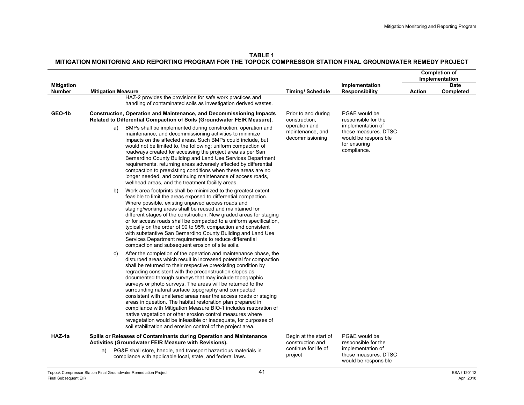**TABLE 1**

|                                    |                                                                                                                                                                                                                                                                                                                                                                                                                                                                                                                                                                                                                                                                                                                                                                                                                                                                   |                                                      |                                                                                                  | <b>Completion of</b><br>Implementation |                          |
|------------------------------------|-------------------------------------------------------------------------------------------------------------------------------------------------------------------------------------------------------------------------------------------------------------------------------------------------------------------------------------------------------------------------------------------------------------------------------------------------------------------------------------------------------------------------------------------------------------------------------------------------------------------------------------------------------------------------------------------------------------------------------------------------------------------------------------------------------------------------------------------------------------------|------------------------------------------------------|--------------------------------------------------------------------------------------------------|----------------------------------------|--------------------------|
| <b>Mitigation</b><br><b>Number</b> | <b>Mitigation Measure</b>                                                                                                                                                                                                                                                                                                                                                                                                                                                                                                                                                                                                                                                                                                                                                                                                                                         | <b>Timing/Schedule</b>                               | Implementation<br><b>Responsibility</b>                                                          | <b>Action</b>                          | <b>Date</b><br>Completed |
|                                    | HAZ-2 provides the provisions for safe work practices and<br>handling of contaminated soils as investigation derived wastes.                                                                                                                                                                                                                                                                                                                                                                                                                                                                                                                                                                                                                                                                                                                                      |                                                      |                                                                                                  |                                        |                          |
| GEO-1b                             | <b>Construction, Operation and Maintenance, and Decommissioning Impacts</b><br>Related to Differential Compaction of Soils (Groundwater FEIR Measure).                                                                                                                                                                                                                                                                                                                                                                                                                                                                                                                                                                                                                                                                                                            | Prior to and during<br>construction,                 | PG&E would be<br>responsible for the                                                             |                                        |                          |
|                                    | BMPs shall be implemented during construction, operation and<br>a)<br>maintenance, and decommissioning activities to minimize<br>impacts on the affected areas. Such BMPs could include, but<br>would not be limited to, the following: uniform compaction of<br>roadways created for accessing the project area as per San<br>Bernardino County Building and Land Use Services Department<br>requirements, returning areas adversely affected by differential<br>compaction to preexisting conditions when these areas are no<br>longer needed, and continuing maintenance of access roads,<br>wellhead areas, and the treatment facility areas.                                                                                                                                                                                                                 | operation and<br>maintenance, and<br>decommissioning | implementation of<br>these measures. DTSC<br>would be responsible<br>for ensuring<br>compliance. |                                        |                          |
|                                    | Work area footprints shall be minimized to the greatest extent<br>b)<br>feasible to limit the areas exposed to differential compaction.<br>Where possible, existing unpaved access roads and<br>staging/working areas shall be reused and maintained for<br>different stages of the construction. New graded areas for staging<br>or for access roads shall be compacted to a uniform specification,<br>typically on the order of 90 to 95% compaction and consistent<br>with substantive San Bernardino County Building and Land Use<br>Services Department requirements to reduce differential<br>compaction and subsequent erosion of site soils.                                                                                                                                                                                                              |                                                      |                                                                                                  |                                        |                          |
|                                    | After the completion of the operation and maintenance phase, the<br>C)<br>disturbed areas which result in increased potential for compaction<br>shall be returned to their respective preexisting condition by<br>regrading consistent with the preconstruction slopes as<br>documented through surveys that may include topographic<br>surveys or photo surveys. The areas will be returned to the<br>surrounding natural surface topography and compacted<br>consistent with unaltered areas near the access roads or staging<br>areas in question. The habitat restoration plan prepared in<br>compliance with Mitigation Measure BIO-1 includes restoration of<br>native vegetation or other erosion control measures where<br>revegetation would be infeasible or inadequate, for purposes of<br>soil stabilization and erosion control of the project area. |                                                      |                                                                                                  |                                        |                          |
| HAZ-1a                             | Spills or Releases of Contaminants during Operation and Maintenance<br>Activities (Groundwater FEIR Measure with Revisions).                                                                                                                                                                                                                                                                                                                                                                                                                                                                                                                                                                                                                                                                                                                                      | Begin at the start of<br>construction and            | PG&E would be<br>responsible for the                                                             |                                        |                          |
|                                    | PG&E shall store, handle, and transport hazardous materials in<br>a)<br>compliance with applicable local, state, and federal laws.                                                                                                                                                                                                                                                                                                                                                                                                                                                                                                                                                                                                                                                                                                                                | continue for life of<br>project                      | implementation of<br>these measures. DTSC<br>would be responsible                                |                                        |                          |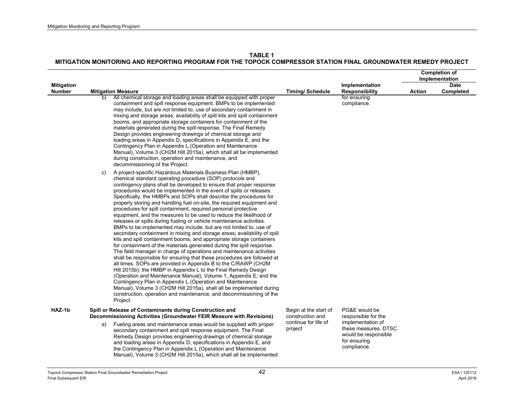|                             |                           |                                                                                                                                                                                                                                                                                                                                                                                                                                                                                                                                                                                                                                                                                                                                                                                                                                                                                                                                                                                                                                                                                                                                                                                                                                                                                                                                                                                                                                                                                                                     |                                           | <b>Completion of</b><br>Implementation                                                           |               |                   |
|-----------------------------|---------------------------|---------------------------------------------------------------------------------------------------------------------------------------------------------------------------------------------------------------------------------------------------------------------------------------------------------------------------------------------------------------------------------------------------------------------------------------------------------------------------------------------------------------------------------------------------------------------------------------------------------------------------------------------------------------------------------------------------------------------------------------------------------------------------------------------------------------------------------------------------------------------------------------------------------------------------------------------------------------------------------------------------------------------------------------------------------------------------------------------------------------------------------------------------------------------------------------------------------------------------------------------------------------------------------------------------------------------------------------------------------------------------------------------------------------------------------------------------------------------------------------------------------------------|-------------------------------------------|--------------------------------------------------------------------------------------------------|---------------|-------------------|
| <b>Mitigation</b><br>Number | <b>Mitigation Measure</b> |                                                                                                                                                                                                                                                                                                                                                                                                                                                                                                                                                                                                                                                                                                                                                                                                                                                                                                                                                                                                                                                                                                                                                                                                                                                                                                                                                                                                                                                                                                                     | <b>Timing/Schedule</b>                    | Implementation<br><b>Responsibility</b>                                                          | <b>Action</b> | Date<br>Completed |
|                             | b)                        | All chemical storage and loading areas shall be equipped with proper<br>containment and spill response equipment. BMPs to be implemented<br>may include, but are not limited to, use of secondary containment in<br>mixing and storage areas; availability of spill kits and spill containment<br>booms, and appropriate storage containers for containment of the<br>materials generated during the spill response. The Final Remedy<br>Design provides engineering drawings of chemical storage and<br>loading areas in Appendix D, specifications in Appendix E, and the<br>Contingency Plan in Appendix L (Operation and Maintenance<br>Manual), Volume 3 (CH2M Hill 2015a), which shall all be implemented<br>during construction, operation and maintenance, and<br>decommissioning of the Project.                                                                                                                                                                                                                                                                                                                                                                                                                                                                                                                                                                                                                                                                                                           |                                           | for ensuring<br>compliance.                                                                      |               |                   |
|                             | C)<br>Project.            | A project-specific Hazardous Materials Business Plan (HMBP),<br>chemical standard operating procedure (SOP) protocols and<br>contingency plans shall be developed to ensure that proper response<br>procedures would be implemented in the event of spills or releases.<br>Specifically, the HMBPs and SOPs shall describe the procedures for<br>properly storing and handling fuel on-site, the required equipment and<br>procedures for spill containment, required personal protective<br>equipment, and the measures to be used to reduce the likelihood of<br>releases or spills during fueling or vehicle maintenance activities.<br>BMPs to be implemented may include, but are not limited to, use of<br>secondary containment in mixing and storage areas; availability of spill<br>kits and spill containment booms, and appropriate storage containers<br>for containment of the materials generated during the spill response.<br>The field manager in charge of operations and maintenance activities<br>shall be responsible for ensuring that these procedures are followed at<br>all times. SOPs are provided in Appendix B to the C/RAWP (CH2M)<br>Hill 2015b); the HMBP in Appendix L to the Final Remedy Design<br>(Operation and Maintenance Manual), Volume 1, Appendix E; and the<br>Contingency Plan in Appendix L (Operation and Maintenance<br>Manual), Volume 3 (CH2M Hill 2015a), shall all be implemented during<br>construction, operation and maintenance, and decommissioning of the |                                           |                                                                                                  |               |                   |
| HAZ-1b                      |                           | Spill or Release of Contaminants during Construction and<br>Decommissioning Activities (Groundwater FEIR Measure with Revisions).                                                                                                                                                                                                                                                                                                                                                                                                                                                                                                                                                                                                                                                                                                                                                                                                                                                                                                                                                                                                                                                                                                                                                                                                                                                                                                                                                                                   | Begin at the start of<br>construction and | PG&E would be<br>responsible for the                                                             |               |                   |
|                             | a)                        | Fueling areas and maintenance areas would be supplied with proper<br>secondary containment and spill response equipment. The Final<br>Remedy Design provides engineering drawings of chemical storage<br>and loading areas in Appendix D, specifications in Appendix E, and<br>the Contingency Plan in Appendix L (Operation and Maintenance<br>Manual), Volume 3 (CH2M Hill 2015a), which shall all be implemented                                                                                                                                                                                                                                                                                                                                                                                                                                                                                                                                                                                                                                                                                                                                                                                                                                                                                                                                                                                                                                                                                                 | continue for life of<br>project           | implementation of<br>these measures. DTSC<br>would be responsible<br>for ensuring<br>compliance. |               |                   |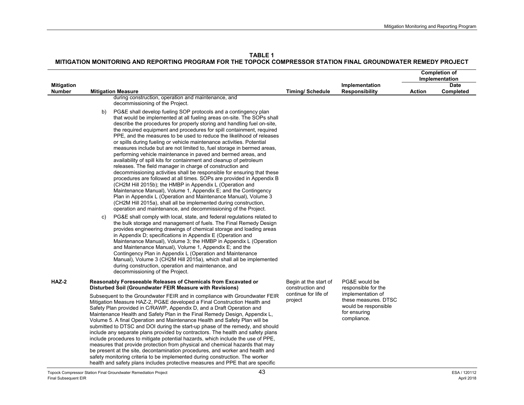**TABLE 1MITIGATION MONITORING AND REPORTING PROGRAM FOR THE TOPOCK COMPRESSOR STATION FINAL GROUNDWATER REMEDY PROJECT** 

|                                    |                                                                                                                                                                                                                                                                                                                                                                                                                                                                                                                                                                                                                                                                                                                                                                                                                                                                                                                                                                                                                                                                                                                                                                                                                                 |                                           |                                                                                                  |        | <b>Completion of</b>          |
|------------------------------------|---------------------------------------------------------------------------------------------------------------------------------------------------------------------------------------------------------------------------------------------------------------------------------------------------------------------------------------------------------------------------------------------------------------------------------------------------------------------------------------------------------------------------------------------------------------------------------------------------------------------------------------------------------------------------------------------------------------------------------------------------------------------------------------------------------------------------------------------------------------------------------------------------------------------------------------------------------------------------------------------------------------------------------------------------------------------------------------------------------------------------------------------------------------------------------------------------------------------------------|-------------------------------------------|--------------------------------------------------------------------------------------------------|--------|-------------------------------|
|                                    |                                                                                                                                                                                                                                                                                                                                                                                                                                                                                                                                                                                                                                                                                                                                                                                                                                                                                                                                                                                                                                                                                                                                                                                                                                 |                                           |                                                                                                  |        | Implementation<br><b>Date</b> |
| <b>Mitigation</b><br><b>Number</b> | <b>Mitigation Measure</b>                                                                                                                                                                                                                                                                                                                                                                                                                                                                                                                                                                                                                                                                                                                                                                                                                                                                                                                                                                                                                                                                                                                                                                                                       | <b>Timing/ Schedule</b>                   | Implementation<br><b>Responsibility</b>                                                          | Action | Completed                     |
|                                    | during construction, operation and maintenance, and<br>decommissioning of the Project.                                                                                                                                                                                                                                                                                                                                                                                                                                                                                                                                                                                                                                                                                                                                                                                                                                                                                                                                                                                                                                                                                                                                          |                                           |                                                                                                  |        |                               |
|                                    | PG&E shall develop fueling SOP protocols and a contingency plan<br>b)<br>that would be implemented at all fueling areas on-site. The SOPs shall<br>describe the procedures for properly storing and handling fuel on-site,<br>the required equipment and procedures for spill containment, required<br>PPE, and the measures to be used to reduce the likelihood of releases<br>or spills during fueling or vehicle maintenance activities. Potential<br>measures include but are not limited to, fuel storage in bermed areas,<br>performing vehicle maintenance in paved and bermed areas, and<br>availability of spill kits for containment and cleanup of petroleum<br>releases. The field manager in charge of construction and<br>decommissioning activities shall be responsible for ensuring that these<br>procedures are followed at all times. SOPs are provided in Appendix B<br>(CH2M Hill 2015b); the HMBP in Appendix L (Operation and<br>Maintenance Manual), Volume 1, Appendix E; and the Contingency<br>Plan in Appendix L (Operation and Maintenance Manual), Volume 3<br>(CH2M Hill 2015a), shall all be implemented during construction,<br>operation and maintenance, and decommissioning of the Project. |                                           |                                                                                                  |        |                               |
|                                    | PG&E shall comply with local, state, and federal regulations related to<br>C)<br>the bulk storage and management of fuels. The Final Remedy Design<br>provides engineering drawings of chemical storage and loading areas<br>in Appendix D; specifications in Appendix E (Operation and<br>Maintenance Manual), Volume 3; the HMBP in Appendix L (Operation<br>and Maintenance Manual), Volume 1, Appendix E; and the<br>Contingency Plan in Appendix L (Operation and Maintenance<br>Manual), Volume 3 (CH2M Hill 2015a), which shall all be implemented<br>during construction, operation and maintenance, and<br>decommissioning of the Project.                                                                                                                                                                                                                                                                                                                                                                                                                                                                                                                                                                             |                                           |                                                                                                  |        |                               |
| HAZ-2                              | Reasonably Foreseeable Releases of Chemicals from Excavated or<br>Disturbed Soil (Groundwater FEIR Measure with Revisions)                                                                                                                                                                                                                                                                                                                                                                                                                                                                                                                                                                                                                                                                                                                                                                                                                                                                                                                                                                                                                                                                                                      | Begin at the start of<br>construction and | PG&E would be<br>responsible for the                                                             |        |                               |
|                                    | Subsequent to the Groundwater FEIR and in compliance with Groundwater FEIR<br>Mitigation Measure HAZ-2, PG&E developed a Final Construction Health and<br>Safety Plan provided in C/RAWP, Appendix D, and a Draft Operation and<br>Maintenance Health and Safety Plan in the Final Remedy Design, Appendix L.<br>Volume 5. A final Operation and Maintenance Health and Safety Plan will be<br>submitted to DTSC and DOI during the start-up phase of the remedy, and should<br>include any separate plans provided by contractors. The health and safety plans<br>include procedures to mitigate potential hazards, which include the use of PPE,<br>measures that provide protection from physical and chemical hazards that may<br>be present at the site, decontamination procedures, and worker and health and<br>safety monitoring criteria to be implemented during construction. The worker<br>health and safety plans includes protective measures and PPE that are specific                                                                                                                                                                                                                                           | continue for life of<br>project           | implementation of<br>these measures. DTSC<br>would be responsible<br>for ensuring<br>compliance. |        |                               |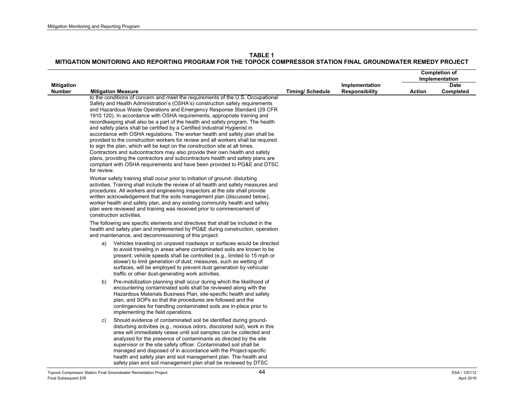|                                    |             |                                                                                                                                                                                                                                                                                                                                                                                                                                                                                                                                                                                                                                                                                                                                                                                                                                                                                                                                                                                            |                        |                                         | <b>Completion of</b><br>Implementation |           |
|------------------------------------|-------------|--------------------------------------------------------------------------------------------------------------------------------------------------------------------------------------------------------------------------------------------------------------------------------------------------------------------------------------------------------------------------------------------------------------------------------------------------------------------------------------------------------------------------------------------------------------------------------------------------------------------------------------------------------------------------------------------------------------------------------------------------------------------------------------------------------------------------------------------------------------------------------------------------------------------------------------------------------------------------------------------|------------------------|-----------------------------------------|----------------------------------------|-----------|
|                                    |             |                                                                                                                                                                                                                                                                                                                                                                                                                                                                                                                                                                                                                                                                                                                                                                                                                                                                                                                                                                                            |                        |                                         | <b>Date</b>                            |           |
| <b>Mitigation</b><br><b>Number</b> |             | <b>Mitigation Measure</b>                                                                                                                                                                                                                                                                                                                                                                                                                                                                                                                                                                                                                                                                                                                                                                                                                                                                                                                                                                  | <b>Timing/Schedule</b> | Implementation<br><b>Responsibility</b> | <b>Action</b>                          | Completed |
|                                    | for review. | to the conditions of concern and meet the requirements of the U.S. Occupational<br>Safety and Health Administration's (OSHA's) construction safety requirements<br>and Hazardous Waste Operations and Emergency Response Standard (29 CFR)<br>1910.120). In accordance with OSHA requirements, appropriate training and<br>recordkeeping shall also be a part of the health and safety program. The health<br>and safety plans shall be certified by a Certified Industrial Hygienist in<br>accordance with OSHA regulations. The worker health and safety plan shall be<br>provided to the construction workers for review and all workers shall be required<br>to sign the plan, which will be kept on the construction site at all times.<br>Contractors and subcontractors may also provide their own health and safety<br>plans, providing the contractors and subcontractors health and safety plans are<br>compliant with OSHA requirements and have been provided to PG&E and DTSC |                        |                                         |                                        |           |
|                                    |             | Worker safety training shall occur prior to initiation of ground-disturbing<br>activities. Training shall include the review of all health and safety measures and<br>procedures. All workers and engineering inspectors at the site shall provide<br>written acknowledgement that the soils management plan (discussed below),<br>worker health and safety plan, and any existing community health and safety<br>plan were reviewed and training was received prior to commencement of<br>construction activities.                                                                                                                                                                                                                                                                                                                                                                                                                                                                        |                        |                                         |                                        |           |
|                                    |             | The following are specific elements and directives that shall be included in the<br>health and safety plan and implemented by PG&E during construction, operation<br>and maintenance, and decommissioning of this project:                                                                                                                                                                                                                                                                                                                                                                                                                                                                                                                                                                                                                                                                                                                                                                 |                        |                                         |                                        |           |
|                                    | a)          | Vehicles traveling on unpaved roadways or surfaces would be directed<br>to avoid traveling in areas where contaminated soils are known to be<br>present; vehicle speeds shall be controlled (e.g., limited to 15 mph or<br>slower) to limit generation of dust; measures, such as wetting of<br>surfaces, will be employed to prevent dust generation by vehicular<br>traffic or other dust-generating work activities.                                                                                                                                                                                                                                                                                                                                                                                                                                                                                                                                                                    |                        |                                         |                                        |           |
|                                    | b)          | Pre-mobilization planning shall occur during which the likelihood of<br>encountering contaminated soils shall be reviewed along with the<br>Hazardous Materials Business Plan, site-specific health and safety<br>plan, and SOPs so that the procedures are followed and the<br>contingencies for handling contaminated soils are in-place prior to<br>implementing the field operations.                                                                                                                                                                                                                                                                                                                                                                                                                                                                                                                                                                                                  |                        |                                         |                                        |           |
|                                    | C)          | Should evidence of contaminated soil be identified during ground-<br>disturbing activities (e.g., noxious odors, discolored soil), work in this<br>area will immediately cease until soil samples can be collected and<br>analyzed for the presence of contaminants as directed by the site<br>supervisor or the site safety officer. Contaminated soil shall be<br>managed and disposed of in accordance with the Project-specific<br>health and safety plan and soil management plan. The health and<br>safety plan and soil management plan shall be reviewed by DTSC                                                                                                                                                                                                                                                                                                                                                                                                                   |                        |                                         |                                        |           |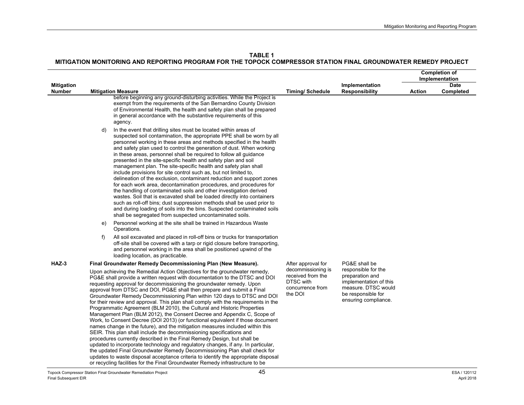**TABLE 1**

|                   |                |                                                                                                                                                                                                                                                                                                                                                                                                                                                                                                                                                                                                                                                                                                                                                                                                                                                                                                                                                                                                                                                                                                                                                                                                                                                                                                 |                                                                                     |                                                                                                                                       |               | <b>Completion of</b>          |
|-------------------|----------------|-------------------------------------------------------------------------------------------------------------------------------------------------------------------------------------------------------------------------------------------------------------------------------------------------------------------------------------------------------------------------------------------------------------------------------------------------------------------------------------------------------------------------------------------------------------------------------------------------------------------------------------------------------------------------------------------------------------------------------------------------------------------------------------------------------------------------------------------------------------------------------------------------------------------------------------------------------------------------------------------------------------------------------------------------------------------------------------------------------------------------------------------------------------------------------------------------------------------------------------------------------------------------------------------------|-------------------------------------------------------------------------------------|---------------------------------------------------------------------------------------------------------------------------------------|---------------|-------------------------------|
| <b>Mitigation</b> |                |                                                                                                                                                                                                                                                                                                                                                                                                                                                                                                                                                                                                                                                                                                                                                                                                                                                                                                                                                                                                                                                                                                                                                                                                                                                                                                 |                                                                                     | Implementation                                                                                                                        |               | Implementation<br><b>Date</b> |
| <b>Number</b>     |                | <b>Mitigation Measure</b>                                                                                                                                                                                                                                                                                                                                                                                                                                                                                                                                                                                                                                                                                                                                                                                                                                                                                                                                                                                                                                                                                                                                                                                                                                                                       | <b>Timing/Schedule</b>                                                              | <b>Responsibility</b>                                                                                                                 | <b>Action</b> | Completed                     |
|                   |                | before beginning any ground-disturbing activities. While the Project is<br>exempt from the requirements of the San Bernardino County Division<br>of Environmental Health, the health and safety plan shall be prepared<br>in general accordance with the substantive requirements of this<br>agency.                                                                                                                                                                                                                                                                                                                                                                                                                                                                                                                                                                                                                                                                                                                                                                                                                                                                                                                                                                                            |                                                                                     |                                                                                                                                       |               |                               |
|                   | d)<br>e)<br>f) | In the event that drilling sites must be located within areas of<br>suspected soil contamination, the appropriate PPE shall be worn by all<br>personnel working in these areas and methods specified in the health<br>and safety plan used to control the generation of dust. When working<br>in these areas, personnel shall be required to follow all guidance<br>presented in the site-specific health and safety plan and soil<br>management plan. The site-specific health and safety plan shall<br>include provisions for site control such as, but not limited to,<br>delineation of the exclusion, contaminant reduction and support zones<br>for each work area, decontamination procedures, and procedures for<br>the handling of contaminated soils and other investigation derived<br>wastes. Soil that is excavated shall be loaded directly into containers<br>such as roll-off bins; dust suppression methods shall be used prior to<br>and during loading of soils into the bins. Suspected contaminated soils<br>shall be segregated from suspected uncontaminated soils.<br>Personnel working at the site shall be trained in Hazardous Waste<br>Operations.<br>All soil excavated and placed in roll-off bins or trucks for transportation                                   |                                                                                     |                                                                                                                                       |               |                               |
|                   |                | off-site shall be covered with a tarp or rigid closure before transporting,<br>and personnel working in the area shall be positioned upwind of the<br>loading location, as practicable.                                                                                                                                                                                                                                                                                                                                                                                                                                                                                                                                                                                                                                                                                                                                                                                                                                                                                                                                                                                                                                                                                                         |                                                                                     |                                                                                                                                       |               |                               |
| HAZ-3             |                | Final Groundwater Remedy Decommissioning Plan (New Measure).                                                                                                                                                                                                                                                                                                                                                                                                                                                                                                                                                                                                                                                                                                                                                                                                                                                                                                                                                                                                                                                                                                                                                                                                                                    | After approval for                                                                  | PG&E shall be                                                                                                                         |               |                               |
|                   |                | Upon achieving the Remedial Action Objectives for the groundwater remedy,<br>PG&E shall provide a written request with documentation to the DTSC and DOI<br>requesting approval for decommissioning the groundwater remedy. Upon<br>approval from DTSC and DOI, PG&E shall then prepare and submit a Final<br>Groundwater Remedy Decommissioning Plan within 120 days to DTSC and DOI<br>for their review and approval. This plan shall comply with the requirements in the<br>Programmatic Agreement (BLM 2010), the Cultural and Historic Properties<br>Management Plan (BLM 2012), the Consent Decree and Appendix C, Scope of<br>Work, to Consent Decree (DOI 2013) (or functional equivalent if those document<br>names change in the future), and the mitigation measures included within this<br>SEIR. This plan shall include the decommissioning specifications and<br>procedures currently described in the Final Remedy Design, but shall be<br>updated to incorporate technology and regulatory changes, if any. In particular,<br>the updated Final Groundwater Remedy Decommissioning Plan shall check for<br>updates to waste disposal acceptance criteria to identify the appropriate disposal<br>or recycling facilities for the Final Groundwater Remedy infrastructure to be | decommissioning is<br>received from the<br>DTSC with<br>concurrence from<br>the DOI | responsible for the<br>preparation and<br>implementation of this<br>measure. DTSC would<br>be responsible for<br>ensuring compliance. |               |                               |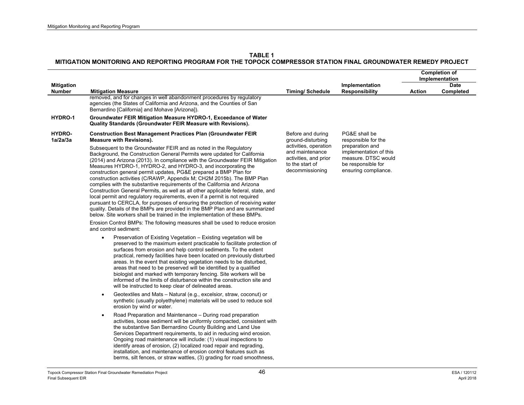|                                    |                                                                                                                                                                                                                                                                                                                                                                                                                                                                                                                                                                                                                                                                                                                                                                                                                                                                                                                                              |                                                                                                         |                                                                                                                | <b>Completion of</b><br>Implementation |                          |
|------------------------------------|----------------------------------------------------------------------------------------------------------------------------------------------------------------------------------------------------------------------------------------------------------------------------------------------------------------------------------------------------------------------------------------------------------------------------------------------------------------------------------------------------------------------------------------------------------------------------------------------------------------------------------------------------------------------------------------------------------------------------------------------------------------------------------------------------------------------------------------------------------------------------------------------------------------------------------------------|---------------------------------------------------------------------------------------------------------|----------------------------------------------------------------------------------------------------------------|----------------------------------------|--------------------------|
| <b>Mitigation</b><br><b>Number</b> | <b>Mitigation Measure</b>                                                                                                                                                                                                                                                                                                                                                                                                                                                                                                                                                                                                                                                                                                                                                                                                                                                                                                                    | <b>Timing/Schedule</b>                                                                                  | Implementation<br><b>Responsibility</b>                                                                        | <b>Action</b>                          | <b>Date</b><br>Completed |
|                                    | removed, and for changes in well abandonment procedures by regulatory<br>agencies (the States of California and Arizona, and the Counties of San<br>Bernardino [California] and Mohave [Arizona]).                                                                                                                                                                                                                                                                                                                                                                                                                                                                                                                                                                                                                                                                                                                                           |                                                                                                         |                                                                                                                |                                        |                          |
| HYDRO-1                            | Groundwater FEIR Mitigation Measure HYDRO-1, Exceedance of Water<br>Quality Standards (Groundwater FEIR Measure with Revisions).                                                                                                                                                                                                                                                                                                                                                                                                                                                                                                                                                                                                                                                                                                                                                                                                             |                                                                                                         |                                                                                                                |                                        |                          |
| HYDRO-<br>1a/2a/3a                 | <b>Construction Best Management Practices Plan (Groundwater FEIR)</b><br><b>Measure with Revisions).</b>                                                                                                                                                                                                                                                                                                                                                                                                                                                                                                                                                                                                                                                                                                                                                                                                                                     | Before and during<br>ground-disturbing                                                                  | PG&E shall be<br>responsible for the                                                                           |                                        |                          |
|                                    | Subsequent to the Groundwater FEIR and as noted in the Regulatory<br>Background, the Construction General Permits were updated for California<br>(2014) and Arizona (2013). In compliance with the Groundwater FEIR Mitigation<br>Measures HYDRO-1, HYDRO-2, and HYDRO-3, and incorporating the<br>construction general permit updates, PG&E prepared a BMP Plan for<br>construction activities (C/RAWP, Appendix M; CH2M 2015b). The BMP Plan<br>complies with the substantive requirements of the California and Arizona<br>Construction General Permits, as well as all other applicable federal, state, and<br>local permit and regulatory requirements, even if a permit is not required<br>pursuant to CERCLA, for purposes of ensuring the protection of receiving water<br>quality. Details of the BMPs are provided in the BMP Plan and are summarized<br>below. Site workers shall be trained in the implementation of these BMPs. | activities, operation<br>and maintenance<br>activities, and prior<br>to the start of<br>decommissioning | preparation and<br>implementation of this<br>measure. DTSC would<br>be responsible for<br>ensuring compliance. |                                        |                          |
|                                    | Erosion Control BMPs: The following measures shall be used to reduce erosion<br>and control sediment:                                                                                                                                                                                                                                                                                                                                                                                                                                                                                                                                                                                                                                                                                                                                                                                                                                        |                                                                                                         |                                                                                                                |                                        |                          |
|                                    | Preservation of Existing Vegetation - Existing vegetation will be<br>preserved to the maximum extent practicable to facilitate protection of<br>surfaces from erosion and help control sediments. To the extent<br>practical, remedy facilities have been located on previously disturbed<br>areas. In the event that existing vegetation needs to be disturbed,<br>areas that need to be preserved will be identified by a qualified<br>biologist and marked with temporary fencing. Site workers will be<br>informed of the limits of disturbance within the construction site and<br>will be instructed to keep clear of delineated areas.                                                                                                                                                                                                                                                                                                |                                                                                                         |                                                                                                                |                                        |                          |
|                                    | Geotextiles and Mats - Natural (e.g., excelsior, straw, coconut) or<br>$\bullet$<br>synthetic (usually polyethylene) materials will be used to reduce soil<br>erosion by wind or water.                                                                                                                                                                                                                                                                                                                                                                                                                                                                                                                                                                                                                                                                                                                                                      |                                                                                                         |                                                                                                                |                                        |                          |
|                                    | Road Preparation and Maintenance - During road preparation<br>$\bullet$<br>activities, loose sediment will be uniformly compacted, consistent with<br>the substantive San Bernardino County Building and Land Use<br>Services Department requirements, to aid in reducing wind erosion.<br>Ongoing road maintenance will include: (1) visual inspections to<br>identify areas of erosion, (2) localized road repair and regrading,<br>installation, and maintenance of erosion control features such as<br>berms, silt fences, or straw wattles, (3) grading for road smoothness,                                                                                                                                                                                                                                                                                                                                                            |                                                                                                         |                                                                                                                |                                        |                          |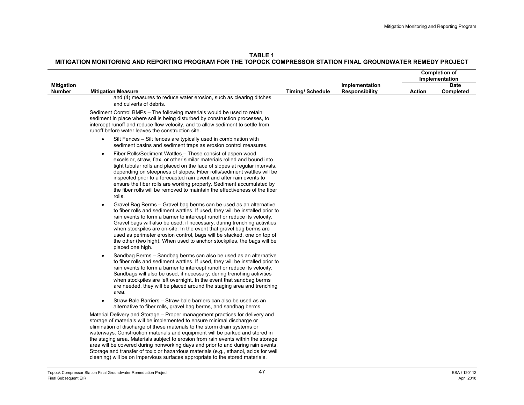|                   |                                                                                                                                                                                                                                                                                                                                                                                                                                                                                                                                                                                                                                                                        |                        |                       | <b>Completion of</b><br>Implementation |             |
|-------------------|------------------------------------------------------------------------------------------------------------------------------------------------------------------------------------------------------------------------------------------------------------------------------------------------------------------------------------------------------------------------------------------------------------------------------------------------------------------------------------------------------------------------------------------------------------------------------------------------------------------------------------------------------------------------|------------------------|-----------------------|----------------------------------------|-------------|
| <b>Mitigation</b> |                                                                                                                                                                                                                                                                                                                                                                                                                                                                                                                                                                                                                                                                        |                        | Implementation        |                                        | <b>Date</b> |
| Number            | <b>Mitigation Measure</b>                                                                                                                                                                                                                                                                                                                                                                                                                                                                                                                                                                                                                                              | <b>Timing/Schedule</b> | <b>Responsibility</b> | Action                                 | Completed   |
|                   | and (4) measures to reduce water erosion, such as clearing ditches<br>and culverts of debris.                                                                                                                                                                                                                                                                                                                                                                                                                                                                                                                                                                          |                        |                       |                                        |             |
|                   | Sediment Control BMPs – The following materials would be used to retain<br>sediment in place where soil is being disturbed by construction processes, to<br>intercept runoff and reduce flow velocity, and to allow sediment to settle from<br>runoff before water leaves the construction site.                                                                                                                                                                                                                                                                                                                                                                       |                        |                       |                                        |             |
|                   | Silt Fences - Silt fences are typically used in combination with<br>$\bullet$<br>sediment basins and sediment traps as erosion control measures.                                                                                                                                                                                                                                                                                                                                                                                                                                                                                                                       |                        |                       |                                        |             |
|                   | Fiber Rolls/Sediment Wattles - These consist of aspen wood<br>$\bullet$<br>excelsior, straw, flax, or other similar materials rolled and bound into<br>tight tubular rolls and placed on the face of slopes at regular intervals,<br>depending on steepness of slopes. Fiber rolls/sediment wattles will be<br>inspected prior to a forecasted rain event and after rain events to<br>ensure the fiber rolls are working properly. Sediment accumulated by<br>the fiber rolls will be removed to maintain the effectiveness of the fiber<br>rolls.                                                                                                                     |                        |                       |                                        |             |
|                   | Gravel Bag Berms - Gravel bag berms can be used as an alternative<br>$\bullet$<br>to fiber rolls and sediment wattles. If used, they will be installed prior to<br>rain events to form a barrier to intercept runoff or reduce its velocity.<br>Gravel bags will also be used, if necessary, during trenching activities<br>when stockpiles are on-site. In the event that gravel bag berms are<br>used as perimeter erosion control, bags will be stacked, one on top of<br>the other (two high). When used to anchor stockpiles, the bags will be<br>placed one high.                                                                                                |                        |                       |                                        |             |
|                   | Sandbag Berms - Sandbag berms can also be used as an alternative<br>$\bullet$<br>to fiber rolls and sediment wattles. If used, they will be installed prior to<br>rain events to form a barrier to intercept runoff or reduce its velocity.<br>Sandbags will also be used, if necessary, during trenching activities<br>when stockpiles are left overnight. In the event that sandbag berms<br>are needed, they will be placed around the staging area and trenching<br>area.                                                                                                                                                                                          |                        |                       |                                        |             |
|                   | Straw-Bale Barriers – Straw-bale barriers can also be used as an<br>$\bullet$<br>alternative to fiber rolls, gravel bag berms, and sandbag berms.                                                                                                                                                                                                                                                                                                                                                                                                                                                                                                                      |                        |                       |                                        |             |
|                   | Material Delivery and Storage - Proper management practices for delivery and<br>storage of materials will be implemented to ensure minimal discharge or<br>elimination of discharge of these materials to the storm drain systems or<br>waterways. Construction materials and equipment will be parked and stored in<br>the staging area. Materials subject to erosion from rain events within the storage<br>area will be covered during nonworking days and prior to and during rain events.<br>Storage and transfer of toxic or hazardous materials (e.g., ethanol, acids for well<br>cleaning) will be on impervious surfaces appropriate to the stored materials. |                        |                       |                                        |             |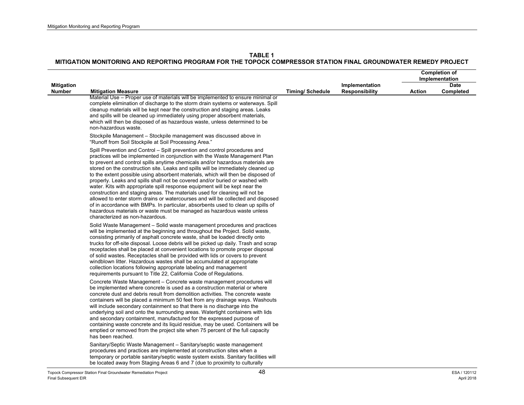|                                    |                                                                                                                                                                                                                                                                                                                                                                                                                                                                                                                                                                                                                                                                                                                                                                                                                                                                                                                                                        |                        |                                         | <b>Completion of</b><br>Implementation |                          |
|------------------------------------|--------------------------------------------------------------------------------------------------------------------------------------------------------------------------------------------------------------------------------------------------------------------------------------------------------------------------------------------------------------------------------------------------------------------------------------------------------------------------------------------------------------------------------------------------------------------------------------------------------------------------------------------------------------------------------------------------------------------------------------------------------------------------------------------------------------------------------------------------------------------------------------------------------------------------------------------------------|------------------------|-----------------------------------------|----------------------------------------|--------------------------|
| <b>Mitigation</b><br><b>Number</b> | <b>Mitigation Measure</b>                                                                                                                                                                                                                                                                                                                                                                                                                                                                                                                                                                                                                                                                                                                                                                                                                                                                                                                              | <b>Timing/Schedule</b> | Implementation<br><b>Responsibility</b> | <b>Action</b>                          | <b>Date</b><br>Completed |
|                                    | Material Use - Proper use of materials will be implemented to ensure minimal or<br>complete elimination of discharge to the storm drain systems or waterways. Spill<br>cleanup materials will be kept near the construction and staging areas. Leaks<br>and spills will be cleaned up immediately using proper absorbent materials,<br>which will then be disposed of as hazardous waste, unless determined to be<br>non-hazardous waste.                                                                                                                                                                                                                                                                                                                                                                                                                                                                                                              |                        |                                         |                                        |                          |
|                                    | Stockpile Management - Stockpile management was discussed above in<br>"Runoff from Soil Stockpile at Soil Processing Area."                                                                                                                                                                                                                                                                                                                                                                                                                                                                                                                                                                                                                                                                                                                                                                                                                            |                        |                                         |                                        |                          |
|                                    | Spill Prevention and Control - Spill prevention and control procedures and<br>practices will be implemented in conjunction with the Waste Management Plan<br>to prevent and control spills anytime chemicals and/or hazardous materials are<br>stored on the construction site. Leaks and spills will be immediately cleaned up<br>to the extent possible using absorbent materials, which will then be disposed of<br>properly. Leaks and spills shall not be covered and/or buried or washed with<br>water. Kits with appropriate spill response equipment will be kept near the<br>construction and staging areas. The materials used for cleaning will not be<br>allowed to enter storm drains or watercourses and will be collected and disposed<br>of in accordance with BMPs. In particular, absorbents used to clean up spills of<br>hazardous materials or waste must be managed as hazardous waste unless<br>characterized as non-hazardous. |                        |                                         |                                        |                          |
|                                    | Solid Waste Management – Solid waste management procedures and practices<br>will be implemented at the beginning and throughout the Project. Solid waste,<br>consisting primarily of asphalt concrete waste, shall be loaded directly onto<br>trucks for off-site disposal. Loose debris will be picked up daily. Trash and scrap<br>receptacles shall be placed at convenient locations to promote proper disposal<br>of solid wastes. Receptacles shall be provided with lids or covers to prevent<br>windblown litter. Hazardous wastes shall be accumulated at appropriate<br>collection locations following appropriate labeling and management<br>requirements pursuant to Title 22, California Code of Regulations.                                                                                                                                                                                                                             |                        |                                         |                                        |                          |
|                                    | Concrete Waste Management - Concrete waste management procedures will<br>be implemented where concrete is used as a construction material or where<br>concrete dust and debris result from demolition activities. The concrete waste<br>containers will be placed a minimum 50 feet from any drainage ways. Washouts<br>will include secondary containment so that there is no discharge into the<br>underlying soil and onto the surrounding areas. Watertight containers with lids<br>and secondary containment, manufactured for the expressed purpose of<br>containing waste concrete and its liquid residue, may be used. Containers will be<br>emptied or removed from the project site when 75 percent of the full capacity<br>has been reached.                                                                                                                                                                                                |                        |                                         |                                        |                          |
|                                    | Sanitary/Septic Waste Management - Sanitary/septic waste management<br>procedures and practices are implemented at construction sites when a<br>temporary or portable sanitary/septic waste system exists. Sanitary facilities will<br>be located away from Staging Areas 6 and 7 (due to proximity to culturally                                                                                                                                                                                                                                                                                                                                                                                                                                                                                                                                                                                                                                      |                        |                                         |                                        |                          |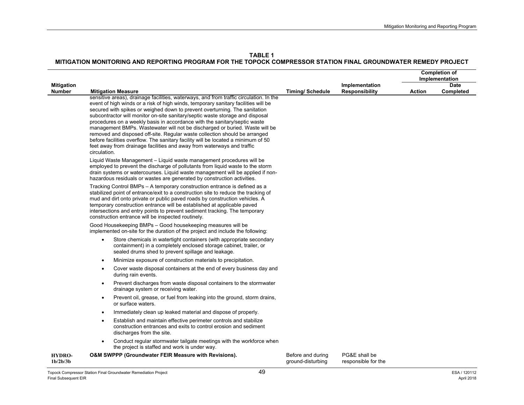**TABLE 1**

|                             |                                                                                                                                                                                                                                                                                                                                                                                                                                                                                                                                                                                                                                                                                                                                                                      |                                        |                                      | <b>Completion of</b><br>Implementation |           |
|-----------------------------|----------------------------------------------------------------------------------------------------------------------------------------------------------------------------------------------------------------------------------------------------------------------------------------------------------------------------------------------------------------------------------------------------------------------------------------------------------------------------------------------------------------------------------------------------------------------------------------------------------------------------------------------------------------------------------------------------------------------------------------------------------------------|----------------------------------------|--------------------------------------|----------------------------------------|-----------|
| <b>Mitigation</b>           |                                                                                                                                                                                                                                                                                                                                                                                                                                                                                                                                                                                                                                                                                                                                                                      |                                        | Implementation                       | <b>Date</b>                            |           |
| <b>Number</b>               | <b>Mitigation Measure</b>                                                                                                                                                                                                                                                                                                                                                                                                                                                                                                                                                                                                                                                                                                                                            | <b>Timing/Schedule</b>                 | <b>Responsibility</b>                | <b>Action</b>                          | Completed |
|                             | sensitive areas), drainage facilities, waterways, and from traffic circulation. In the<br>event of high winds or a risk of high winds, temporary sanitary facilities will be<br>secured with spikes or weighed down to prevent overturning. The sanitation<br>subcontractor will monitor on-site sanitary/septic waste storage and disposal<br>procedures on a weekly basis in accordance with the sanitary/septic waste<br>management BMPs. Wastewater will not be discharged or buried. Waste will be<br>removed and disposed off-site. Regular waste collection should be arranged<br>before facilities overflow. The sanitary facility will be located a minimum of 50<br>feet away from drainage facilities and away from waterways and traffic<br>circulation. |                                        |                                      |                                        |           |
|                             | Liquid Waste Management - Liquid waste management procedures will be<br>employed to prevent the discharge of pollutants from liquid waste to the storm<br>drain systems or watercourses. Liquid waste management will be applied if non-<br>hazardous residuals or wastes are generated by construction activities.                                                                                                                                                                                                                                                                                                                                                                                                                                                  |                                        |                                      |                                        |           |
|                             | Tracking Control BMPs - A temporary construction entrance is defined as a<br>stabilized point of entrance/exit to a construction site to reduce the tracking of<br>mud and dirt onto private or public paved roads by construction vehicles. A<br>temporary construction entrance will be established at applicable paved<br>intersections and entry points to prevent sediment tracking. The temporary<br>construction entrance will be inspected routinely.                                                                                                                                                                                                                                                                                                        |                                        |                                      |                                        |           |
|                             | Good Housekeeping BMPs - Good housekeeping measures will be<br>implemented on-site for the duration of the project and include the following:                                                                                                                                                                                                                                                                                                                                                                                                                                                                                                                                                                                                                        |                                        |                                      |                                        |           |
|                             | Store chemicals in watertight containers (with appropriate secondary<br>containment) in a completely enclosed storage cabinet, trailer, or<br>sealed drums shed to prevent spillage and leakage.                                                                                                                                                                                                                                                                                                                                                                                                                                                                                                                                                                     |                                        |                                      |                                        |           |
|                             | Minimize exposure of construction materials to precipitation.<br>$\bullet$                                                                                                                                                                                                                                                                                                                                                                                                                                                                                                                                                                                                                                                                                           |                                        |                                      |                                        |           |
|                             | Cover waste disposal containers at the end of every business day and<br>$\bullet$<br>during rain events.                                                                                                                                                                                                                                                                                                                                                                                                                                                                                                                                                                                                                                                             |                                        |                                      |                                        |           |
|                             | Prevent discharges from waste disposal containers to the stormwater<br>$\bullet$<br>drainage system or receiving water.                                                                                                                                                                                                                                                                                                                                                                                                                                                                                                                                                                                                                                              |                                        |                                      |                                        |           |
|                             | Prevent oil, grease, or fuel from leaking into the ground, storm drains,<br>$\bullet$<br>or surface waters.                                                                                                                                                                                                                                                                                                                                                                                                                                                                                                                                                                                                                                                          |                                        |                                      |                                        |           |
|                             | Immediately clean up leaked material and dispose of properly.<br>$\bullet$                                                                                                                                                                                                                                                                                                                                                                                                                                                                                                                                                                                                                                                                                           |                                        |                                      |                                        |           |
|                             | Establish and maintain effective perimeter controls and stabilize<br>$\bullet$<br>construction entrances and exits to control erosion and sediment<br>discharges from the site.                                                                                                                                                                                                                                                                                                                                                                                                                                                                                                                                                                                      |                                        |                                      |                                        |           |
|                             | Conduct regular stormwater tailgate meetings with the workforce when<br>the project is staffed and work is under way.                                                                                                                                                                                                                                                                                                                                                                                                                                                                                                                                                                                                                                                |                                        |                                      |                                        |           |
| <b>HYDRO-</b><br>$1b/2b/3b$ | O&M SWPPP (Groundwater FEIR Measure with Revisions).                                                                                                                                                                                                                                                                                                                                                                                                                                                                                                                                                                                                                                                                                                                 | Before and during<br>ground-disturbing | PG&E shall be<br>responsible for the |                                        |           |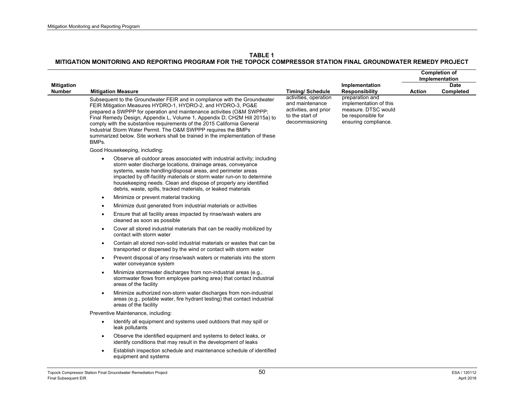|                   |                                                                                                                                                                                                                                                                                                                                                                                                                                                                                                                                                                       |                                                                                                                                   |                                                                                                                                         | <b>Completion of</b><br>Implementation |             |
|-------------------|-----------------------------------------------------------------------------------------------------------------------------------------------------------------------------------------------------------------------------------------------------------------------------------------------------------------------------------------------------------------------------------------------------------------------------------------------------------------------------------------------------------------------------------------------------------------------|-----------------------------------------------------------------------------------------------------------------------------------|-----------------------------------------------------------------------------------------------------------------------------------------|----------------------------------------|-------------|
| <b>Mitigation</b> |                                                                                                                                                                                                                                                                                                                                                                                                                                                                                                                                                                       |                                                                                                                                   | Implementation                                                                                                                          |                                        | <b>Date</b> |
| <b>Number</b>     | <b>Mitigation Measure</b><br>Subsequent to the Groundwater FEIR and in compliance with the Groundwater<br>FEIR Mitigation Measures HYDRO-1, HYDRO-2, and HYDRO-3, PG&E<br>prepared a SWPPP for operation and maintenance activities (O&M SWPPP;<br>Final Remedy Design, Appendix L, Volume 1, Appendix D; CH2M Hill 2015a) to<br>comply with the substantive requirements of the 2015 California General<br>Industrial Storm Water Permit. The O&M SWPPP requires the BMPs<br>summarized below. Site workers shall be trained in the implementation of these<br>BMPs. | <b>Timing/Schedule</b><br>activities, operation<br>and maintenance<br>activities, and prior<br>to the start of<br>decommissioning | <b>Responsibility</b><br>preparation and<br>implementation of this<br>measure. DTSC would<br>be responsible for<br>ensuring compliance. | <b>Action</b>                          | Completed   |
|                   | Good Housekeeping, including:                                                                                                                                                                                                                                                                                                                                                                                                                                                                                                                                         |                                                                                                                                   |                                                                                                                                         |                                        |             |
|                   | Observe all outdoor areas associated with industrial activity; including<br>$\bullet$<br>storm water discharge locations, drainage areas, conveyance<br>systems, waste handling/disposal areas, and perimeter areas<br>impacted by off-facility materials or storm water run-on to determine<br>housekeeping needs. Clean and dispose of properly any identified<br>debris, waste, spills, tracked materials, or leaked materials                                                                                                                                     |                                                                                                                                   |                                                                                                                                         |                                        |             |
|                   | Minimize or prevent material tracking<br>$\bullet$                                                                                                                                                                                                                                                                                                                                                                                                                                                                                                                    |                                                                                                                                   |                                                                                                                                         |                                        |             |
|                   | Minimize dust generated from industrial materials or activities<br>$\bullet$                                                                                                                                                                                                                                                                                                                                                                                                                                                                                          |                                                                                                                                   |                                                                                                                                         |                                        |             |
|                   | Ensure that all facility areas impacted by rinse/wash waters are<br>$\bullet$<br>cleaned as soon as possible                                                                                                                                                                                                                                                                                                                                                                                                                                                          |                                                                                                                                   |                                                                                                                                         |                                        |             |
|                   | Cover all stored industrial materials that can be readily mobilized by<br>$\bullet$<br>contact with storm water                                                                                                                                                                                                                                                                                                                                                                                                                                                       |                                                                                                                                   |                                                                                                                                         |                                        |             |
|                   | Contain all stored non-solid industrial materials or wastes that can be<br>$\bullet$<br>transported or dispersed by the wind or contact with storm water                                                                                                                                                                                                                                                                                                                                                                                                              |                                                                                                                                   |                                                                                                                                         |                                        |             |
|                   | Prevent disposal of any rinse/wash waters or materials into the storm<br>$\bullet$<br>water conveyance system                                                                                                                                                                                                                                                                                                                                                                                                                                                         |                                                                                                                                   |                                                                                                                                         |                                        |             |
|                   | Minimize stormwater discharges from non-industrial areas (e.g.,<br>$\bullet$<br>stormwater flows from employee parking area) that contact industrial<br>areas of the facility                                                                                                                                                                                                                                                                                                                                                                                         |                                                                                                                                   |                                                                                                                                         |                                        |             |
|                   | Minimize authorized non-storm water discharges from non-industrial<br>$\bullet$<br>areas (e.g., potable water, fire hydrant testing) that contact industrial<br>areas of the facility                                                                                                                                                                                                                                                                                                                                                                                 |                                                                                                                                   |                                                                                                                                         |                                        |             |
|                   | Preventive Maintenance, including:                                                                                                                                                                                                                                                                                                                                                                                                                                                                                                                                    |                                                                                                                                   |                                                                                                                                         |                                        |             |
|                   | Identify all equipment and systems used outdoors that may spill or<br>$\bullet$<br>leak pollutants                                                                                                                                                                                                                                                                                                                                                                                                                                                                    |                                                                                                                                   |                                                                                                                                         |                                        |             |
|                   | Observe the identified equipment and systems to detect leaks, or<br>$\bullet$<br>identify conditions that may result in the development of leaks                                                                                                                                                                                                                                                                                                                                                                                                                      |                                                                                                                                   |                                                                                                                                         |                                        |             |
|                   | Establish inspection schedule and maintenance schedule of identified<br>$\bullet$<br>equipment and systems                                                                                                                                                                                                                                                                                                                                                                                                                                                            |                                                                                                                                   |                                                                                                                                         |                                        |             |
|                   |                                                                                                                                                                                                                                                                                                                                                                                                                                                                                                                                                                       |                                                                                                                                   |                                                                                                                                         |                                        |             |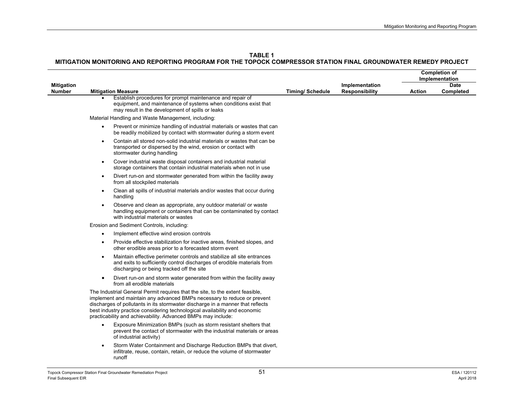|                                    |           |                                                                                                                                                                                                                                                                                                                                                                                          |                        |                                         | <b>Completion of</b><br>Implementation |                   |
|------------------------------------|-----------|------------------------------------------------------------------------------------------------------------------------------------------------------------------------------------------------------------------------------------------------------------------------------------------------------------------------------------------------------------------------------------------|------------------------|-----------------------------------------|----------------------------------------|-------------------|
| <b>Mitigation</b><br><b>Number</b> |           | <b>Mitigation Measure</b>                                                                                                                                                                                                                                                                                                                                                                | <b>Timing/Schedule</b> | Implementation<br><b>Responsibility</b> | <b>Action</b>                          | Date<br>Completed |
|                                    |           | Establish procedures for prompt maintenance and repair of<br>equipment, and maintenance of systems when conditions exist that<br>may result in the development of spills or leaks                                                                                                                                                                                                        |                        |                                         |                                        |                   |
|                                    |           | Material Handling and Waste Management, including:                                                                                                                                                                                                                                                                                                                                       |                        |                                         |                                        |                   |
|                                    | $\bullet$ | Prevent or minimize handling of industrial materials or wastes that can<br>be readily mobilized by contact with stormwater during a storm event                                                                                                                                                                                                                                          |                        |                                         |                                        |                   |
|                                    | $\bullet$ | Contain all stored non-solid industrial materials or wastes that can be<br>transported or dispersed by the wind, erosion or contact with<br>stormwater during handling                                                                                                                                                                                                                   |                        |                                         |                                        |                   |
|                                    | $\bullet$ | Cover industrial waste disposal containers and industrial material<br>storage containers that contain industrial materials when not in use                                                                                                                                                                                                                                               |                        |                                         |                                        |                   |
|                                    | $\bullet$ | Divert run-on and stormwater generated from within the facility away<br>from all stockpiled materials                                                                                                                                                                                                                                                                                    |                        |                                         |                                        |                   |
|                                    | $\bullet$ | Clean all spills of industrial materials and/or wastes that occur during<br>handling                                                                                                                                                                                                                                                                                                     |                        |                                         |                                        |                   |
|                                    |           | Observe and clean as appropriate, any outdoor material/ or waste<br>handling equipment or containers that can be contaminated by contact<br>with industrial materials or wastes                                                                                                                                                                                                          |                        |                                         |                                        |                   |
|                                    |           | Erosion and Sediment Controls, including:                                                                                                                                                                                                                                                                                                                                                |                        |                                         |                                        |                   |
|                                    |           | Implement effective wind erosion controls                                                                                                                                                                                                                                                                                                                                                |                        |                                         |                                        |                   |
|                                    |           | Provide effective stabilization for inactive areas, finished slopes, and<br>other erodible areas prior to a forecasted storm event                                                                                                                                                                                                                                                       |                        |                                         |                                        |                   |
|                                    |           | Maintain effective perimeter controls and stabilize all site entrances<br>and exits to sufficiently control discharges of erodible materials from<br>discharging or being tracked off the site                                                                                                                                                                                           |                        |                                         |                                        |                   |
|                                    |           | Divert run-on and storm water generated from within the facility away<br>from all erodible materials                                                                                                                                                                                                                                                                                     |                        |                                         |                                        |                   |
|                                    |           | The Industrial General Permit requires that the site, to the extent feasible,<br>implement and maintain any advanced BMPs necessary to reduce or prevent<br>discharges of pollutants in its stormwater discharge in a manner that reflects<br>best industry practice considering technological availability and economic<br>practicability and achievability. Advanced BMPs may include: |                        |                                         |                                        |                   |
|                                    |           | Exposure Minimization BMPs (such as storm resistant shelters that<br>prevent the contact of stormwater with the industrial materials or areas<br>of industrial activity)                                                                                                                                                                                                                 |                        |                                         |                                        |                   |
|                                    |           | Storm Water Containment and Discharge Reduction BMPs that divert,<br>infiltrate, reuse, contain, retain, or reduce the volume of stormwater<br>runoff                                                                                                                                                                                                                                    |                        |                                         |                                        |                   |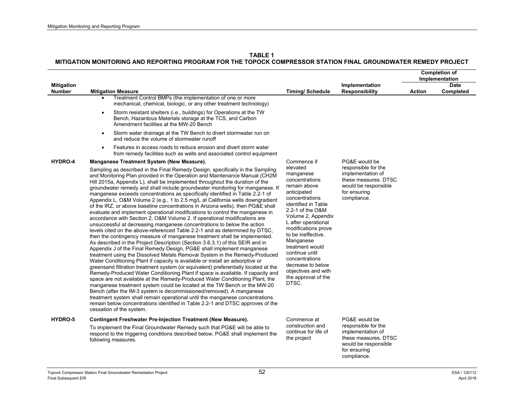|                                    |                                                                                                                                                                                                                                                                                                                                                                                                                                                                                                                                                                                                                                                                                                                                                                                                                                                                                                                                                                                                                                                                                                                                                                                                                                                                                                                                                                                                                                                                                                                                                                                                                                                                                                                                                                                                                                                                                                                                                                                                                                                                                                                                                                                                                                                                                                                                                                                                                                                                                                                                                                                     |                                                                                                                                                                                                                                                                                                                                                                                              |                                                                                                                                          | <b>Completion of</b><br>Implementation |                          |
|------------------------------------|-------------------------------------------------------------------------------------------------------------------------------------------------------------------------------------------------------------------------------------------------------------------------------------------------------------------------------------------------------------------------------------------------------------------------------------------------------------------------------------------------------------------------------------------------------------------------------------------------------------------------------------------------------------------------------------------------------------------------------------------------------------------------------------------------------------------------------------------------------------------------------------------------------------------------------------------------------------------------------------------------------------------------------------------------------------------------------------------------------------------------------------------------------------------------------------------------------------------------------------------------------------------------------------------------------------------------------------------------------------------------------------------------------------------------------------------------------------------------------------------------------------------------------------------------------------------------------------------------------------------------------------------------------------------------------------------------------------------------------------------------------------------------------------------------------------------------------------------------------------------------------------------------------------------------------------------------------------------------------------------------------------------------------------------------------------------------------------------------------------------------------------------------------------------------------------------------------------------------------------------------------------------------------------------------------------------------------------------------------------------------------------------------------------------------------------------------------------------------------------------------------------------------------------------------------------------------------------|----------------------------------------------------------------------------------------------------------------------------------------------------------------------------------------------------------------------------------------------------------------------------------------------------------------------------------------------------------------------------------------------|------------------------------------------------------------------------------------------------------------------------------------------|----------------------------------------|--------------------------|
| <b>Mitigation</b><br><b>Number</b> | <b>Mitigation Measure</b>                                                                                                                                                                                                                                                                                                                                                                                                                                                                                                                                                                                                                                                                                                                                                                                                                                                                                                                                                                                                                                                                                                                                                                                                                                                                                                                                                                                                                                                                                                                                                                                                                                                                                                                                                                                                                                                                                                                                                                                                                                                                                                                                                                                                                                                                                                                                                                                                                                                                                                                                                           | <b>Timing/Schedule</b>                                                                                                                                                                                                                                                                                                                                                                       | Implementation<br><b>Responsibility</b>                                                                                                  | <b>Action</b>                          | <b>Date</b><br>Completed |
| HYDRO-4                            | Treatment Control BMPs (the implementation of one or more<br>$\bullet$<br>mechanical, chemical, biologic, or any other treatment technology)<br>Storm resistant shelters (i.e., buildings) for Operations at the TW<br>$\bullet$<br>Bench, Hazardous Materials storage at the TCS, and Carbon<br>Amendment facilities at the MW-20 Bench<br>Storm water drainage at the TW Bench to divert stormwater run on<br>$\bullet$<br>and reduce the volume of stormwater runoff<br>Features in access roads to reduce erosion and divert storm water<br>$\bullet$<br>from remedy facilities such as wells and associated control equipment<br>Manganese Treatment System (New Measure).<br>Sampling as described in the Final Remedy Design, specifically in the Sampling<br>and Monitoring Plan provided in the Operation and Maintenance Manual (CH2M<br>Hill 2015a, Appendix L), shall be implemented throughout the duration of the<br>groundwater remedy and shall include groundwater monitoring for manganese. If<br>manganese exceeds concentrations as specifically identified in Table 2.2-1 of<br>Appendix L, O&M Volume 2 (e.g., 1 to 2.5 mg/L at California wells downgradient<br>of the IRZ, or above baseline concentrations in Arizona wells), then PG&E shall<br>evaluate and implement operational modifications to control the manganese in<br>accordance with Section 2, O&M Volume 2. If operational modifications are<br>unsuccessful at decreasing manganese concentrations to below the action<br>levels cited on the above-referenced Table 2.2-1 and as determined by DTSC.<br>then the contingency measure of manganese treatment shall be implemented.<br>As described in the Project Description (Section 3.6.3.1) of this SEIR and in<br>Appendix J of the Final Remedy Design, PG&E shall implement manganese<br>treatment using the Dissolved Metals Removal System in the Remedy-Produced<br>Water Conditioning Plant if capacity is available or install an adsorptive or<br>greensand filtration treatment system (or equivalent) preferentially located at the<br>Remedy-Produced Water Conditioning Plant if space is available. If capacity and<br>space are not available at the Remedy-Produced Water Conditioning Plant, the<br>manganese treatment system could be located at the TW Bench or the MW-20<br>Bench (after the IM-3 system is decommissioned/removed). A manganese<br>treatment system shall remain operational until the manganese concentrations<br>remain below concentrations identified in Table 2.2-1 and DTSC approves of the | Commence if<br>elevated<br>manganese<br>concentrations<br>remain above<br>anticipated<br>concentrations<br>identified in Table<br>2.2-1 of the O&M<br>Volume 2, Appendix<br>L after operational<br>modifications prove<br>to be ineffective.<br>Manganese<br>treatment would<br>continue until<br>concentrations<br>decrease to below<br>objectives and with<br>the approval of the<br>DTSC. | PG&E would be<br>responsible for the<br>implementation of<br>these measures. DTSC<br>would be responsible<br>for ensuring<br>compliance. |                                        |                          |
| HYDRO-5                            | cessation of the system.<br><b>Contingent Freshwater Pre-Injection Treatment (New Measure).</b>                                                                                                                                                                                                                                                                                                                                                                                                                                                                                                                                                                                                                                                                                                                                                                                                                                                                                                                                                                                                                                                                                                                                                                                                                                                                                                                                                                                                                                                                                                                                                                                                                                                                                                                                                                                                                                                                                                                                                                                                                                                                                                                                                                                                                                                                                                                                                                                                                                                                                     | Commence at                                                                                                                                                                                                                                                                                                                                                                                  | PG&E would be                                                                                                                            |                                        |                          |
|                                    | To implement the Final Groundwater Remedy such that PG&E will be able to<br>respond to the triggering conditions described below, PG&E shall implement the<br>following measures.                                                                                                                                                                                                                                                                                                                                                                                                                                                                                                                                                                                                                                                                                                                                                                                                                                                                                                                                                                                                                                                                                                                                                                                                                                                                                                                                                                                                                                                                                                                                                                                                                                                                                                                                                                                                                                                                                                                                                                                                                                                                                                                                                                                                                                                                                                                                                                                                   | construction and<br>continue for life of<br>the project                                                                                                                                                                                                                                                                                                                                      | responsible for the<br>implementation of<br>these measures. DTSC<br>would be responsible<br>for ensuring<br>compliance.                  |                                        |                          |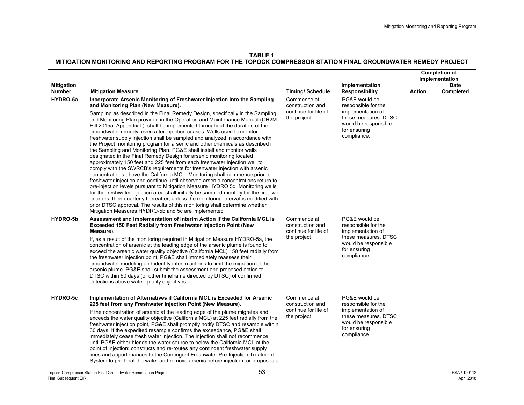|                             |                                                                                                                                                                                                                                                                                                                                                                                                                                                                                                                                                                                                                                                                                                                                                                                                                                                                                                                                                                                                                                                                                                                                                                                                                                                                                                                                                                                      |                                                                        |                                                                                                                                          | <b>Completion of</b><br>Implementation |                          |
|-----------------------------|--------------------------------------------------------------------------------------------------------------------------------------------------------------------------------------------------------------------------------------------------------------------------------------------------------------------------------------------------------------------------------------------------------------------------------------------------------------------------------------------------------------------------------------------------------------------------------------------------------------------------------------------------------------------------------------------------------------------------------------------------------------------------------------------------------------------------------------------------------------------------------------------------------------------------------------------------------------------------------------------------------------------------------------------------------------------------------------------------------------------------------------------------------------------------------------------------------------------------------------------------------------------------------------------------------------------------------------------------------------------------------------|------------------------------------------------------------------------|------------------------------------------------------------------------------------------------------------------------------------------|----------------------------------------|--------------------------|
| <b>Mitigation</b><br>Number | <b>Mitigation Measure</b>                                                                                                                                                                                                                                                                                                                                                                                                                                                                                                                                                                                                                                                                                                                                                                                                                                                                                                                                                                                                                                                                                                                                                                                                                                                                                                                                                            | <b>Timing/Schedule</b>                                                 | Implementation<br><b>Responsibility</b>                                                                                                  | Action                                 | <b>Date</b><br>Completed |
| HYDRO-5a                    | Incorporate Arsenic Monitoring of Freshwater Injection into the Sampling<br>and Monitoring Plan (New Measure).                                                                                                                                                                                                                                                                                                                                                                                                                                                                                                                                                                                                                                                                                                                                                                                                                                                                                                                                                                                                                                                                                                                                                                                                                                                                       | Commence at<br>construction and                                        | PG&E would be<br>responsible for the                                                                                                     |                                        |                          |
|                             | Sampling as described in the Final Remedy Design, specifically in the Sampling<br>and Monitoring Plan provided in the Operation and Maintenance Manual (CH2M<br>Hill 2015a, Appendix L), shall be implemented throughout the duration of the<br>groundwater remedy, even after injection ceases. Wells used to monitor<br>freshwater supply injection shall be sampled and analyzed in accordance with<br>the Project monitoring program for arsenic and other chemicals as described in<br>the Sampling and Monitoring Plan. PG&E shall install and monitor wells<br>designated in the Final Remedy Design for arsenic monitoring located<br>approximately 150 feet and 225 feet from each freshwater injection well to<br>comply with the SWRCB's requirements for freshwater injection with arsenic<br>concentrations above the California MCL. Monitoring shall commence prior to<br>freshwater injection and continue until observed arsenic concentrations return to<br>pre-injection levels pursuant to Mitigation Measure HYDRO 5d. Monitoring wells<br>for the freshwater injection area shall initially be sampled monthly for the first two<br>quarters, then quarterly thereafter, unless the monitoring interval is modified with<br>prior DTSC approval. The results of this monitoring shall determine whether<br>Mitigation Measures HYDRO-5b and 5c are implemented | continue for life of<br>the project                                    | implementation of<br>these measures. DTSC<br>would be responsible<br>for ensuring<br>compliance.                                         |                                        |                          |
| HYDRO-5b                    | Assessment and Implementation of Interim Action if the California MCL is<br><b>Exceeded 150 Feet Radially from Freshwater Injection Point (New</b><br>Measure).<br>If, as a result of the monitoring required in Mitigation Measure HYDRO-5a, the<br>concentration of arsenic at the leading edge of the arsenic plume is found to<br>exceed the arsenic water quality objective (California MCL) 150 feet radially from<br>the freshwater injection point, PG&E shall immediately reassess their<br>groundwater modeling and identify interim actions to limit the migration of the<br>arsenic plume. PG&E shall submit the assessment and proposed action to<br>DTSC within 60 days (or other timeframe directed by DTSC) of confirmed<br>detections above water quality objectives.                                                                                                                                                                                                                                                                                                                                                                                                                                                                                                                                                                                               | Commence at<br>construction and<br>continue for life of<br>the project | PG&E would be<br>responsible for the<br>implementation of<br>these measures. DTSC<br>would be responsible<br>for ensuring<br>compliance. |                                        |                          |
| HYDRO-5c                    | Implementation of Alternatives if California MCL is Exceeded for Arsenic<br>225 feet from any Freshwater Injection Point (New Measure).<br>If the concentration of arsenic at the leading edge of the plume migrates and<br>exceeds the water quality objective (California MCL) at 225 feet radially from the<br>freshwater injection point, PG&E shall promptly notify DTSC and resample within<br>30 days. If the expedited resample confirms the exceedance, PG&E shall<br>immediately cease fresh water injection. The injection shall not recommence<br>until PG&E either blends the water source to below the California MCL at the<br>point of injection; constructs and re-routes any contingent freshwater supply<br>lines and appurtenances to the Contingent Freshwater Pre-Injection Treatment<br>System to pre-treat the water and remove arsenic before injection; or proposes a                                                                                                                                                                                                                                                                                                                                                                                                                                                                                      | Commence at<br>construction and<br>continue for life of<br>the project | PG&E would be<br>responsible for the<br>implementation of<br>these measures. DTSC<br>would be responsible<br>for ensuring<br>compliance. |                                        |                          |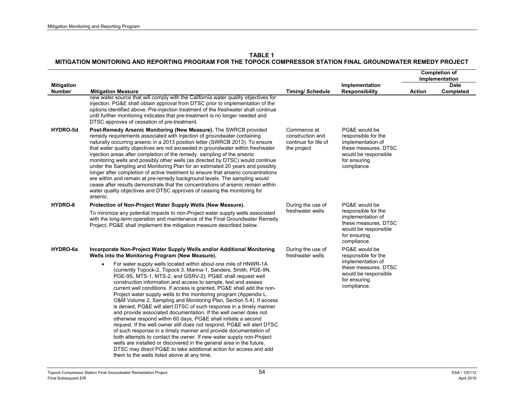|                                    |                                                                                                                                                                                                                                                                                                                                                                                                                                                                                                                                                                                                                                                                                                                                                                                                                                                                                                                                                                                                                                                                                                                                       |                                                                        |                                                                                                                                          | <b>Completion of</b><br>Implementation |                   |
|------------------------------------|---------------------------------------------------------------------------------------------------------------------------------------------------------------------------------------------------------------------------------------------------------------------------------------------------------------------------------------------------------------------------------------------------------------------------------------------------------------------------------------------------------------------------------------------------------------------------------------------------------------------------------------------------------------------------------------------------------------------------------------------------------------------------------------------------------------------------------------------------------------------------------------------------------------------------------------------------------------------------------------------------------------------------------------------------------------------------------------------------------------------------------------|------------------------------------------------------------------------|------------------------------------------------------------------------------------------------------------------------------------------|----------------------------------------|-------------------|
| <b>Mitigation</b><br><b>Number</b> | <b>Mitigation Measure</b>                                                                                                                                                                                                                                                                                                                                                                                                                                                                                                                                                                                                                                                                                                                                                                                                                                                                                                                                                                                                                                                                                                             | <b>Timing/Schedule</b>                                                 | Implementation<br><b>Responsibility</b>                                                                                                  | <b>Action</b>                          | Date<br>Completed |
|                                    | new water source that will comply with the California water quality objectives for<br>injection. PG&E shall obtain approval from DTSC prior to implementation of the<br>options identified above. Pre-injection treatment of the freshwater shall continue<br>until further monitoring indicates that pre-treatment is no longer needed and<br>DTSC approves of cessation of pre-treatment.                                                                                                                                                                                                                                                                                                                                                                                                                                                                                                                                                                                                                                                                                                                                           |                                                                        |                                                                                                                                          |                                        |                   |
| HYDRO-5d                           | Post-Remedy Arsenic Monitoring (New Measure). The SWRCB provided<br>remedy requirements associated with injection of groundwater containing<br>naturally occurring arsenic in a 2013 position letter (SWRCB 2013). To ensure<br>that water quality objectives are not exceeded in groundwater within freshwater<br>injection areas after completion of the remedy, sampling of the arsenic<br>monitoring wells and possibly other wells (as directed by DTSC) would continue<br>under the Sampling and Monitoring Plan for an estimated 20 years and possibly<br>longer after completion of active treatment to ensure that arsenic concentrations<br>are within and remain at pre-remedy background levels. The sampling would<br>cease after results demonstrate that the concentrations of arsenic remain within<br>water quality objectives and DTSC approves of ceasing the monitoring for<br>arsenic.                                                                                                                                                                                                                           | Commence at<br>construction and<br>continue for life of<br>the project | PG&E would be<br>responsible for the<br>implementation of<br>these measures. DTSC<br>would be responsible<br>for ensuring<br>compliance. |                                        |                   |
| HYDRO-6                            | Protection of Non-Project Water Supply Wells (New Measure).<br>To minimize any potential impacts to non-Project water supply wells associated<br>with the long-term operation and maintenance of the Final Groundwater Remedy<br>Project, PG&E shall implement the mitigation measure described below.                                                                                                                                                                                                                                                                                                                                                                                                                                                                                                                                                                                                                                                                                                                                                                                                                                | During the use of<br>freshwater wells                                  | PG&E would be<br>responsible for the<br>implementation of<br>these measures. DTSC<br>would be responsible<br>for ensuring<br>compliance. |                                        |                   |
| HYDRO-6a                           | Incorporate Non-Project Water Supply Wells and/or Additional Monitoring<br>Wells into the Monitoring Program (New Measure).                                                                                                                                                                                                                                                                                                                                                                                                                                                                                                                                                                                                                                                                                                                                                                                                                                                                                                                                                                                                           | During the use of<br>freshwater wells                                  | PG&E would be<br>responsible for the                                                                                                     |                                        |                   |
|                                    | For water supply wells located within about one mile of HNWR-1A<br>$\bullet$<br>(currently Topock-2, Topock 3, Marina-1, Sanders, Smith, PGE-9N,<br>PGE-9S, MTS-1, MTS-2, and GSRV-2), PG&E shall request well<br>construction information and access to sample, test and assess<br>current well conditions. If access is granted, PG&E shall add the non-<br>Project water supply wells to the monitoring program (Appendix L,<br>O&M Volume 2, Sampling and Monitoring Plan, Section 5.4). If access<br>is denied, PG&E will alert DTSC of such response in a timely manner<br>and provide associated documentation. If the well owner does not<br>otherwise respond within 60 days, PG&E shall initiate a second<br>request. If the well owner still does not respond, PG&E will alert DTSC<br>of such response in a timely manner and provide documentation of<br>both attempts to contact the owner. If new water supply non-Project<br>wells are installed or discovered in the general area in the future,<br>DTSC may direct PG&E to take additional action for access and add<br>them to the wells listed above at any time. |                                                                        | implementation of<br>these measures. DTSC<br>would be responsible<br>for ensuring<br>compliance.                                         |                                        |                   |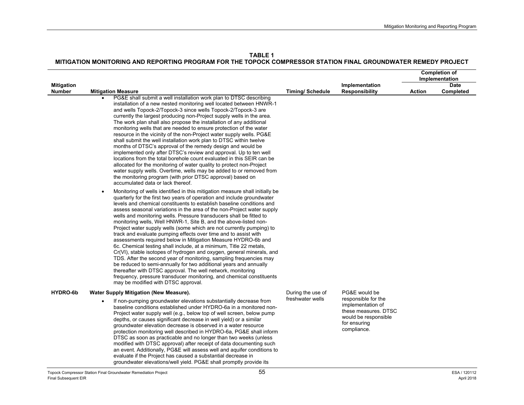**TABLE 1MITIGATION MONITORING AND REPORTING PROGRAM FOR THE TOPOCK COMPRESSOR STATION FINAL GROUNDWATER REMEDY PROJECT** 

|                                    |                                                                                                                                                                                                                                                                                                                                                                                                                                                                                                                                                                                                                                                                                                                                                                                                                                                                                                                                                                                                                                                                                                                                                       |                                       |                                                                                                  |               | <b>Completion of</b><br>Implementation |
|------------------------------------|-------------------------------------------------------------------------------------------------------------------------------------------------------------------------------------------------------------------------------------------------------------------------------------------------------------------------------------------------------------------------------------------------------------------------------------------------------------------------------------------------------------------------------------------------------------------------------------------------------------------------------------------------------------------------------------------------------------------------------------------------------------------------------------------------------------------------------------------------------------------------------------------------------------------------------------------------------------------------------------------------------------------------------------------------------------------------------------------------------------------------------------------------------|---------------------------------------|--------------------------------------------------------------------------------------------------|---------------|----------------------------------------|
| <b>Mitigation</b><br><b>Number</b> | <b>Mitigation Measure</b>                                                                                                                                                                                                                                                                                                                                                                                                                                                                                                                                                                                                                                                                                                                                                                                                                                                                                                                                                                                                                                                                                                                             | <b>Timing/Schedule</b>                | Implementation<br><b>Responsibility</b>                                                          | <b>Action</b> | <b>Date</b><br>Completed               |
|                                    | PG&E shall submit a well installation work plan to DTSC describing<br>installation of a new nested monitoring well located between HNWR-1<br>and wells Topock-2/Topock-3 since wells Topock-2/Topock-3 are<br>currently the largest producing non-Project supply wells in the area.<br>The work plan shall also propose the installation of any additional<br>monitoring wells that are needed to ensure protection of the water<br>resource in the vicinity of the non-Project water supply wells. PG&E<br>shall submit the well installation work plan to DTSC within twelve<br>months of DTSC's approval of the remedy design and would be<br>implemented only after DTSC's review and approval. Up to ten well<br>locations from the total borehole count evaluated in this SEIR can be<br>allocated for the monitoring of water quality to protect non-Project<br>water supply wells. Overtime, wells may be added to or removed from<br>the monitoring program (with prior DTSC approval) based on<br>accumulated data or lack thereof.                                                                                                         |                                       |                                                                                                  |               |                                        |
|                                    | Monitoring of wells identified in this mitigation measure shall initially be<br>$\bullet$<br>quarterly for the first two years of operation and include groundwater<br>levels and chemical constituents to establish baseline conditions and<br>assess seasonal variations in the area of the non-Project water supply<br>wells and monitoring wells. Pressure transducers shall be fitted to<br>monitoring wells, Well HNWR-1, Site B, and the above-listed non-<br>Project water supply wells (some which are not currently pumping) to<br>track and evaluate pumping effects over time and to assist with<br>assessments required below in Mitigation Measure HYDRO-6b and<br>6c. Chemical testing shall include, at a minimum, Title 22 metals,<br>Cr(VI), stable isotopes of hydrogen and oxygen, general minerals, and<br>TDS. After the second year of monitoring, sampling frequencies may<br>be reduced to semi-annually for two additional years and annually<br>thereafter with DTSC approval. The well network, monitoring<br>frequency, pressure transducer monitoring, and chemical constituents<br>may be modified with DTSC approval. |                                       |                                                                                                  |               |                                        |
| HYDRO-6b                           | Water Supply Mitigation (New Measure).                                                                                                                                                                                                                                                                                                                                                                                                                                                                                                                                                                                                                                                                                                                                                                                                                                                                                                                                                                                                                                                                                                                | During the use of<br>freshwater wells | PG&E would be<br>responsible for the                                                             |               |                                        |
|                                    | If non-pumping groundwater elevations substantially decrease from<br>$\bullet$<br>baseline conditions established under HYDRO-6a in a monitored non-<br>Project water supply well (e.g., below top of well screen, below pump<br>depths, or causes significant decrease in well yield) or a similar<br>groundwater elevation decrease is observed in a water resource<br>protection monitoring well described in HYDRO-6a, PG&E shall inform<br>DTSC as soon as practicable and no longer than two weeks (unless<br>modified with DTSC approval) after receipt of data documenting such<br>an event. Additionally, PG&E will assess well and aquifer conditions to<br>evaluate if the Project has caused a substantial decrease in<br>groundwater elevations/well yield. PG&E shall promptly provide its                                                                                                                                                                                                                                                                                                                                              |                                       | implementation of<br>these measures. DTSC<br>would be responsible<br>for ensuring<br>compliance. |               |                                        |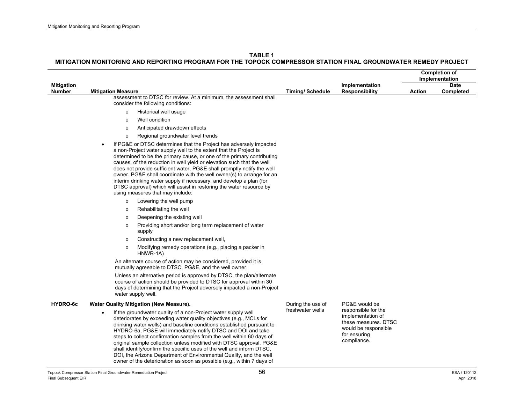|                                    |                                                                                                                                                                                                                                                                                                                                                                                                                                                                                                                                                                                                                                                                                                                                                                                                                                                                                                                                                                                                                                                                                                                                                                                                                                                                                                                                                                                                                                                                                                                                                                                                                                      |                        |                                                                                                                         |               | <b>Completion of</b><br>Implementation |
|------------------------------------|--------------------------------------------------------------------------------------------------------------------------------------------------------------------------------------------------------------------------------------------------------------------------------------------------------------------------------------------------------------------------------------------------------------------------------------------------------------------------------------------------------------------------------------------------------------------------------------------------------------------------------------------------------------------------------------------------------------------------------------------------------------------------------------------------------------------------------------------------------------------------------------------------------------------------------------------------------------------------------------------------------------------------------------------------------------------------------------------------------------------------------------------------------------------------------------------------------------------------------------------------------------------------------------------------------------------------------------------------------------------------------------------------------------------------------------------------------------------------------------------------------------------------------------------------------------------------------------------------------------------------------------|------------------------|-------------------------------------------------------------------------------------------------------------------------|---------------|----------------------------------------|
| <b>Mitigation</b><br><b>Number</b> | <b>Mitigation Measure</b>                                                                                                                                                                                                                                                                                                                                                                                                                                                                                                                                                                                                                                                                                                                                                                                                                                                                                                                                                                                                                                                                                                                                                                                                                                                                                                                                                                                                                                                                                                                                                                                                            | <b>Timing/Schedule</b> | Implementation<br><b>Responsibility</b>                                                                                 | <b>Action</b> | <b>Date</b><br>Completed               |
|                                    | assessment to DTSC for review. At a minimum, the assessment shall<br>consider the following conditions:<br>Historical well usage<br>$\circ$<br>Well condition<br>$\circ$<br>Anticipated drawdown effects<br>$\circ$<br>Regional groundwater level trends<br>$\circ$<br>If PG&E or DTSC determines that the Project has adversely impacted<br>$\bullet$<br>a non-Project water supply well to the extent that the Project is<br>determined to be the primary cause, or one of the primary contributing<br>causes, of the reduction in well yield or elevation such that the well<br>does not provide sufficient water, PG&E shall promptly notify the well<br>owner. PG&E shall coordinate with the well owner(s) to arrange for an<br>interim drinking water supply if necessary, and develop a plan (for<br>DTSC approval) which will assist in restoring the water resource by<br>using measures that may include:<br>Lowering the well pump<br>$\circ$<br>Rehabilitating the well<br>$\circ$<br>Deepening the existing well<br>$\circ$<br>Providing short and/or long term replacement of water<br>$\circ$<br>supply<br>Constructing a new replacement well,<br>$\circ$<br>Modifying remedy operations (e.g., placing a packer in<br>$\circ$<br>HNWR-1A)<br>An alternate course of action may be considered, provided it is<br>mutually agreeable to DTSC, PG&E, and the well owner.<br>Unless an alternative period is approved by DTSC, the plan/alternate<br>course of action should be provided to DTSC for approval within 30<br>days of determining that the Project adversely impacted a non-Project<br>water supply well. |                        |                                                                                                                         |               |                                        |
| HYDRO-6c                           | Water Quality Mitigation (New Measure).                                                                                                                                                                                                                                                                                                                                                                                                                                                                                                                                                                                                                                                                                                                                                                                                                                                                                                                                                                                                                                                                                                                                                                                                                                                                                                                                                                                                                                                                                                                                                                                              | During the use of      | PG&E would be                                                                                                           |               |                                        |
|                                    | If the groundwater quality of a non-Project water supply well<br>deteriorates by exceeding water quality objectives (e.g., MCLs for<br>drinking water wells) and baseline conditions established pursuant to<br>HYDRO-6a, PG&E will immediately notify DTSC and DOI and take<br>steps to collect confirmation samples from the well within 60 days of<br>original sample collection unless modified with DTSC approval. PG&E<br>shall identify/confirm the specific uses of the well and inform DTSC,<br>DOI, the Arizona Department of Environmental Quality, and the well<br>owner of the deterioration as soon as possible (e.g., within 7 days of                                                                                                                                                                                                                                                                                                                                                                                                                                                                                                                                                                                                                                                                                                                                                                                                                                                                                                                                                                                | freshwater wells       | responsible for the<br>implementation of<br>these measures. DTSC<br>would be responsible<br>for ensuring<br>compliance. |               |                                        |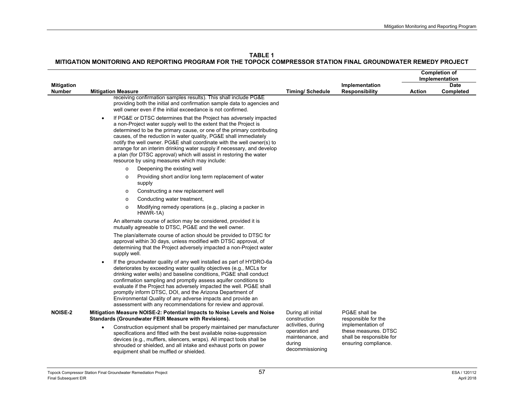|                                    |                                                                                                                                                                                                                                                                                                                                                                                                                                                                                                                                                                                 |                                                                                      |                                                                                               |               | <b>Completion of</b><br>Implementation |
|------------------------------------|---------------------------------------------------------------------------------------------------------------------------------------------------------------------------------------------------------------------------------------------------------------------------------------------------------------------------------------------------------------------------------------------------------------------------------------------------------------------------------------------------------------------------------------------------------------------------------|--------------------------------------------------------------------------------------|-----------------------------------------------------------------------------------------------|---------------|----------------------------------------|
| <b>Mitigation</b><br><b>Number</b> | <b>Mitigation Measure</b>                                                                                                                                                                                                                                                                                                                                                                                                                                                                                                                                                       | <b>Timing/Schedule</b>                                                               | Implementation<br><b>Responsibility</b>                                                       | <b>Action</b> | <b>Date</b><br>Completed               |
|                                    | receiving confirmation samples results). This shall include PG&E<br>providing both the initial and confirmation sample data to agencies and<br>well owner even if the initial exceedance is not confirmed.                                                                                                                                                                                                                                                                                                                                                                      |                                                                                      |                                                                                               |               |                                        |
|                                    | If PG&E or DTSC determines that the Project has adversely impacted<br>$\bullet$<br>a non-Project water supply well to the extent that the Project is<br>determined to be the primary cause, or one of the primary contributing<br>causes, of the reduction in water quality, PG&E shall immediately<br>notify the well owner. PG&E shall coordinate with the well owner(s) to<br>arrange for an interim drinking water supply if necessary, and develop<br>a plan (for DTSC approval) which will assist in restoring the water<br>resource by using measures which may include: |                                                                                      |                                                                                               |               |                                        |
|                                    | Deepening the existing well<br>$\circ$<br>Providing short and/or long term replacement of water<br>$\circ$<br>supply                                                                                                                                                                                                                                                                                                                                                                                                                                                            |                                                                                      |                                                                                               |               |                                        |
|                                    | Constructing a new replacement well<br>$\circ$                                                                                                                                                                                                                                                                                                                                                                                                                                                                                                                                  |                                                                                      |                                                                                               |               |                                        |
|                                    | Conducting water treatment,<br>$\circ$                                                                                                                                                                                                                                                                                                                                                                                                                                                                                                                                          |                                                                                      |                                                                                               |               |                                        |
|                                    | Modifying remedy operations (e.g., placing a packer in<br>$\circ$<br>HNWR-1A)                                                                                                                                                                                                                                                                                                                                                                                                                                                                                                   |                                                                                      |                                                                                               |               |                                        |
|                                    | An alternate course of action may be considered, provided it is<br>mutually agreeable to DTSC, PG&E and the well owner.                                                                                                                                                                                                                                                                                                                                                                                                                                                         |                                                                                      |                                                                                               |               |                                        |
|                                    | The plan/alternate course of action should be provided to DTSC for<br>approval within 30 days, unless modified with DTSC approval, of<br>determining that the Project adversely impacted a non-Project water<br>supply well.                                                                                                                                                                                                                                                                                                                                                    |                                                                                      |                                                                                               |               |                                        |
|                                    | If the groundwater quality of any well installed as part of HYDRO-6a<br>$\bullet$<br>deteriorates by exceeding water quality objectives (e.g., MCLs for<br>drinking water wells) and baseline conditions, PG&E shall conduct<br>confirmation sampling and promptly assess aquifer conditions to<br>evaluate if the Project has adversely impacted the well. PG&E shall<br>promptly inform DTSC, DOI, and the Arizona Department of<br>Environmental Quality of any adverse impacts and provide an<br>assessment with any recommendations for review and approval.               |                                                                                      |                                                                                               |               |                                        |
| <b>NOISE-2</b>                     | Mitigation Measure NOISE-2: Potential Impacts to Noise Levels and Noise<br>Standards (Groundwater FEIR Measure with Revisions).                                                                                                                                                                                                                                                                                                                                                                                                                                                 | During all initial<br>construction                                                   | PG&E shall be<br>responsible for the                                                          |               |                                        |
|                                    | Construction equipment shall be properly maintained per manufacturer<br>$\bullet$<br>specifications and fitted with the best available noise-suppression<br>devices (e.g., mufflers, silencers, wraps). All impact tools shall be<br>shrouded or shielded, and all intake and exhaust ports on power<br>equipment shall be muffled or shielded.                                                                                                                                                                                                                                 | activities, during<br>operation and<br>maintenance, and<br>during<br>decommissioning | implementation of<br>these measures. DTSC<br>shall be responsible for<br>ensuring compliance. |               |                                        |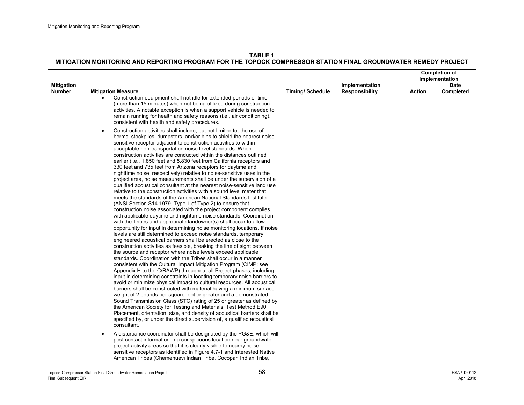|                                    |                                                                                                                                                                                                                                                                                                                                                                                                                                                                                                                                                                                                                                                                                                                                                                                                                                                                                                                                                                                                                                                                                                                                                                                                                                                                                                                                                                                                                                                                                                                                                                                                                                                                                                                                                                                                                                                                                                                                                                                                                                                                                                                                                                                                                                                                                                                                                                                                                                                                 |                        |                                         | <b>Completion of</b><br>Implementation |                          |
|------------------------------------|-----------------------------------------------------------------------------------------------------------------------------------------------------------------------------------------------------------------------------------------------------------------------------------------------------------------------------------------------------------------------------------------------------------------------------------------------------------------------------------------------------------------------------------------------------------------------------------------------------------------------------------------------------------------------------------------------------------------------------------------------------------------------------------------------------------------------------------------------------------------------------------------------------------------------------------------------------------------------------------------------------------------------------------------------------------------------------------------------------------------------------------------------------------------------------------------------------------------------------------------------------------------------------------------------------------------------------------------------------------------------------------------------------------------------------------------------------------------------------------------------------------------------------------------------------------------------------------------------------------------------------------------------------------------------------------------------------------------------------------------------------------------------------------------------------------------------------------------------------------------------------------------------------------------------------------------------------------------------------------------------------------------------------------------------------------------------------------------------------------------------------------------------------------------------------------------------------------------------------------------------------------------------------------------------------------------------------------------------------------------------------------------------------------------------------------------------------------------|------------------------|-----------------------------------------|----------------------------------------|--------------------------|
| <b>Mitigation</b><br><b>Number</b> | <b>Mitigation Measure</b>                                                                                                                                                                                                                                                                                                                                                                                                                                                                                                                                                                                                                                                                                                                                                                                                                                                                                                                                                                                                                                                                                                                                                                                                                                                                                                                                                                                                                                                                                                                                                                                                                                                                                                                                                                                                                                                                                                                                                                                                                                                                                                                                                                                                                                                                                                                                                                                                                                       | <b>Timing/Schedule</b> | Implementation<br><b>Responsibility</b> | Action                                 | <b>Date</b><br>Completed |
|                                    | Construction equipment shall not idle for extended periods of time<br>(more than 15 minutes) when not being utilized during construction<br>activities. A notable exception is when a support vehicle is needed to<br>remain running for health and safety reasons (i.e., air conditioning),<br>consistent with health and safety procedures.                                                                                                                                                                                                                                                                                                                                                                                                                                                                                                                                                                                                                                                                                                                                                                                                                                                                                                                                                                                                                                                                                                                                                                                                                                                                                                                                                                                                                                                                                                                                                                                                                                                                                                                                                                                                                                                                                                                                                                                                                                                                                                                   |                        |                                         |                                        |                          |
|                                    | Construction activities shall include, but not limited to, the use of<br>$\bullet$<br>berms, stockpiles, dumpsters, and/or bins to shield the nearest noise-<br>sensitive receptor adjacent to construction activities to within<br>acceptable non-transportation noise level standards. When<br>construction activities are conducted within the distances outlined<br>earlier (i.e., 1,850 feet and 5,830 feet from California receptors and<br>330 feet and 735 feet from Arizona receptors for daytime and<br>nighttime noise, respectively) relative to noise-sensitive uses in the<br>project area, noise measurements shall be under the supervision of a<br>qualified acoustical consultant at the nearest noise-sensitive land use<br>relative to the construction activities with a sound level meter that<br>meets the standards of the American National Standards Institute<br>(ANSI Section S14 1979, Type 1 of Type 2) to ensure that<br>construction noise associated with the project component complies<br>with applicable daytime and nighttime noise standards. Coordination<br>with the Tribes and appropriate landowner(s) shall occur to allow<br>opportunity for input in determining noise monitoring locations. If noise<br>levels are still determined to exceed noise standards, temporary<br>engineered acoustical barriers shall be erected as close to the<br>construction activities as feasible, breaking the line of sight between<br>the source and receptor where noise levels exceed applicable<br>standards. Coordination with the Tribes shall occur in a manner<br>consistent with the Cultural Impact Mitigation Program (CIMP; see<br>Appendix H to the C/RAWP) throughout all Project phases, including<br>input in determining constraints in locating temporary noise barriers to<br>avoid or minimize physical impact to cultural resources. All acoustical<br>barriers shall be constructed with material having a minimum surface<br>weight of 2 pounds per square foot or greater and a demonstrated<br>Sound Transmission Class (STC) rating of 25 or greater as defined by<br>the American Society for Testing and Materials' Test Method E90.<br>Placement, orientation, size, and density of acoustical barriers shall be<br>specified by, or under the direct supervision of, a qualified acoustical<br>consultant.<br>A disturbance coordinator shall be designated by the PG&E, which will<br>$\bullet$ |                        |                                         |                                        |                          |
|                                    | post contact information in a conspicuous location near groundwater<br>project activity areas so that it is clearly visible to nearby noise-<br>sensitive receptors as identified in Figure 4.7-1 and Interested Native<br>American Tribes (Chemehuevi Indian Tribe, Cocopah Indian Tribe,                                                                                                                                                                                                                                                                                                                                                                                                                                                                                                                                                                                                                                                                                                                                                                                                                                                                                                                                                                                                                                                                                                                                                                                                                                                                                                                                                                                                                                                                                                                                                                                                                                                                                                                                                                                                                                                                                                                                                                                                                                                                                                                                                                      |                        |                                         |                                        |                          |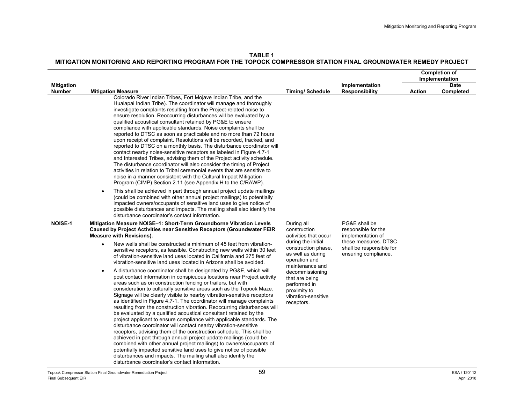**TABLE 1**

|                                    |                                                                                                                                                                                                                                                                                                                                                                                                                                                                                                                                                                                                                                                                                                                                                                                                                                                                                                                                                                                                                                                                                                                                                                 |                                                                                                                                                                                                                                                                                          |                                                           |               | <b>Completion of</b><br>Implementation |
|------------------------------------|-----------------------------------------------------------------------------------------------------------------------------------------------------------------------------------------------------------------------------------------------------------------------------------------------------------------------------------------------------------------------------------------------------------------------------------------------------------------------------------------------------------------------------------------------------------------------------------------------------------------------------------------------------------------------------------------------------------------------------------------------------------------------------------------------------------------------------------------------------------------------------------------------------------------------------------------------------------------------------------------------------------------------------------------------------------------------------------------------------------------------------------------------------------------|------------------------------------------------------------------------------------------------------------------------------------------------------------------------------------------------------------------------------------------------------------------------------------------|-----------------------------------------------------------|---------------|----------------------------------------|
| <b>Mitigation</b><br><b>Number</b> | <b>Mitigation Measure</b>                                                                                                                                                                                                                                                                                                                                                                                                                                                                                                                                                                                                                                                                                                                                                                                                                                                                                                                                                                                                                                                                                                                                       | <b>Timing/Schedule</b>                                                                                                                                                                                                                                                                   | Implementation<br><b>Responsibility</b>                   | <b>Action</b> | <b>Date</b><br>Completed               |
|                                    | Colorado River Indian Tribes, Fort Mojave Indian Tribe, and the<br>Hualapai Indian Tribe). The coordinator will manage and thoroughly<br>investigate complaints resulting from the Project-related noise to<br>ensure resolution. Reoccurring disturbances will be evaluated by a<br>qualified acoustical consultant retained by PG&E to ensure<br>compliance with applicable standards. Noise complaints shall be<br>reported to DTSC as soon as practicable and no more than 72 hours<br>upon receipt of complaint. Resolutions will be recorded, tracked, and<br>reported to DTSC on a monthly basis. The disturbance coordinator will<br>contact nearby noise-sensitive receptors as labeled in Figure 4.7-1<br>and Interested Tribes, advising them of the Project activity schedule.<br>The disturbance coordinator will also consider the timing of Project<br>activities in relation to Tribal ceremonial events that are sensitive to<br>noise in a manner consistent with the Cultural Impact Mitigation<br>Program (CIMP) Section 2.11 (see Appendix H to the C/RAWP).                                                                               |                                                                                                                                                                                                                                                                                          |                                                           |               |                                        |
|                                    | This shall be achieved in part through annual project update mailings<br>$\bullet$<br>(could be combined with other annual project mailings) to potentially<br>impacted owners/occupants of sensitive land uses to give notice of<br>possible disturbances and impacts. The mailing shall also identify the<br>disturbance coordinator's contact information.                                                                                                                                                                                                                                                                                                                                                                                                                                                                                                                                                                                                                                                                                                                                                                                                   |                                                                                                                                                                                                                                                                                          |                                                           |               |                                        |
| <b>NOISE-1</b>                     | Mitigation Measure NOISE-1: Short-Term Groundborne Vibration Levels<br><b>Caused by Project Activities near Sensitive Receptors (Groundwater FEIR</b><br><b>Measure with Revisions).</b>                                                                                                                                                                                                                                                                                                                                                                                                                                                                                                                                                                                                                                                                                                                                                                                                                                                                                                                                                                        | During all<br>construction<br>activities that occur                                                                                                                                                                                                                                      | PG&E shall be<br>responsible for the<br>implementation of |               |                                        |
|                                    | New wells shall be constructed a minimum of 45 feet from vibration-<br>$\bullet$<br>sensitive receptors, as feasible. Constructing new wells within 30 feet<br>of vibration-sensitive land uses located in California and 275 feet of<br>vibration-sensitive land uses located in Arizona shall be avoided.                                                                                                                                                                                                                                                                                                                                                                                                                                                                                                                                                                                                                                                                                                                                                                                                                                                     | these measures. DTSC<br>during the initial<br>construction phase,<br>shall be responsible for<br>as well as during<br>ensuring compliance.<br>operation and<br>maintenance and<br>decommissioning<br>that are being<br>performed in<br>proximity to<br>vibration-sensitive<br>receptors. |                                                           |               |                                        |
|                                    | A disturbance coordinator shall be designated by PG&E, which will<br>$\bullet$<br>post contact information in conspicuous locations near Project activity<br>areas such as on construction fencing or trailers, but with<br>consideration to culturally sensitive areas such as the Topock Maze.<br>Signage will be clearly visible to nearby vibration-sensitive receptors<br>as identified in Figure 4.7-1. The coordinator will manage complaints<br>resulting from the construction vibration. Reoccurring disturbances will<br>be evaluated by a qualified acoustical consultant retained by the<br>project applicant to ensure compliance with applicable standards. The<br>disturbance coordinator will contact nearby vibration-sensitive<br>receptors, advising them of the construction schedule. This shall be<br>achieved in part through annual project update mailings (could be<br>combined with other annual project mailings) to owners/occupants of<br>potentially impacted sensitive land uses to give notice of possible<br>disturbances and impacts. The mailing shall also identify the<br>disturbance coordinator's contact information. |                                                                                                                                                                                                                                                                                          |                                                           |               |                                        |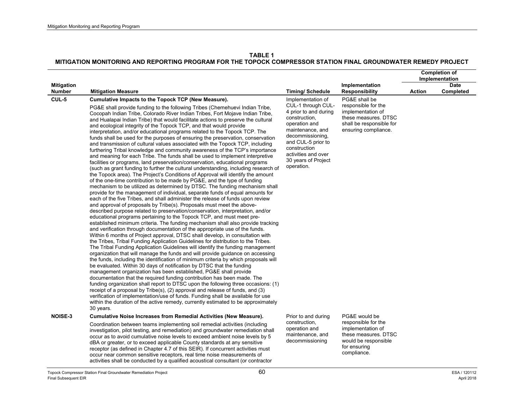|                      |                                                                                                                                                                                                                                                                                                                                                                                                                                                                                                                                                                                                                                                                                                                                                                                                                                                                                                                                                                                                                                                                                                                                                                                                                                                                                                                                                                                                                                                                                                                                                                                                                                                                                                                                                                                                                                                                                                                                                                                                                                                                                                                                                                                                                                                                                                                                                                                                                                                                                                                                                                                                                                                                                                                                                                                                                     |                                                                                                                                                                                                                                              |                                                                                                                                       |               | <b>Completion of</b><br>Implementation |
|----------------------|---------------------------------------------------------------------------------------------------------------------------------------------------------------------------------------------------------------------------------------------------------------------------------------------------------------------------------------------------------------------------------------------------------------------------------------------------------------------------------------------------------------------------------------------------------------------------------------------------------------------------------------------------------------------------------------------------------------------------------------------------------------------------------------------------------------------------------------------------------------------------------------------------------------------------------------------------------------------------------------------------------------------------------------------------------------------------------------------------------------------------------------------------------------------------------------------------------------------------------------------------------------------------------------------------------------------------------------------------------------------------------------------------------------------------------------------------------------------------------------------------------------------------------------------------------------------------------------------------------------------------------------------------------------------------------------------------------------------------------------------------------------------------------------------------------------------------------------------------------------------------------------------------------------------------------------------------------------------------------------------------------------------------------------------------------------------------------------------------------------------------------------------------------------------------------------------------------------------------------------------------------------------------------------------------------------------------------------------------------------------------------------------------------------------------------------------------------------------------------------------------------------------------------------------------------------------------------------------------------------------------------------------------------------------------------------------------------------------------------------------------------------------------------------------------------------------|----------------------------------------------------------------------------------------------------------------------------------------------------------------------------------------------------------------------------------------------|---------------------------------------------------------------------------------------------------------------------------------------|---------------|----------------------------------------|
| <b>Mitigation</b>    |                                                                                                                                                                                                                                                                                                                                                                                                                                                                                                                                                                                                                                                                                                                                                                                                                                                                                                                                                                                                                                                                                                                                                                                                                                                                                                                                                                                                                                                                                                                                                                                                                                                                                                                                                                                                                                                                                                                                                                                                                                                                                                                                                                                                                                                                                                                                                                                                                                                                                                                                                                                                                                                                                                                                                                                                                     |                                                                                                                                                                                                                                              | Implementation                                                                                                                        |               | <b>Date</b>                            |
| <b>Number</b>        | <b>Mitigation Measure</b>                                                                                                                                                                                                                                                                                                                                                                                                                                                                                                                                                                                                                                                                                                                                                                                                                                                                                                                                                                                                                                                                                                                                                                                                                                                                                                                                                                                                                                                                                                                                                                                                                                                                                                                                                                                                                                                                                                                                                                                                                                                                                                                                                                                                                                                                                                                                                                                                                                                                                                                                                                                                                                                                                                                                                                                           | <b>Timing/Schedule</b>                                                                                                                                                                                                                       | <b>Responsibility</b>                                                                                                                 | <b>Action</b> | Completed                              |
| CUL-5                | Cumulative Impacts to the Topock TCP (New Measure).<br>PG&E shall provide funding to the following Tribes (Chemehuevi Indian Tribe,<br>Cocopah Indian Tribe, Colorado River Indian Tribes, Fort Mojave Indian Tribe,<br>and Hualapai Indian Tribe) that would facilitate actions to preserve the cultural<br>and ecological integrity of the Topock TCP, and that would provide<br>interpretation, and/or educational programs related to the Topock TCP. The<br>funds shall be used for the purposes of ensuring the preservation, conservation<br>and transmission of cultural values associated with the Topock TCP, including<br>furthering Tribal knowledge and community awareness of the TCP's importance<br>and meaning for each Tribe. The funds shall be used to implement interpretive<br>facilities or programs, land preservation/conservation, educational programs<br>(such as grant funding to further the cultural understanding, including research of<br>the Topock area). The Project's Conditions of Approval will identify the amount<br>of the one-time contribution to be made by PG&E, and the type of funding<br>mechanism to be utilized as determined by DTSC. The funding mechanism shall<br>provide for the management of individual, separate funds of equal amounts for<br>each of the five Tribes, and shall administer the release of funds upon review<br>and approval of proposals by Tribe(s). Proposals must meet the above-<br>described purpose related to preservation/conservation, interpretation, and/or<br>educational programs pertaining to the Topock TCP, and must meet pre-<br>established minimum criteria. The funding mechanism shall also provide tracking<br>and verification through documentation of the appropriate use of the funds.<br>Within 6 months of Project approval, DTSC shall develop, in consultation with<br>the Tribes, Tribal Funding Application Guidelines for distribution to the Tribes.<br>The Tribal Funding Application Guidelines will identify the funding management<br>organization that will manage the funds and will provide guidance on accessing<br>the funds, including the identification of minimum criteria by which proposals will<br>be evaluated. Within 30 days of notification by DTSC that the funding<br>management organization has been established, PG&E shall provide<br>documentation that the required funding contribution has been made. The<br>funding organization shall report to DTSC upon the following three occasions: (1)<br>receipt of a proposal by Tribe(s), (2) approval and release of funds, and (3)<br>verification of implementation/use of funds. Funding shall be available for use<br>within the duration of the active remedy, currently estimated to be approximately<br>30 years. | Implementation of<br>CUL-1 through CUL-<br>4 prior to and during<br>construction,<br>operation and<br>maintenance, and<br>decommissioning,<br>and CUL-5 prior to<br>construction<br>activities and over<br>30 years of Project<br>operation. | PG&E shall be<br>responsible for the<br>implementation of<br>these measures. DTSC<br>shall be responsible for<br>ensuring compliance. |               |                                        |
| <b>NOISE-3</b>       | <b>Cumulative Noise Increases from Remedial Activities (New Measure).</b>                                                                                                                                                                                                                                                                                                                                                                                                                                                                                                                                                                                                                                                                                                                                                                                                                                                                                                                                                                                                                                                                                                                                                                                                                                                                                                                                                                                                                                                                                                                                                                                                                                                                                                                                                                                                                                                                                                                                                                                                                                                                                                                                                                                                                                                                                                                                                                                                                                                                                                                                                                                                                                                                                                                                           | Prior to and during                                                                                                                                                                                                                          | PG&E would be                                                                                                                         |               |                                        |
|                      | Coordination between teams implementing soil remedial activities (including<br>investigation, pilot testing, and remediation) and groundwater remediation shall<br>occur as to avoid cumulative noise levels to exceed ambient noise levels by 5<br>dBA or greater, or to exceed applicable County standards at any sensitive<br>receptor (as defined in Chapter 4.7 of this SEIR). If concurrent activities must<br>occur near common sensitive receptors, real time noise measurements of<br>activities shall be conducted by a qualified acoustical consultant (or contractor                                                                                                                                                                                                                                                                                                                                                                                                                                                                                                                                                                                                                                                                                                                                                                                                                                                                                                                                                                                                                                                                                                                                                                                                                                                                                                                                                                                                                                                                                                                                                                                                                                                                                                                                                                                                                                                                                                                                                                                                                                                                                                                                                                                                                                    | construction,<br>operation and<br>maintenance, and<br>decommissioning                                                                                                                                                                        | responsible for the<br>implementation of<br>these measures. DTSC<br>would be responsible<br>for ensuring<br>compliance.               |               |                                        |
| Final Subsequent EIR | 60<br>Topock Compressor Station Final Groundwater Remediation Project                                                                                                                                                                                                                                                                                                                                                                                                                                                                                                                                                                                                                                                                                                                                                                                                                                                                                                                                                                                                                                                                                                                                                                                                                                                                                                                                                                                                                                                                                                                                                                                                                                                                                                                                                                                                                                                                                                                                                                                                                                                                                                                                                                                                                                                                                                                                                                                                                                                                                                                                                                                                                                                                                                                                               |                                                                                                                                                                                                                                              |                                                                                                                                       |               | ESA / 120112<br>April 2018             |